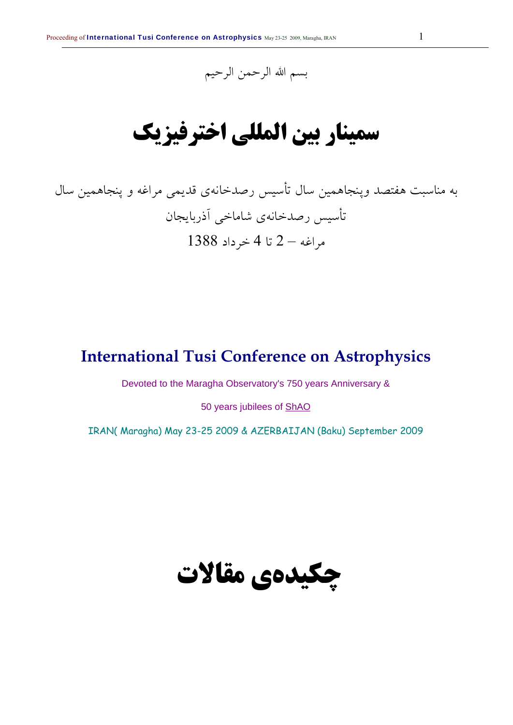بسم الله الرحمن الرحيم

# **سمينار بين المللي اخترفيزيك**

به مناسبت هفتصد وپنجاهمين سال تأسيس رصدخانهي قديمي مراغه و پنجاهمين سال تأسيس رصدخانهي شاماخي آذربايجان مراغه – 2 تا 4 خرداد 1388

# **International Tusi Conference on Astrophysics**

Devoted to the Maragha Observatory's 750 years Anniversary &

50 years jubilees of ShAO

IRAN( Maragha) May 23-25 2009 & AZERBAIJAN (Baku) September 2009

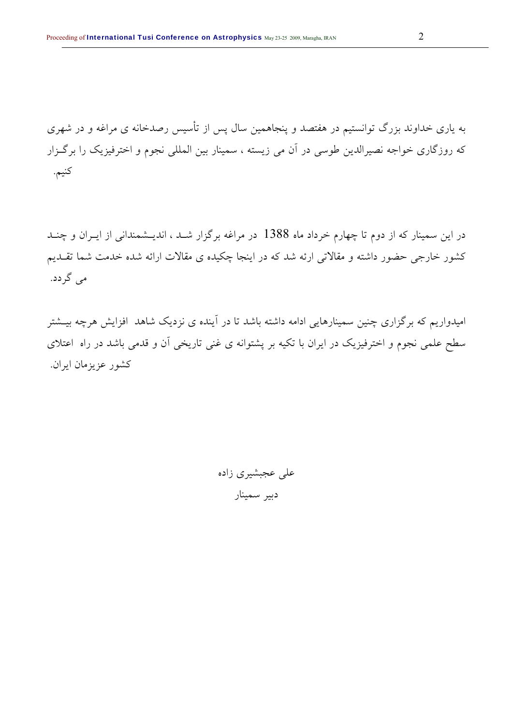به ياري خداوند بزرگ توانستيم در هفتصد و پنجاهمين سال پس از تأسيس رصدخانه ي مراغه و در شهري كه روزگاري خواجه نصيرالدين طوسي در آن مي زيسته ، سمينار بين المللي نجوم و اخترفيزيك را برگـزار كنيم.

در اين سمينار كه از دوم تا چهارم خرداد ماه 1388 در مراغه برگزار شـد ، انديـشمنداني از ايـران و چنـد كشور خارجي حضور داشته و مقالاتي ارئه شد كه در اينجا چكيده ي مقالات ارائه شده خدمت شما تقـديم مي گردد .

اميدواريم كه برگزاري چنين سمينارهايي ادامه داشته باشد تا در آينده ي نزديك شاهد افزايش هرچه بيـشتر سطح علمي نجوم و اخترفيزيك در ايران با تكيه بر پشتوانه ي غني تاريخي آن و قدمي باشد در راه اعتلاي كشور عزيزمان ايران .

علي عجبشيري زاده دبير سمينار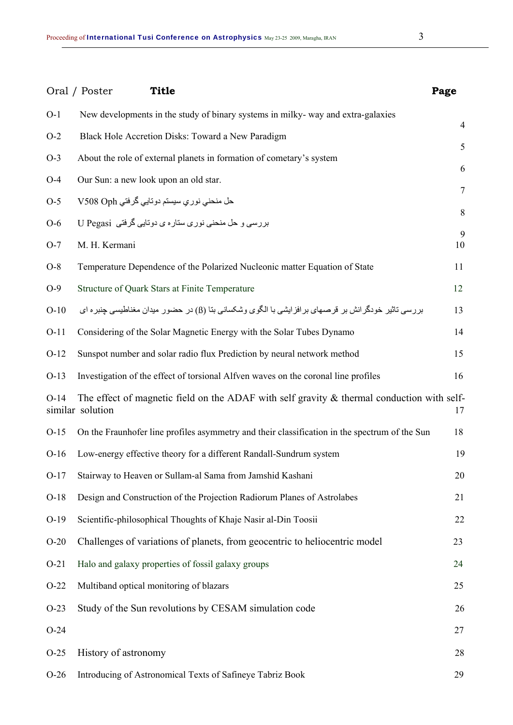|        | Oral / Poster<br>Title                                                                                            | Page           |
|--------|-------------------------------------------------------------------------------------------------------------------|----------------|
| $O-1$  | New developments in the study of binary systems in milky- way and extra-galaxies                                  |                |
| $O-2$  | Black Hole Accretion Disks: Toward a New Paradigm                                                                 | $\overline{4}$ |
| $O-3$  | About the role of external planets in formation of cometary's system                                              | 5              |
| $O-4$  | Our Sun: a new look upon an old star.                                                                             | 6              |
| $O-5$  | حل منحني نوري سيستم دوتايي گرفتي V508 Oph                                                                         | $\overline{7}$ |
| $O-6$  | بررسی و حل منحنی نوری ستاره ی دوتایی گرفتی U Pegasi                                                               | 8              |
| $O-7$  | M. H. Kermani                                                                                                     | 9<br>10        |
| $O-8$  | Temperature Dependence of the Polarized Nucleonic matter Equation of State                                        | 11             |
| $O-9$  | Structure of Quark Stars at Finite Temperature                                                                    | 12             |
| $O-10$ | بررسی تاثیر خودگرانش بر قرصهای بر افز ایشی با الگوی وشکسانی بتا (β) در حضور میدان مغناطیسی جنبره ای               | 13             |
| $O-11$ | Considering of the Solar Magnetic Energy with the Solar Tubes Dynamo                                              | 14             |
| $O-12$ | Sunspot number and solar radio flux Prediction by neural network method                                           | 15             |
| $O-13$ | Investigation of the effect of torsional Alfven waves on the coronal line profiles                                | 16             |
| $O-14$ | The effect of magnetic field on the ADAF with self gravity $\&$ thermal conduction with self-<br>similar solution | 17             |
| $O-15$ | On the Fraunhofer line profiles asymmetry and their classification in the spectrum of the Sun                     | 18             |
| $O-16$ | Low-energy effective theory for a different Randall-Sundrum system                                                | 19             |
| $O-17$ | Stairway to Heaven or Sullam-al Sama from Jamshid Kashani                                                         | 20             |
| $O-18$ | Design and Construction of the Projection Radiorum Planes of Astrolabes                                           | 21             |
| $O-19$ | Scientific-philosophical Thoughts of Khaje Nasir al-Din Toosii                                                    | 22             |
| $O-20$ | Challenges of variations of planets, from geocentric to heliocentric model                                        | 23             |
| $O-21$ | Halo and galaxy properties of fossil galaxy groups                                                                | 24             |
| $O-22$ | Multiband optical monitoring of blazars                                                                           | 25             |
| $O-23$ | Study of the Sun revolutions by CESAM simulation code                                                             | 26             |
| $O-24$ |                                                                                                                   | 27             |
| $O-25$ | History of astronomy                                                                                              | 28             |
| $O-26$ | Introducing of Astronomical Texts of Safineye Tabriz Book                                                         | 29             |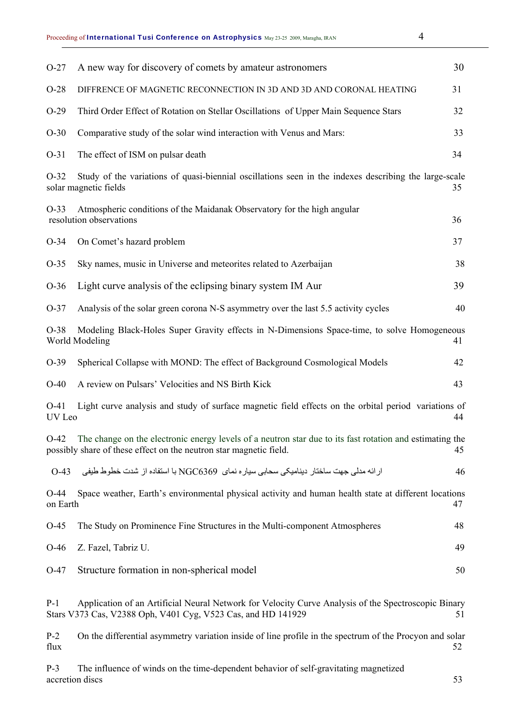| $O-27$                                                                                                                                                                             | A new way for discovery of comets by amateur astronomers                                                                                                                       | 30 |  |  |
|------------------------------------------------------------------------------------------------------------------------------------------------------------------------------------|--------------------------------------------------------------------------------------------------------------------------------------------------------------------------------|----|--|--|
| $O-28$                                                                                                                                                                             | DIFFRENCE OF MAGNETIC RECONNECTION IN 3D AND 3D AND CORONAL HEATING                                                                                                            | 31 |  |  |
| $O-29$                                                                                                                                                                             | Third Order Effect of Rotation on Stellar Oscillations of Upper Main Sequence Stars                                                                                            | 32 |  |  |
| $O-30$                                                                                                                                                                             | Comparative study of the solar wind interaction with Venus and Mars:                                                                                                           | 33 |  |  |
| $O-31$                                                                                                                                                                             | The effect of ISM on pulsar death                                                                                                                                              | 34 |  |  |
| $O-32$                                                                                                                                                                             | Study of the variations of quasi-biennial oscillations seen in the indexes describing the large-scale<br>solar magnetic fields                                                 | 35 |  |  |
| $O-33$                                                                                                                                                                             | Atmospheric conditions of the Maidanak Observatory for the high angular<br>resolution observations                                                                             | 36 |  |  |
| $O-34$                                                                                                                                                                             | On Comet's hazard problem                                                                                                                                                      | 37 |  |  |
| $O-35$                                                                                                                                                                             | Sky names, music in Universe and meteorites related to Azerbaijan                                                                                                              | 38 |  |  |
| $O-36$                                                                                                                                                                             | Light curve analysis of the eclipsing binary system IM Aur                                                                                                                     | 39 |  |  |
| $O-37$                                                                                                                                                                             | Analysis of the solar green corona N-S asymmetry over the last 5.5 activity cycles                                                                                             | 40 |  |  |
| Modeling Black-Holes Super Gravity effects in N-Dimensions Space-time, to solve Homogeneous<br>$O-38$<br>World Modeling<br>41                                                      |                                                                                                                                                                                |    |  |  |
| $O-39$                                                                                                                                                                             | Spherical Collapse with MOND: The effect of Background Cosmological Models                                                                                                     | 42 |  |  |
| $O-40$                                                                                                                                                                             | A review on Pulsars' Velocities and NS Birth Kick                                                                                                                              | 43 |  |  |
| $O-41$<br>UV Leo                                                                                                                                                                   | Light curve analysis and study of surface magnetic field effects on the orbital period variations of                                                                           | 44 |  |  |
| $O-42$                                                                                                                                                                             | The change on the electronic energy levels of a neutron star due to its fast rotation and estimating the<br>possibly share of these effect on the neutron star magnetic field. | 45 |  |  |
| $O-43$                                                                                                                                                                             | ارائه مدلي جهت ساختار ديناميكي سحابي سياره نماي NGC6369 با استفاده از شدت خطوط طيفي                                                                                            | 46 |  |  |
| Space weather, Earth's environmental physical activity and human health state at different locations<br>$O-44$<br>on Earth<br>47                                                   |                                                                                                                                                                                |    |  |  |
| $O-45$                                                                                                                                                                             | The Study on Prominence Fine Structures in the Multi-component Atmospheres                                                                                                     | 48 |  |  |
| $O-46$                                                                                                                                                                             | Z. Fazel, Tabriz U.                                                                                                                                                            | 49 |  |  |
| $O-47$                                                                                                                                                                             | Structure formation in non-spherical model                                                                                                                                     | 50 |  |  |
| Application of an Artificial Neural Network for Velocity Curve Analysis of the Spectroscopic Binary<br>$P-1$<br>Stars V373 Cas, V2388 Oph, V401 Cyg, V523 Cas, and HD 141929<br>51 |                                                                                                                                                                                |    |  |  |
| $P-2$<br>flux                                                                                                                                                                      | On the differential asymmetry variation inside of line profile in the spectrum of the Procyon and solar                                                                        | 52 |  |  |

P-3 The influence of winds on the time-dependent behavior of self-gravitating magnetized accretion discs 53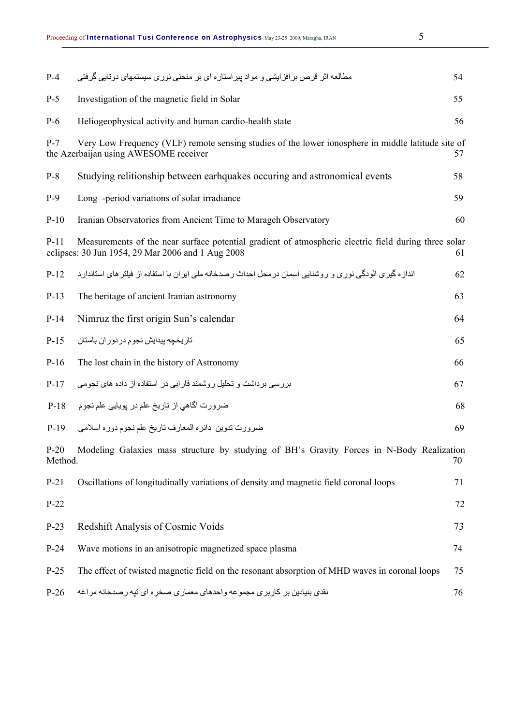$\overline{\phantom{0}}$ 

| $P-4$                                                                                                                                                                     | مطالعه اثر قرص بر افز ایشی و مواد بیر استار ه ای بر منحنی نور ی سیستمهای دونایی گرفتی                                                       | 54 |  |  |
|---------------------------------------------------------------------------------------------------------------------------------------------------------------------------|---------------------------------------------------------------------------------------------------------------------------------------------|----|--|--|
| $P-5$                                                                                                                                                                     | Investigation of the magnetic field in Solar                                                                                                | 55 |  |  |
| $P-6$                                                                                                                                                                     | Heliogeophysical activity and human cardio-health state                                                                                     | 56 |  |  |
| $P-7$                                                                                                                                                                     | Very Low Frequency (VLF) remote sensing studies of the lower ionosphere in middle latitude site of<br>the Azerbaijan using AWESOME receiver | 57 |  |  |
| $P-8$                                                                                                                                                                     | Studying relitionship between earhquakes occuring and astronomical events                                                                   | 58 |  |  |
| $P-9$                                                                                                                                                                     | Long -period variations of solar irradiance                                                                                                 | 59 |  |  |
| $P-10$                                                                                                                                                                    | Iranian Observatories from Ancient Time to Marageh Observatory                                                                              | 60 |  |  |
| $P-11$<br>Measurements of the near surface potential gradient of atmospheric electric field during three solar<br>eclipses: 30 Jun 1954, 29 Mar 2006 and 1 Aug 2008<br>61 |                                                                                                                                             |    |  |  |
| $P-12$                                                                                                                                                                    | انداز ه گیر ی آلو دگی نور ی و روشنایی آسمان در محل احداث رصدخانه ملی ایران با استفاده از فیلتر های استاندارد                                | 62 |  |  |
| $P-13$                                                                                                                                                                    | The heritage of ancient Iranian astronomy                                                                                                   | 63 |  |  |
| $P-14$                                                                                                                                                                    | Nimruz the first origin Sun's calendar                                                                                                      | 64 |  |  |
| $P-15$                                                                                                                                                                    | تاريخچه پيدايش نجوم در دور ان باستان                                                                                                        | 65 |  |  |
| $P-16$                                                                                                                                                                    | The lost chain in the history of Astronomy                                                                                                  | 66 |  |  |
| $P-17$                                                                                                                                                                    | بررسی برداشت و تحلیل روشمند فار ابی در استفاده از داده های نجومی                                                                            | 67 |  |  |
| $P-18$                                                                                                                                                                    | ضرورت اگاهي از تاريخ علم در پويايي علم نجوم                                                                                                 | 68 |  |  |
| $P-19$                                                                                                                                                                    | ضرورت تدوين دائره المعارف تاريخ علم نجوم دوره اسلامي                                                                                        | 69 |  |  |
| $P-20$<br>Method.                                                                                                                                                         | Modeling Galaxies mass structure by studying of BH's Gravity Forces in N-Body Realization                                                   | 70 |  |  |
| $P-21$                                                                                                                                                                    | Oscillations of longitudinally variations of density and magnetic field coronal loops                                                       | 71 |  |  |
| $P-22$                                                                                                                                                                    |                                                                                                                                             | 72 |  |  |
| $P-23$                                                                                                                                                                    | Redshift Analysis of Cosmic Voids                                                                                                           | 73 |  |  |
| $P-24$                                                                                                                                                                    | Wave motions in an anisotropic magnetized space plasma                                                                                      | 74 |  |  |
| $P-25$                                                                                                                                                                    | The effect of twisted magnetic field on the resonant absorption of MHD waves in coronal loops                                               | 75 |  |  |
| $P-26$                                                                                                                                                                    | نقدی بنیادین بر کاربری مجموعه واحدهای معماری صخره ای تیه رصدخانه مراغه                                                                      | 76 |  |  |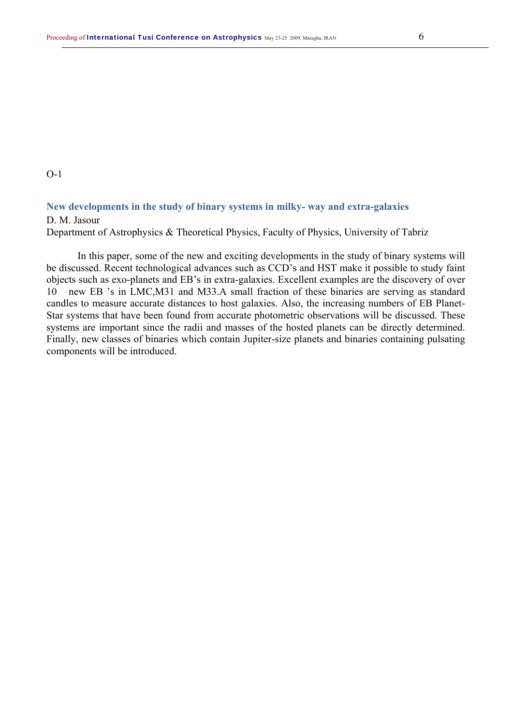#### **New developments in the study of binary systems in milky- way and extra-galaxies**

D. M. Jasour

Department of Astrophysics & Theoretical Physics, Faculty of Physics, University of Tabriz

In this paper, some of the new and exciting developments in the study of binary systems will be discussed. Recent technological advances such as CCD's and HST make it possible to study faint objects such as exo-planets and EB's in extra-galaxies. Excellent examples are the discovery of over 10 new EB 's in LMC,M31 and M33.A small fraction of these binaries are serving as standard candles to measure accurate distances to host galaxies. Also, the increasing numbers of EB Planet-Star systems that have been found from accurate photometric observations will be discussed. These systems are important since the radii and masses of the hosted planets can be directly determined. Finally, new classes of binaries which contain Jupiter-size planets and binaries containing pulsating components will be introduced.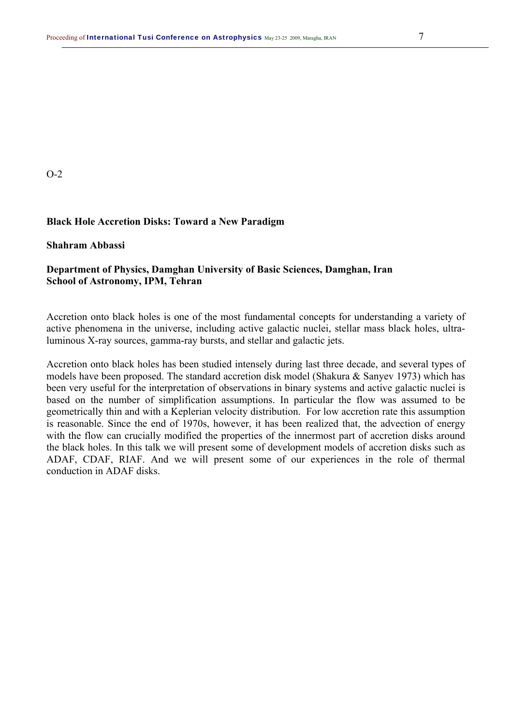#### **Black Hole Accretion Disks: Toward a New Paradigm**

#### **Shahram Abbassi**

## **Department of Physics, Damghan University of Basic Sciences, Damghan, Iran School of Astronomy, IPM, Tehran**

Accretion onto black holes is one of the most fundamental concepts for understanding a variety of active phenomena in the universe, including active galactic nuclei, stellar mass black holes, ultraluminous X-ray sources, gamma-ray bursts, and stellar and galactic jets.

Accretion onto black holes has been studied intensely during last three decade, and several types of models have been proposed. The standard accretion disk model (Shakura & Sanyev 1973) which has been very useful for the interpretation of observations in binary systems and active galactic nuclei is based on the number of simplification assumptions. In particular the flow was assumed to be geometrically thin and with a Keplerian velocity distribution. For low accretion rate this assumption is reasonable. Since the end of 1970s, however, it has been realized that, the advection of energy with the flow can crucially modified the properties of the innermost part of accretion disks around the black holes. In this talk we will present some of development models of accretion disks such as ADAF, CDAF, RIAF. And we will present some of our experiences in the role of thermal conduction in ADAF disks.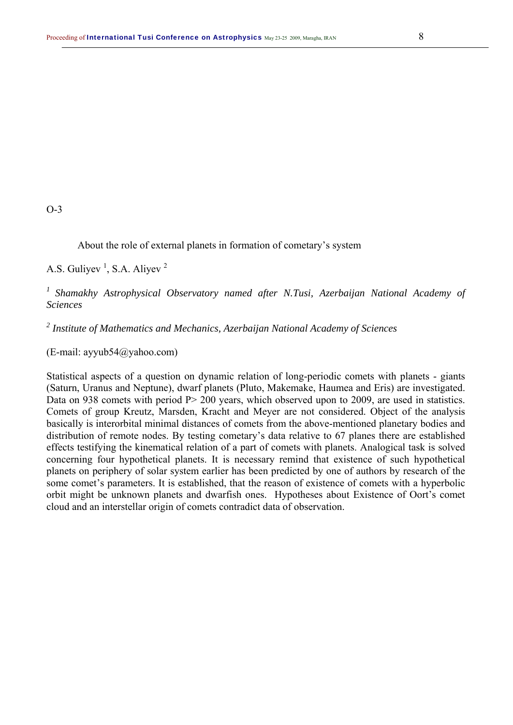About the role of external planets in formation of cometary's system

A.S. Guliyev<sup>1</sup>, S.A. Aliyev<sup>2</sup>

*1 Shamakhy Astrophysical Observatory named after N.Tusi, Azerbaijan National Academy of Sciences* 

*2 Institute of Mathematics and Mechanics, Azerbaijan National Academy of Sciences* 

(E-mail: ayyub54@yahoo.com)

Statistical aspects of a question on dynamic relation of long-periodic comets with planets - giants (Saturn, Uranus and Neptune), dwarf planets (Pluto, Makemake, Haumea and Eris) are investigated. Data on 938 comets with period P 200 years, which observed upon to 2009, are used in statistics. Comets of group Kreutz, Marsden, Kracht and Meyer are not considered. Object of the analysis basically is interorbital minimal distances of comets from the above-mentioned planetary bodies and distribution of remote nodes. By testing cometary's data relative to 67 planes there are established effects testifying the kinematical relation of a part of comets with planets. Analogical task is solved concerning four hypothetical planets. It is necessary remind that existence of such hypothetical planets on periphery of solar system earlier has been predicted by one of authors by research of the some comet's parameters. It is established, that the reason of existence of comets with a hyperbolic orbit might be unknown planets and dwarfish ones. Hypotheses about Existence of Oort's comet cloud and an interstellar origin of comets contradict data of observation.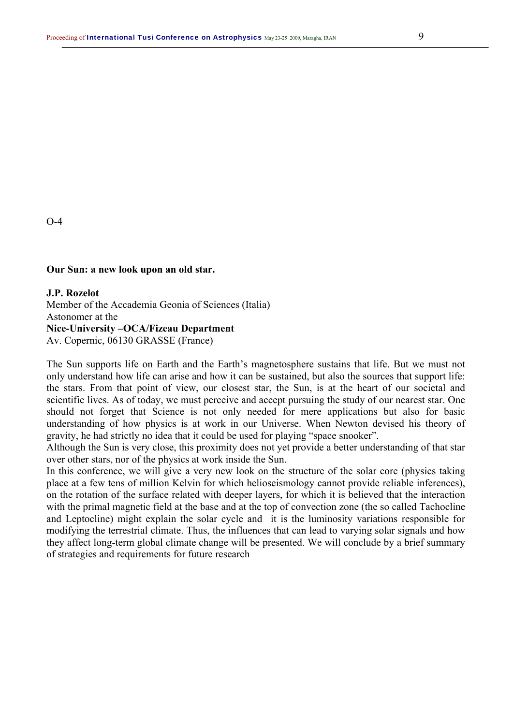#### **Our Sun: a new look upon an old star.**

#### **J.P. Rozelot**

Member of the Accademia Geonia of Sciences (Italia) Astonomer at the **Nice-University –OCA/Fizeau Department**  Av. Copernic, 06130 GRASSE (France)

The Sun supports life on Earth and the Earth's magnetosphere sustains that life. But we must not only understand how life can arise and how it can be sustained, but also the sources that support life: the stars. From that point of view, our closest star, the Sun, is at the heart of our societal and scientific lives. As of today, we must perceive and accept pursuing the study of our nearest star. One should not forget that Science is not only needed for mere applications but also for basic understanding of how physics is at work in our Universe. When Newton devised his theory of gravity, he had strictly no idea that it could be used for playing "space snooker".

Although the Sun is very close, this proximity does not yet provide a better understanding of that star over other stars, nor of the physics at work inside the Sun.

In this conference, we will give a very new look on the structure of the solar core (physics taking place at a few tens of million Kelvin for which helioseismology cannot provide reliable inferences), on the rotation of the surface related with deeper layers, for which it is believed that the interaction with the primal magnetic field at the base and at the top of convection zone (the so called Tachocline and Leptocline) might explain the solar cycle and it is the luminosity variations responsible for modifying the terrestrial climate. Thus, the influences that can lead to varying solar signals and how they affect long-term global climate change will be presented. We will conclude by a brief summary of strategies and requirements for future research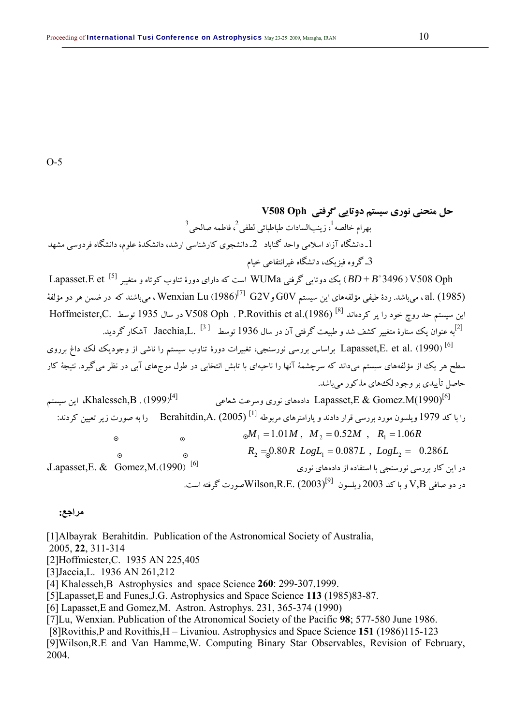**حل منحني نوري سيستم دوتايي گرفتي Oph 508V**  <sup>3</sup> ، فاطمه صالحي <sup>2</sup> ، زينبالسادات طباطبائي لطفي <sup>1</sup> بهرام خالصه 1ـ دانشگاه آزاد اسلامي واحد گناباد 2ـ دانشجوي كارشناسي ارشد، دانشكدة علوم، دانشگاه فردوسي مشهد 3ـ گروه فيزيك، دانشگاه غيرانتفاعي خيام

et *( BD* + B° 3496 ) يك دوتايي گرفتي WUMa است كه داراي دورة تناوب كوتاه و متغيير Lapasset.E et <sup>[5]</sup> ) يك دوتايي گرفتي ، میباشند رده طیفی مؤلفههای این سیستم G0V و Wenxian Lu (1986)<sup>[7]</sup> G2V، میباشند که در ضمن هر دو مؤلفه (1985) ، می اين سيستم حد روچ خود را پر كردهاند V508 Oph . P.Rovithis et al.(1986) [8] در سال 1935 توسط .Etoffmeister,C .<br><sup>[2]</sup>به عنوان يك ستارة متغيير كشف شد و طبيعت گرفتي آن در سال 1936 توسط  $\,$   $\,$  Jacchia,L.  $\,$  آشكار گر $\,$ ديد.

k Lapasset,E. et al. (1990) براساس بررسي نورسنجي، تغييرات دورة تناوب سيستم را ناشي از وجوديك لك داغ برروي سطح هر يك از مؤلفههاي سيستم ميداند كه سرچشمهٔ آنها را ناحيهاي با تابش انتخابي در طول موجهاي آبي در نظر ميگيرد. نتيجهٔ كار حاصل تأييدي بروجود لكهاي مذكور ميباشد.

\nLapasset,E & Gomez.M(1990)<sup>[6]</sup> (1) 1979  
\n
$$
\sigma
$$
 1979  
\n $\sigma$  1979  
\n $\sigma$  1979  
\n $\sigma$  1979  
\n $\sigma$  1979  
\n $\sigma$  1979  
\n $\sigma$  1979  
\n $\sigma$  1979  
\n $\sigma$  101M,  $M_2 = 0.52M$ ,  $R_1 = 1.06R$   
\n $\sigma$  101M,  $M_2 = 0.52M$ ,  $R_1 = 1.06R$   
\n $\sigma$  101M,  $M_2 = 0.52M$ ,  $LogL_2 = 0.286L$   
\nLapasset,E. & Gomez,M.(1990)<sup>[6]</sup>  
\n $\sigma$  1473  
\n $\sigma$  1584  
\n $\sigma$  1695  
\n $\sigma$  1793  
\n $\sigma$  1899  
\n $\sigma$  191  
\n $\sigma$  191  
\n $\sigma$  193  
\n $\sigma$  194  
\n $\sigma$  195  
\n $\sigma$  1999  
\n $\sigma$  191  
\n $\sigma$  193  
\n $\sigma$  194  
\n $\sigma$  195  
\n $\sigma$  196  
\n $\sigma$  1979  
\n $\sigma$  1982  
\n $\sigma$  1999  
\n $\sigma$  1999  
\n $\sigma$  1999  
\n $\sigma$  1979

#### **مراجع :**

2004.

[1]Albayrak Berahitdin. Publication of the Astronomical Society of Australia, 2005, **22**, 311-314 [2]Hoffmiester,C. 1935 AN 225,405 [3]Jaccia,L. 1936 AN 261,212 [4] Khalesseh,B Astrophysics and space Science **260**: 299-307,1999. [5]Lapasset,E and Funes,J.G. Astrophysics and Space Science **113** (1985)83-87. [6] Lapasset,E and Gomez,M. Astron. Astrophys. 231, 365-374 (1990) [7]Lu, Wenxian. Publication of the Atronomical Society of the Pacific **98**; 577-580 June 1986. [8]Rovithis,P and Rovithis,H – Livaniou. Astrophysics and Space Science **151** (1986)115-123 [9]Wilson,R.E and Van Hamme,W. Computing Binary Star Observables, Revision of February,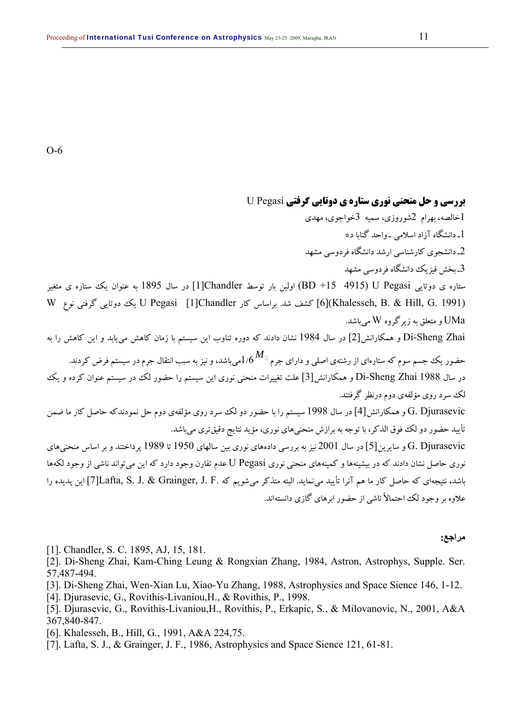**بررسي و حل منحني نوري ستاره ي دوتايي گرفتي** Pegasi U 1خالصه، بهرام 2شوروزي، سميه 3خواجوي، مهدي 1ـ دانشگاه آزاد اسلامي ـ واحد گنابا د\* 2ـ دانشجوي كارشناسي ارشد دانشگاه فردوسي مشهد 3ـ بخش فيزيك دانشگاه فردوسي مشهد ستاره ي دوتايي Pegasi U) 4915+15 BD (اولين بار توسط Chandler]1 [در سال 1895 به عنوان يك ستاره ي متغير (1991 .G ,Hill & .B ,Khalesseh](6 [كشف شد. براساس كار Chandler]1 [Pegasi U يك دوتايي گرفتي نوع W UMa و متعلق به زيرگروه  $W$  مي $\rm UMa$ Di-Sheng Zhai و همكارانش[2] در سال 1984 نشان دادند كه دوره تناوب اين سيستم با زمان كاهش مي يابد و اين كاهش را به حضور يك جسم سوم كه ستارهاى از رشتهى اصل<sub>ى</sub> و داراى جرم ل $M_\Box$ مىباشد، و نيز به سبب انتقال جرم در سيستم فرض كردند. در سال 1988 Di-Sheng Zhai و همكارانش[3] علت تغييرات منحني نوري اين سيستم را حضور لك در سيستم عنوان كرده و يك لك سرد روي مؤلفهي دوم درنظر گرفتند. Djurasevic .G و همكارانش[4] در سال 1998 سيستم را با حضور دو لك سرد روي مؤلفهي دوم حل نمودندكه حاصل كار ما ضمن تأييد حضور دو لك فوق الذكر، با توجه به برازش منحنيهاي نوري، مؤيد نتايج دقيقتري ميباشد. Djurasevic .G و سايرين[5] در سال 2001 نيز به بررسي دادههاي نوري بين سالهاي 1950 تا 1989 پرداختند و بر اساس منحنيهاي نوري حاصل نشان دادند كه در بيشينهها و كمينههاي منحني نوري Pegasi U عدم تقارن وجود دارد كه اين ميتواند ناشي از وجود لكهها باشد، نتيجهاي كه حاصل كار ما هم آنرا تأييد مينمايد. البته متذكر ميشويم كه .F .J ,Grainger & .J .S ,Lafta]7 [اين پديده را علاوه بروجود لك احتمالاً ناشي از حضور ابرهاي گازي دانستهاند.

[1]. Chandler, S. C. 1895, AJ, 15, 181.

[2]. Di-Sheng Zhai, Kam-Ching Leung & Rongxian Zhang, 1984, Astron, Astrophys, Supple. Ser. 57,487-494.

- [3]. Di-Sheng Zhai, Wen-Xian Lu, Xiao-Yu Zhang, 1988, Astrophysics and Space Sience 146, 1-12.
- [4]. Djurasevic, G., Rovithis-Livaniou,H., & Rovithis, P., 1998.
- [5]. Djurasevic, G., Rovithis-Livaniou,H., Rovithis, P., Erkapic, S., & Milovanovic, N., 2001, A&A 367,840-847.
- [6]. Khalesseh, B., Hill, G., 1991, A&A 224,75.
- [7]. Lafta, S. J., & Grainger, J. F., 1986, Astrophysics and Space Sience 121, 61-81.

#### **مراجع:**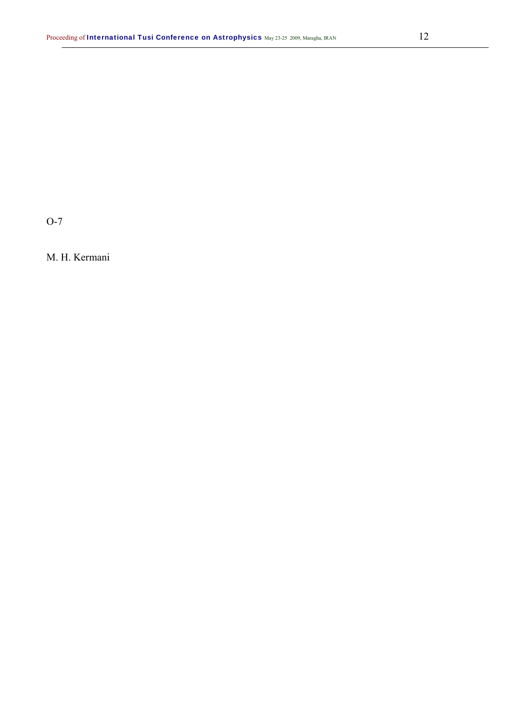M. H. Kermani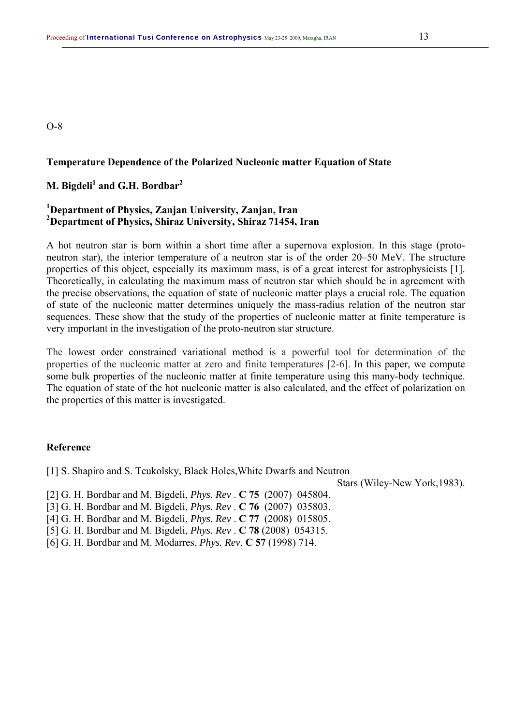#### **Temperature Dependence of the Polarized Nucleonic matter Equation of State**

# $M$ . Bigdeli<sup>1</sup> and G.H. Bordbar<sup>2</sup>

# **1 Department of Physics, Zanjan University, Zanjan, Iran 2 Department of Physics, Shiraz University, Shiraz 71454, Iran**

A hot neutron star is born within a short time after a supernova explosion. In this stage (protoneutron star), the interior temperature of a neutron star is of the order 20–50 MeV. The structure properties of this object, especially its maximum mass, is of a great interest for astrophysicists [1]. Theoretically, in calculating the maximum mass of neutron star which should be in agreement with the precise observations, the equation of state of nucleonic matter plays a crucial role. The equation of state of the nucleonic matter determines uniquely the mass-radius relation of the neutron star sequences. These show that the study of the properties of nucleonic matter at finite temperature is very important in the investigation of the proto-neutron star structure.

The lowest order constrained variational method is a powerful tool for determination of the properties of the nucleonic matter at zero and finite temperatures [2-6]. In this paper, we compute some bulk properties of the nucleonic matter at finite temperature using this many-body technique. The equation of state of the hot nucleonic matter is also calculated, and the effect of polarization on the properties of this matter is investigated.

#### **Reference**

[1] S. Shapiro and S. Teukolsky, Black Holes,White Dwarfs and Neutron

Stars (Wiley-New York,1983).

[2] G. H. Bordbar and M. Bigdeli, *Phys. Rev* . **C 75** (2007) 045804.

[3] G. H. Bordbar and M. Bigdeli, *Phys. Rev* . **C 76** (2007) 035803.

[4] G. H. Bordbar and M. Bigdeli, *Phys. Rev* . **C 77** (2008) 015805.

[5] G. H. Bordbar and M. Bigdeli, *Phys. Rev* . **C 78** (2008) 054315.

[6] G. H. Bordbar and M. Modarres, *Phys. Rev.* **C 57** (1998) 714.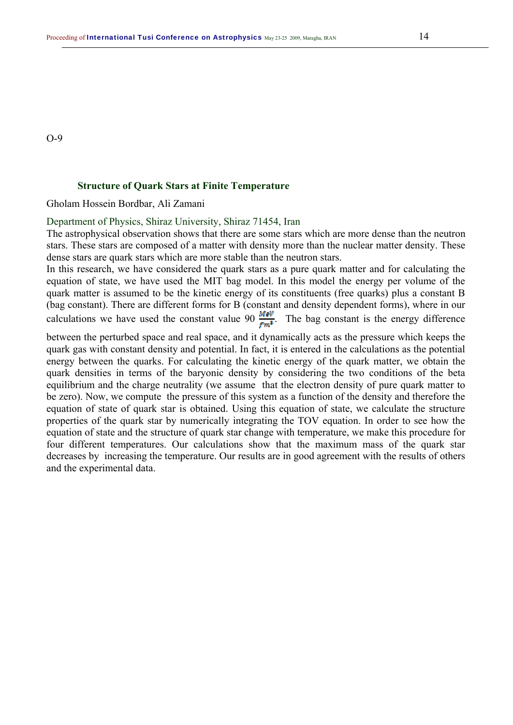#### **Structure of Quark Stars at Finite Temperature**

Gholam Hossein Bordbar, Ali Zamani

#### Department of Physics, Shiraz University, Shiraz 71454, Iran

The astrophysical observation shows that there are some stars which are more dense than the neutron stars. These stars are composed of a matter with density more than the nuclear matter density. These dense stars are quark stars which are more stable than the neutron stars.

In this research, we have considered the quark stars as a pure quark matter and for calculating the equation of state, we have used the MIT bag model. In this model the energy per volume of the quark matter is assumed to be the kinetic energy of its constituents (free quarks) plus a constant B (bag constant). There are different forms for B (constant and density dependent forms), where in our calculations we have used the constant value 90  $\frac{MeV}{\epsilon_{\text{max}}}$ . The bag constant is the energy difference

between the perturbed space and real space, and it dynamically acts as the pressure which keeps the quark gas with constant density and potential. In fact, it is entered in the calculations as the potential energy between the quarks. For calculating the kinetic energy of the quark matter, we obtain the quark densities in terms of the baryonic density by considering the two conditions of the beta equilibrium and the charge neutrality (we assume that the electron density of pure quark matter to be zero). Now, we compute the pressure of this system as a function of the density and therefore the equation of state of quark star is obtained. Using this equation of state, we calculate the structure properties of the quark star by numerically integrating the TOV equation. In order to see how the equation of state and the structure of quark star change with temperature, we make this procedure for four different temperatures. Our calculations show that the maximum mass of the quark star decreases by increasing the temperature. Our results are in good agreement with the results of others and the experimental data.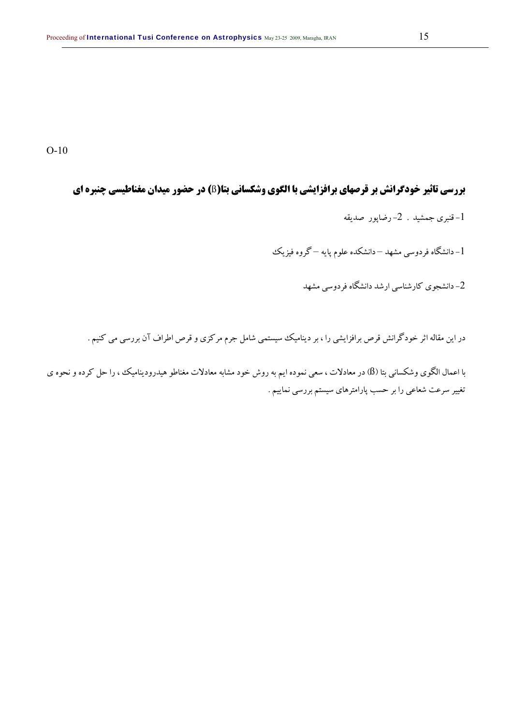# **بررسی تاثیر خودگرانش بر قرصهای برافزایشی با الگوی وشکسانی بتا(B) در حضور میدان مغناطیسی چنبره ای**

-1 قنبري جمشيد . -2 رضاپور صديقه

-1 دانشگاه فردوسي مشهد – دانشكده علوم پايه – گروه فيزيك

-2 دانشجوي كارشناسي ارشد دانشگاه فردوسي مشهد

در اين مقاله اثر خودگرانش قرص برافزايشي را ، بر ديناميك سيستمي شامل جرم مركزي و قرص اطراف آن بررسي مي كنيم .

با اعمال الگوي وشكساني بتا (ß (در معادلات ، سعي نموده ايم به روش خود مشابه معادلات مغناطو هيدروديناميك ، را حل كرده و نحوه ي تغيير سرعت شعاعي را بر حسب پارامترهاي سيستم بررسي نماييم .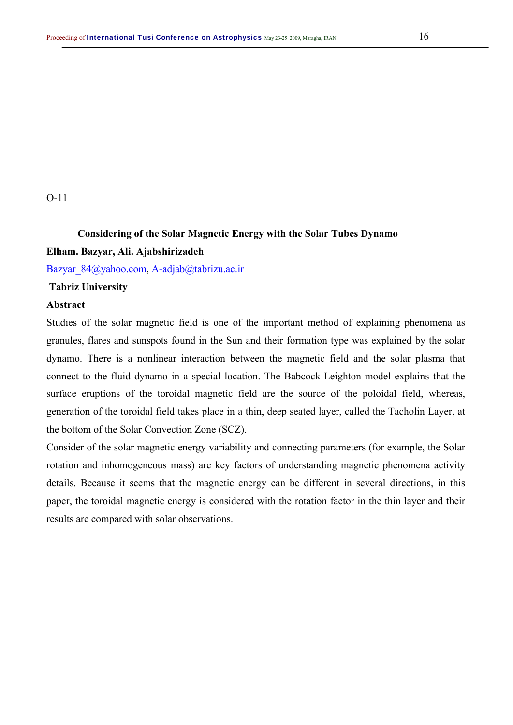# **Considering of the Solar Magnetic Energy with the Solar Tubes Dynamo Elham. Bazyar, Ali. Ajabshirizadeh**

Bazyar\_84@yahoo.com, A-adjab@tabrizu.ac.ir

## **Tabriz University**

#### **Abstract**

Studies of the solar magnetic field is one of the important method of explaining phenomena as granules, flares and sunspots found in the Sun and their formation type was explained by the solar dynamo. There is a nonlinear interaction between the magnetic field and the solar plasma that connect to the fluid dynamo in a special location. The Babcock-Leighton model explains that the surface eruptions of the toroidal magnetic field are the source of the poloidal field, whereas, generation of the toroidal field takes place in a thin, deep seated layer, called the Tacholin Layer, at the bottom of the Solar Convection Zone (SCZ).

Consider of the solar magnetic energy variability and connecting parameters (for example, the Solar rotation and inhomogeneous mass) are key factors of understanding magnetic phenomena activity details. Because it seems that the magnetic energy can be different in several directions, in this paper, the toroidal magnetic energy is considered with the rotation factor in the thin layer and their results are compared with solar observations.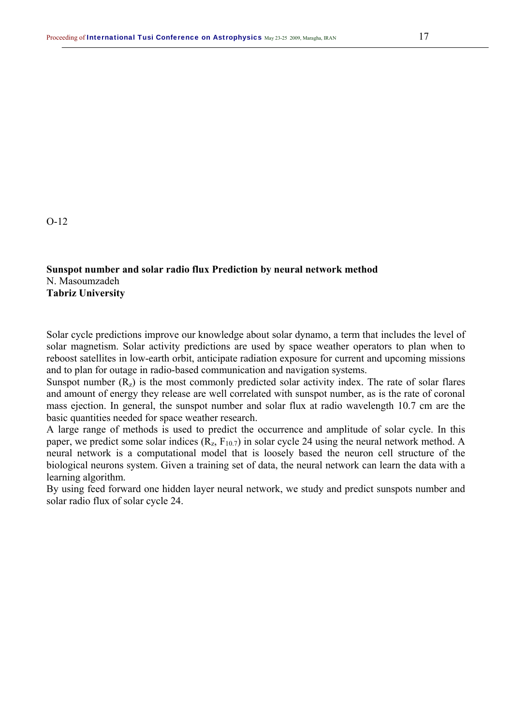#### **Sunspot number and solar radio flux Prediction by neural network method**  N. Masoumzadeh **Tabriz University**

Solar cycle predictions improve our knowledge about solar dynamo, a term that includes the level of solar magnetism. Solar activity predictions are used by space weather operators to plan when to reboost satellites in low-earth orbit, anticipate radiation exposure for current and upcoming missions and to plan for outage in radio-based communication and navigation systems.

Sunspot number  $(R_z)$  is the most commonly predicted solar activity index. The rate of solar flares and amount of energy they release are well correlated with sunspot number, as is the rate of coronal mass ejection. In general, the sunspot number and solar flux at radio wavelength 10.7 cm are the basic quantities needed for space weather research.

A large range of methods is used to predict the occurrence and amplitude of solar cycle. In this paper, we predict some solar indices  $(R_z, F_{10.7})$  in solar cycle 24 using the neural network method. A neural network is a computational model that is loosely based the neuron cell structure of the biological neurons system. Given a training set of data, the neural network can learn the data with a learning algorithm.

By using feed forward one hidden layer neural network, we study and predict sunspots number and solar radio flux of solar cycle 24.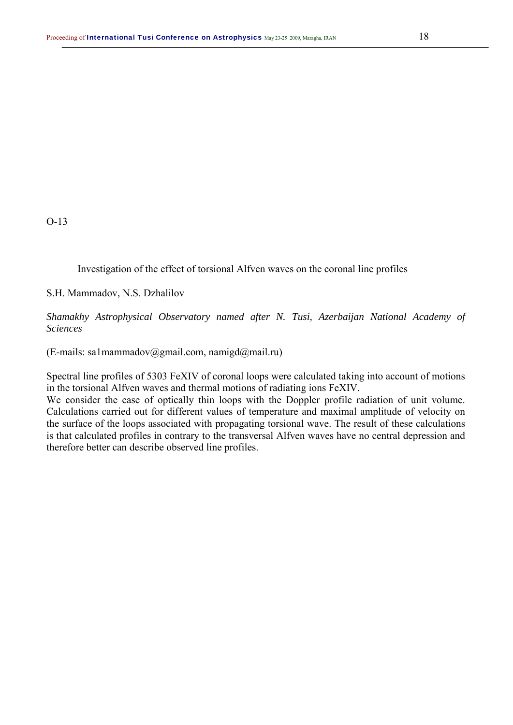Investigation of the effect of torsional Alfven waves on the coronal line profiles

S.H. Mammadov, N.S. Dzhalilov

*Shamakhy Astrophysical Observatory named after N. Tusi, Azerbaijan National Academy of Sciences* 

 $(E\text{-mails: sal mammadov@gmail.com, namingd@mail.ru})$ 

Spectral line profiles of 5303 FeXIV of coronal loops were calculated taking into account of motions in the torsional Alfven waves and thermal motions of radiating ions FeXIV.

We consider the case of optically thin loops with the Doppler profile radiation of unit volume. Calculations carried out for different values of temperature and maximal amplitude of velocity on the surface of the loops associated with propagating torsional wave. The result of these calculations is that calculated profiles in contrary to the transversal Alfven waves have no central depression and therefore better can describe observed line profiles.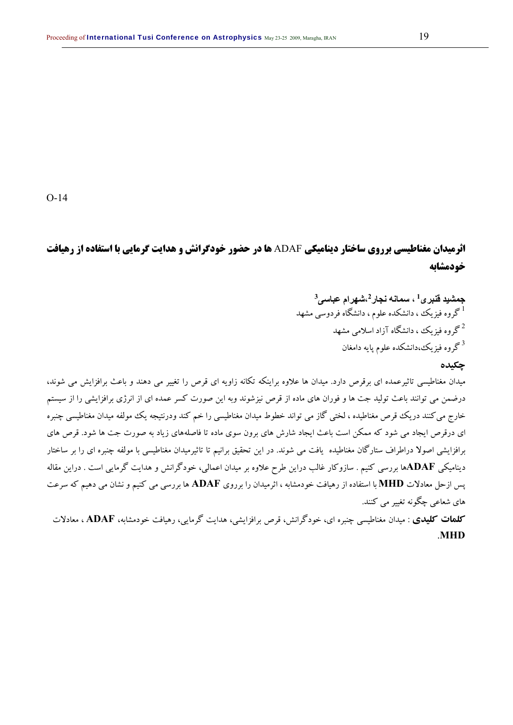# **اثرميدان مغناطيسي برروي ساختار ديناميكي** ADAF **ها در حضور خودگرانش و هدايت گرمايي با استفاده از رهيافت خودمشابه**

**<sup>3</sup>،شهرام عباسی <sup>2</sup> ، سمانه نجار <sup>1</sup> جمشيد قنبری** گروه فيزيك ، دانشكده علوم ، دانشگاه فردوسي مشهد <sup>1</sup> گروه فيزيك ، دانشگاه آزاد اسلامي مشهد  $^2$ گروه فيزيك،دانشكده علوم پايه دامغان  $^3$ 

#### **چكيده**

ميدان مغناطيسي تاثيرعمده اي برقرص دارد. ميدان ها علاوه براينكه تكانه زاويه اي قرص را تغيير مي دهند و باعث برافزايش مي شوند، درضمن مي توانند باعث توليد جت ها و فوران هاي ماده از قرص نيزشوند وبه اين صورت كسر عمده اي از انرژي برافزايشي را از سيستم خارج ميكنند دريك قرص مغناطيده ، لختي گاز مي تواند خطوط ميدان مغناطيسي را خم كند ودرنتيجه يك مولفه ميدان مغناطيسي چنبره اي درقرص ايجاد مي شود كه ممكن است باعث ايجاد شارش هاي برون سوي ماده تا فاصلههاي زياد به صورت جت ها شود. قرص هاي برافزايشي اصولا دراطراف ستارگان مغناطيده يافت مي شوند. در اين تحقيق برانيم تا تاثيرميدان مغناطيسي با مولفه چنبره اي را بر ساختار ديناميكي **ADAF**ها بررسي كنيم . سازوكار غالب دراين طرح علاوه بر ميدان اعمالي، خودگرانش و هدايت گرمايي است . دراين مقاله پس ازحل معادلات **MHD** با استفاده از رهيافت خودمشابه ، اثرميدان را برروي **ADAF** ها بررسي مي كنيم و نشان مي دهيم كه سرعت هاي شعاعي چگونه تغييرمي كنند.

**كلمات كليدي** : ميدان مغناطيسي چنبره اي، خودگرانش، قرص برافزايشي، هدايت گرمايي، رهيافت خودمشابه، **ADAF** ، معادلات .**MHD**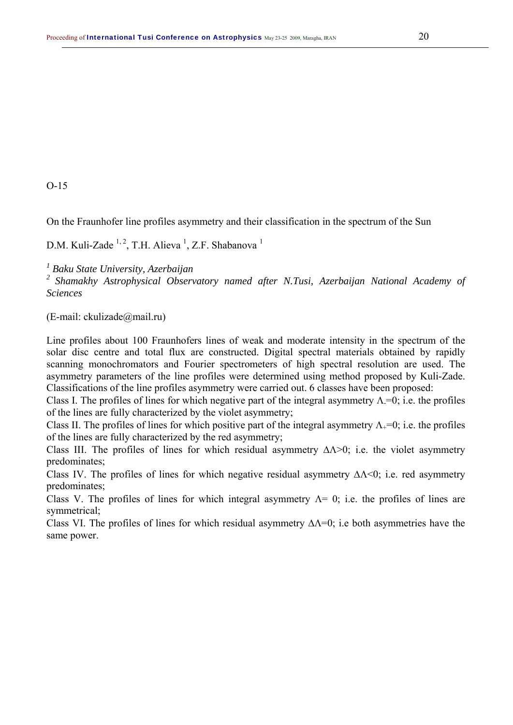On the Fraunhofer line profiles asymmetry and their classification in the spectrum of the Sun

D.M. Kuli-Zade<sup>1, 2</sup>, T.H. Alieva<sup>1</sup>, Z.F. Shabanova<sup>1</sup>

*1 Baku State University, Azerbaijan* 

*2 Shamakhy Astrophysical Observatory named after N.Tusi, Azerbaijan National Academy of Sciences* 

(E-mail: ckulizade@mail.ru)

Line profiles about 100 Fraunhofers lines of weak and moderate intensity in the spectrum of the solar disc centre and total flux are constructed. Digital spectral materials obtained by rapidly scanning monochromators and Fourier spectrometers of high spectral resolution are used. The asymmetry parameters of the line profiles were determined using method proposed by Kuli-Zade. Classifications of the line profiles asymmetry were carried out. 6 classes have been proposed:

Class I. The profiles of lines for which negative part of the integral asymmetry  $\Lambda$ =0; i.e. the profiles of the lines are fully characterized by the violet asymmetry;

Class II. The profiles of lines for which positive part of the integral asymmetry  $\Lambda_{+}=0$ ; i.e. the profiles of the lines are fully characterized by the red asymmetry;

Class III. The profiles of lines for which residual asymmetry  $\Delta\Lambda > 0$ ; i.e. the violet asymmetry predominates;

Class IV. The profiles of lines for which negative residual asymmetry  $\Delta\Lambda$ <0; i.e. red asymmetry predominates;

Class V. The profiles of lines for which integral asymmetry  $\Lambda$ = 0; i.e. the profiles of lines are symmetrical;

Class VI. The profiles of lines for which residual asymmetry  $\Delta\Lambda = 0$ ; i.e both asymmetries have the same power.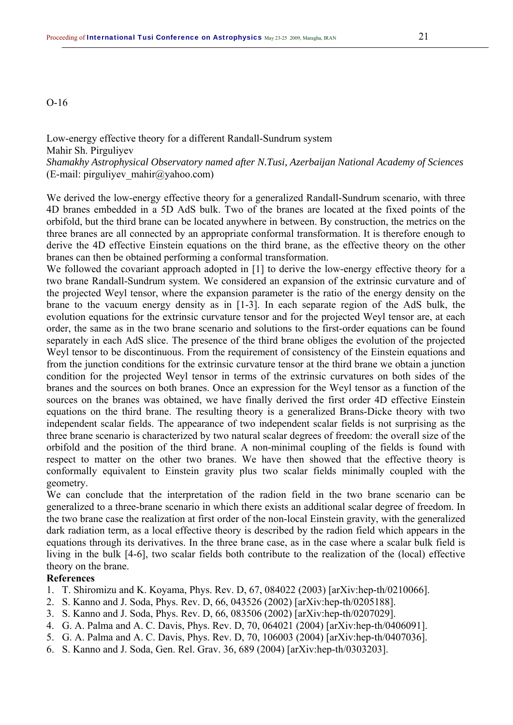## Low-energy effective theory for a different Randall-Sundrum system Mahir Sh. Pirguliyev *Shamakhy Astrophysical Observatory named after N.Tusi, Azerbaijan National Academy of Sciences*  (E-mail: pirguliyev\_mahir@yahoo.com)

We derived the low-energy effective theory for a generalized Randall-Sundrum scenario, with three 4D branes embedded in a 5D AdS bulk. Two of the branes are located at the fixed points of the orbifold, but the third brane can be located anywhere in between. By construction, the metrics on the three branes are all connected by an appropriate conformal transformation. It is therefore enough to derive the 4D effective Einstein equations on the third brane, as the effective theory on the other branes can then be obtained performing a conformal transformation.

We followed the covariant approach adopted in [1] to derive the low-energy effective theory for a two brane Randall-Sundrum system. We considered an expansion of the extrinsic curvature and of the projected Weyl tensor, where the expansion parameter is the ratio of the energy density on the brane to the vacuum energy density as in [1-3]. In each separate region of the AdS bulk, the evolution equations for the extrinsic curvature tensor and for the projected Weyl tensor are, at each order, the same as in the two brane scenario and solutions to the first-order equations can be found separately in each AdS slice. The presence of the third brane obliges the evolution of the projected Weyl tensor to be discontinuous. From the requirement of consistency of the Einstein equations and from the junction conditions for the extrinsic curvature tensor at the third brane we obtain a junction condition for the projected Weyl tensor in terms of the extrinsic curvatures on both sides of the branes and the sources on both branes. Once an expression for the Weyl tensor as a function of the sources on the branes was obtained, we have finally derived the first order 4D effective Einstein equations on the third brane. The resulting theory is a generalized Brans-Dicke theory with two independent scalar fields. The appearance of two independent scalar fields is not surprising as the three brane scenario is characterized by two natural scalar degrees of freedom: the overall size of the orbifold and the position of the third brane. A non-minimal coupling of the fields is found with respect to matter on the other two branes. We have then showed that the effective theory is conformally equivalent to Einstein gravity plus two scalar fields minimally coupled with the geometry.

We can conclude that the interpretation of the radion field in the two brane scenario can be generalized to a three-brane scenario in which there exists an additional scalar degree of freedom. In the two brane case the realization at first order of the non-local Einstein gravity, with the generalized dark radiation term, as a local effective theory is described by the radion field which appears in the equations through its derivatives. In the three brane case, as in the case where a scalar bulk field is living in the bulk [4-6], two scalar fields both contribute to the realization of the (local) effective theory on the brane.

#### **References**

- 1. T. Shiromizu and K. Koyama, Phys. Rev. D, 67, 084022 (2003) [arXiv:hep-th/0210066].
- 2. S. Kanno and J. Soda, Phys. Rev. D, 66, 043526 (2002) [arXiv:hep-th/0205188].
- 3. S. Kanno and J. Soda, Phys. Rev. D, 66, 083506 (2002) [arXiv:hep-th/0207029].
- 4. G. A. Palma and A. C. Davis, Phys. Rev. D, 70, 064021 (2004) [arXiv:hep-th/0406091].
- 5. G. A. Palma and A. C. Davis, Phys. Rev. D, 70, 106003 (2004) [arXiv:hep-th/0407036].
- 6. S. Kanno and J. Soda, Gen. Rel. Grav. 36, 689 (2004) [arXiv:hep-th/0303203].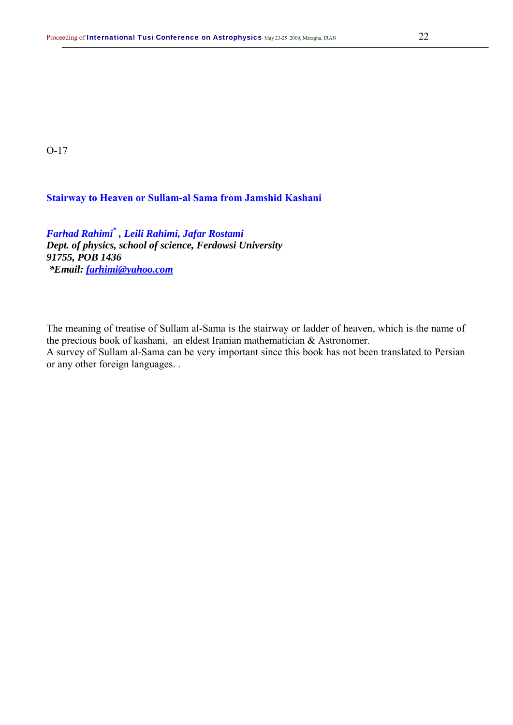#### **Stairway to Heaven or Sullam-al Sama from Jamshid Kashani**

*Farhad Rahimi\* , Leili Rahimi, Jafar Rostami Dept. of physics, school of science, Ferdowsi University 91755, POB 1436 \*Email: farhimi@yahoo.com*

The meaning of treatise of Sullam al-Sama is the stairway or ladder of heaven, which is the name of the precious book of kashani, an eldest Iranian mathematician & Astronomer.

A survey of Sullam al-Sama can be very important since this book has not been translated to Persian or any other foreign languages. .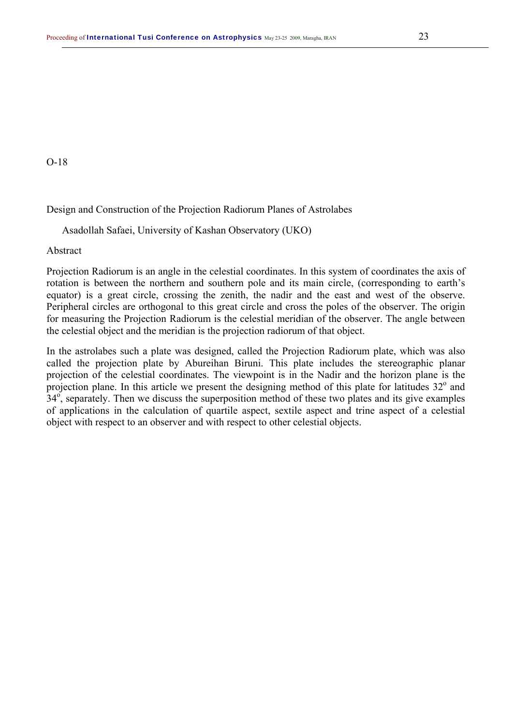Design and Construction of the Projection Radiorum Planes of Astrolabes

Asadollah Safaei, University of Kashan Observatory (UKO)

Abstract

Projection Radiorum is an angle in the celestial coordinates. In this system of coordinates the axis of rotation is between the northern and southern pole and its main circle, (corresponding to earth's equator) is a great circle, crossing the zenith, the nadir and the east and west of the observe. Peripheral circles are orthogonal to this great circle and cross the poles of the observer. The origin for measuring the Projection Radiorum is the celestial meridian of the observer. The angle between the celestial object and the meridian is the projection radiorum of that object.

In the astrolabes such a plate was designed, called the Projection Radiorum plate, which was also called the projection plate by Abureihan Biruni. This plate includes the stereographic planar projection of the celestial coordinates. The viewpoint is in the Nadir and the horizon plane is the projection plane. In this article we present the designing method of this plate for latitudes  $32^{\circ}$  and  $34^\circ$ , separately. Then we discuss the superposition method of these two plates and its give examples of applications in the calculation of quartile aspect, sextile aspect and trine aspect of a celestial object with respect to an observer and with respect to other celestial objects.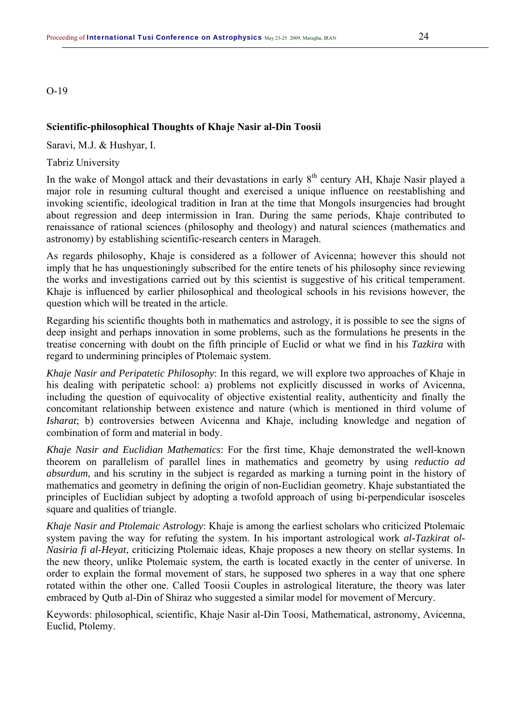#### **Scientific-philosophical Thoughts of Khaje Nasir al-Din Toosii**

Saravi, M.J. & Hushyar, I.

#### Tabriz University

In the wake of Mongol attack and their devastations in early  $8<sup>th</sup>$  century AH, Khaje Nasir played a major role in resuming cultural thought and exercised a unique influence on reestablishing and invoking scientific, ideological tradition in Iran at the time that Mongols insurgencies had brought about regression and deep intermission in Iran. During the same periods, Khaje contributed to renaissance of rational sciences (philosophy and theology) and natural sciences (mathematics and astronomy) by establishing scientific-research centers in Marageh.

As regards philosophy, Khaje is considered as a follower of Avicenna; however this should not imply that he has unquestioningly subscribed for the entire tenets of his philosophy since reviewing the works and investigations carried out by this scientist is suggestive of his critical temperament. Khaje is influenced by earlier philosophical and theological schools in his revisions however, the question which will be treated in the article.

Regarding his scientific thoughts both in mathematics and astrology, it is possible to see the signs of deep insight and perhaps innovation in some problems, such as the formulations he presents in the treatise concerning with doubt on the fifth principle of Euclid or what we find in his *Tazkira* with regard to undermining principles of Ptolemaic system.

*Khaje Nasir and Peripatetic Philosophy*: In this regard, we will explore two approaches of Khaje in his dealing with peripatetic school: a) problems not explicitly discussed in works of Avicenna, including the question of equivocality of objective existential reality, authenticity and finally the concomitant relationship between existence and nature (which is mentioned in third volume of *Isharat*; b) controversies between Avicenna and Khaje, including knowledge and negation of combination of form and material in body.

*Khaje Nasir and Euclidian Mathematics*: For the first time, Khaje demonstrated the well-known theorem on parallelism of parallel lines in mathematics and geometry by using *reductio ad absurdum*, and his scrutiny in the subject is regarded as marking a turning point in the history of mathematics and geometry in defining the origin of non-Euclidian geometry. Khaje substantiated the principles of Euclidian subject by adopting a twofold approach of using bi-perpendicular isosceles square and qualities of triangle.

*Khaje Nasir and Ptolemaic Astrology*: Khaje is among the earliest scholars who criticized Ptolemaic system paving the way for refuting the system. In his important astrological work *al-Tazkirat ol-Nasiria fi al-Heyat*, criticizing Ptolemaic ideas, Khaje proposes a new theory on stellar systems. In the new theory, unlike Ptolemaic system, the earth is located exactly in the center of universe. In order to explain the formal movement of stars, he supposed two spheres in a way that one sphere rotated within the other one. Called Toosii Couples in astrological literature, the theory was later embraced by Qutb al-Din of Shiraz who suggested a similar model for movement of Mercury.

Keywords: philosophical, scientific, Khaje Nasir al-Din Toosi, Mathematical, astronomy, Avicenna, Euclid, Ptolemy.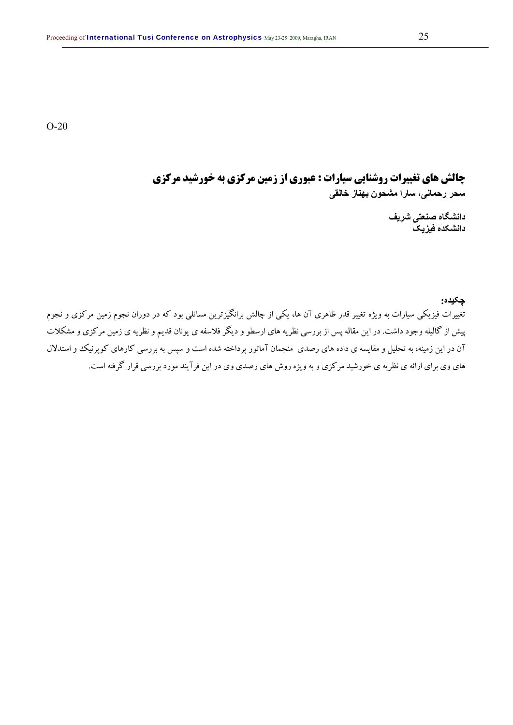**چالش هاي تغييرات روشنايي سيارات : عبوري از زمين مركزي به خورشيد مركزي سحر رحمانی، سارا مشحون بهناز خالقی** 

> **دانشگاه صنعتی شريف دانشکده فيزيک**

> > **چکيده:**

تغييرات فيزيكي سيارات به ويژه تغيير قدر ظاهري آن ها، يكي از چالش برانگيزترين مسائلي بود كه در دوران نجوم زمين مركزي و نجوم پيش از گاليله وجود داشت. در اين مقاله پس از بررسي نظريه هاي ارسطو و ديگر فلاسفه ي يونان قديم و نظريه ي زمين مركزي و مشكلات آن در اين زمينه، به تحليل و مقايسه ي داده هاي رصدي منجمان آماتور پرداخته شده است و سپس به بررسي كارهاي كوپرنيك و استدلال هاي وي براي ارائه ي نظريه ي خورشيد مركزي و به ويژه روش هاي رصدي وي در اين فرآيند مورد بررسي قرار گرفته است.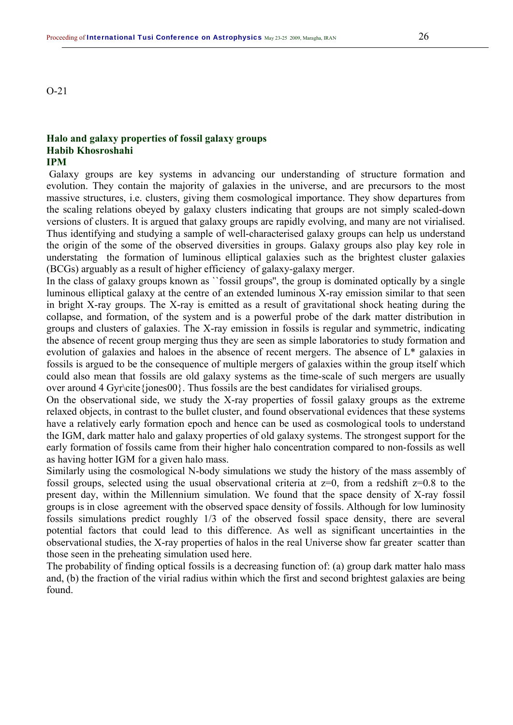# **Halo and galaxy properties of fossil galaxy groups Habib Khosroshahi**

#### **IPM**

 Galaxy groups are key systems in advancing our understanding of structure formation and evolution. They contain the majority of galaxies in the universe, and are precursors to the most massive structures, i.e. clusters, giving them cosmological importance. They show departures from the scaling relations obeyed by galaxy clusters indicating that groups are not simply scaled-down versions of clusters. It is argued that galaxy groups are rapidly evolving, and many are not virialised. Thus identifying and studying a sample of well-characterised galaxy groups can help us understand the origin of the some of the observed diversities in groups. Galaxy groups also play key role in understating the formation of luminous elliptical galaxies such as the brightest cluster galaxies (BCGs) arguably as a result of higher efficiency of galaxy-galaxy merger.

In the class of galaxy groups known as "fossil groups", the group is dominated optically by a single luminous elliptical galaxy at the centre of an extended luminous X-ray emission similar to that seen in bright X-ray groups. The X-ray is emitted as a result of gravitational shock heating during the collapse, and formation, of the system and is a powerful probe of the dark matter distribution in groups and clusters of galaxies. The X-ray emission in fossils is regular and symmetric, indicating the absence of recent group merging thus they are seen as simple laboratories to study formation and evolution of galaxies and haloes in the absence of recent mergers. The absence of L\* galaxies in fossils is argued to be the consequence of multiple mergers of galaxies within the group itself which could also mean that fossils are old galaxy systems as the time-scale of such mergers are usually over around 4 Gyr\cite{jones00}. Thus fossils are the best candidates for virialised groups.

On the observational side, we study the X-ray properties of fossil galaxy groups as the extreme relaxed objects, in contrast to the bullet cluster, and found observational evidences that these systems have a relatively early formation epoch and hence can be used as cosmological tools to understand the IGM, dark matter halo and galaxy properties of old galaxy systems. The strongest support for the early formation of fossils came from their higher halo concentration compared to non-fossils as well as having hotter IGM for a given halo mass.

Similarly using the cosmological N-body simulations we study the history of the mass assembly of fossil groups, selected using the usual observational criteria at  $z=0$ , from a redshift  $z=0.8$  to the present day, within the Millennium simulation. We found that the space density of X-ray fossil groups is in close agreement with the observed space density of fossils. Although for low luminosity fossils simulations predict roughly 1/3 of the observed fossil space density, there are several potential factors that could lead to this difference. As well as significant uncertainties in the observational studies, the X-ray properties of halos in the real Universe show far greater scatter than those seen in the preheating simulation used here.

The probability of finding optical fossils is a decreasing function of: (a) group dark matter halo mass and, (b) the fraction of the virial radius within which the first and second brightest galaxies are being found.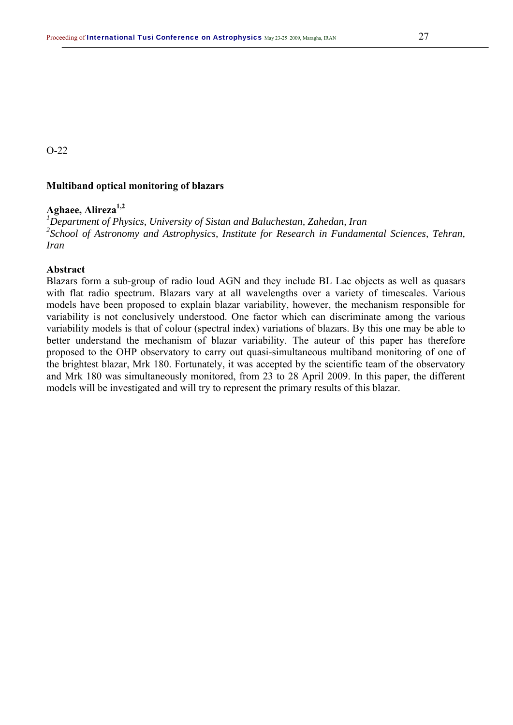#### **Multiband optical monitoring of blazars**

# **Aghaee, Alireza1,2**

*1 Department of Physics, University of Sistan and Baluchestan, Zahedan, Iran*  <sup>2</sup> School of Astronomy and Astrophysics, Institute for Research in Fundamental Sciences, Tehran, *Iran* 

#### **Abstract**

Blazars form a sub-group of radio loud AGN and they include BL Lac objects as well as quasars with flat radio spectrum. Blazars vary at all wavelengths over a variety of timescales. Various models have been proposed to explain blazar variability, however, the mechanism responsible for variability is not conclusively understood. One factor which can discriminate among the various variability models is that of colour (spectral index) variations of blazars. By this one may be able to better understand the mechanism of blazar variability. The auteur of this paper has therefore proposed to the OHP observatory to carry out quasi-simultaneous multiband monitoring of one of the brightest blazar, Mrk 180. Fortunately, it was accepted by the scientific team of the observatory and Mrk 180 was simultaneously monitored, from 23 to 28 April 2009. In this paper, the different models will be investigated and will try to represent the primary results of this blazar.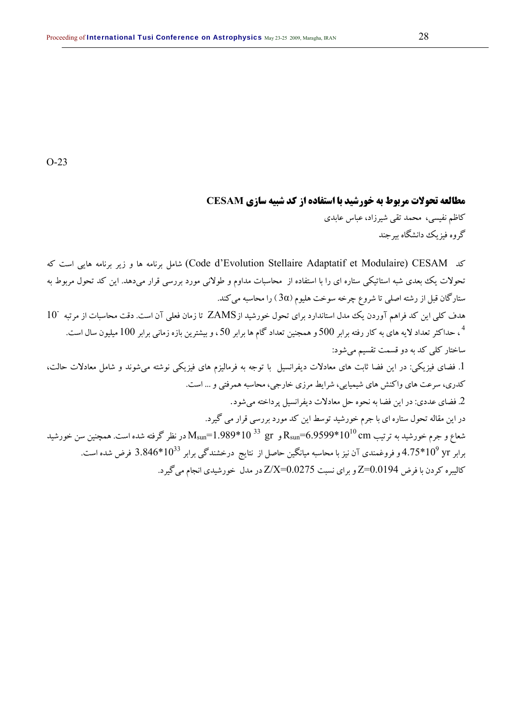# **مطالعه تحولات مربوط به خورشيد با استفاده از كد شبيه سازي CESAM**  كاظم نفيسي، محمد تقي شيرزاد، عباس عابدي گروه فيزيك دانشگاه بيرجند

كد CESAM) Modulaire et Adaptatif Stellaire Evolution'd Code (شامل برنامه ها و زير برنامه هايي است كه تحولات يك بعدي شبه استاتيكي ستاره اي را با استفاده از محاسبات مداوم و طولاني مورد بررسي قرار مي دهد. اين كد تحول مربوط به ستارگان قبل از رشته اصلي تا شروع چرخه سوخت هليوم ( $3\alpha$  ) را محاسبه مي كند.

- هدف كلي اين كد فراهم آوردن يك مدل استاندارد براي تحول خورشيد ازZAMS تا زمان فعلي آن است. دقت محاسبات از مرتبه 10 ، حداكثرتعداد لايه هاي به كار رفته برابر 500 و همجنين تعداد گام ها برابر 50 ، و بيشترين بازه زماني برابر 100 ميليون سال است. <sup>4</sup> ساختار كلي كد به دو قسمت تقسيم ميشود: .1 فضاي فيزيكي: در اين فضا ثابت هاي معادلات ديفرانسيل با توجه به فرماليزم هاي فيزيكي نوشته ميشوند و شامل معادلات حالت، كدري، سرعت هاي واكنش هاي شيميايي، شرايط مرزي خارجي، محاسبه همرفتي و... است. .2 فضاي عددي: در اين فضا به نحوه حل معادلات ديفرانسيل پرداخته ميشود.

در اين مقاله تحول ستاره اي با جرم خورشيد توسط اين كد مورد بررسي قرار مي گيرد. شعاع و جرم خورشيد به ترتيب R $_{\rm sun}$ 6.9599 $\rm R_{\rm sun}$ و  $\rm g$   $\rm g$ 10  $\rm M_{\rm sun}$ در نظر گرفته شده است. همچنين سن خورشيد  $\rm R_{\rm sun}$ برابر  $10^9\,$  yr و فروغمندی آن نيز با محاسبه ميانگين حاصل از نتايج درخشندگي برابر  $10^{33}$ 3.846 فرض شده است. كاليبره كردن با فرض 2=0.0194 و براي نسبت 2/X=0.0275 در مدل خورشيدي انجام مي گيرد.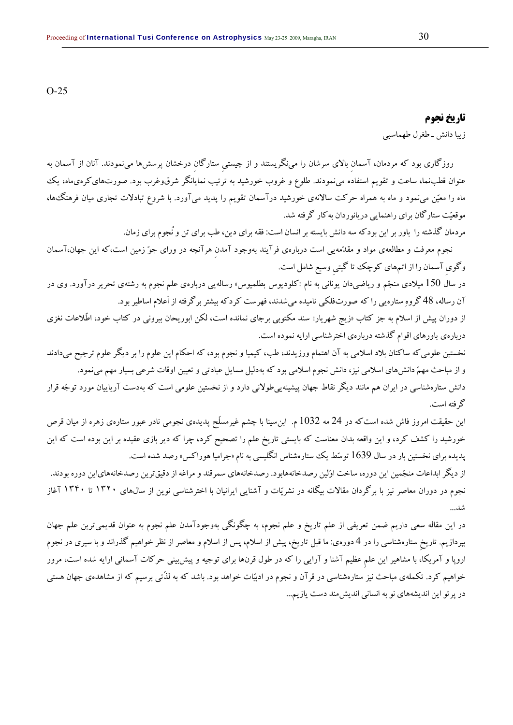#### **تاريخ نجوم**

گرفته است.

زيبا دانش ـ طغرل طهماسبي

 روزگاري بود كه مردمان، آسمانِ بالاي سرشان را مينگريستند و از چيستيِ ستارگانِ درخشان پرسشها مينمودند. آنان از آسمان به عنوان قطبنما، ساعت و تقويم استفاده مي $\omega$ مودند. طلوع و غروب خورشيد به ترتيب نمايانگر شرق $e$ وغرب بود. صورتهاي كرهىماه، يك ماه را معين مينمود و ماه به همراه حركت سالانهي خورشيد درآسمان تقويم را پديد ميآورد. با شروع تبادلات تجاري ميان فرهنگها، موقعيت ستارگان براي راهنمايي دريانوردان بهكار گرفته شد.

مردمان گذشته را باور بر اين بودكه سه دانش بايسته بر انسان است: فقه براي دين، طب براي تن و نُجوم براي زمان.

 نجوم معرفت و مطالعهي مواد و مقدمهيي است دربارهي فرآيند بهوجود آمدنِ هرآنچه در وراي جو زمين است،كه اين جهان،آسمان وگويِ آسمان را از اتمهاي كوچك تا گيتيِ وسيع شامل است.

در سال 150 ميلادي منجم و رياضيدان يوناني به نام «كلوديوس بطلميوس» رسالهيي دربارهي علم نجوم به رشتهي تحرير درآورد. وي در آن رساله، 48 گروه ستارهيي را كه صورتفلكي ناميده ميشدند، فهرست كردكه بيشتربرگرفته از اَعلام اساطيربود.

از دوران پيش از اسلام به جز كتاب «زيج شهريار» سند مكتوبي برجاي نمانده است، لكن ابوريحان بيروني در كتاب خود، اطّلاعات نغزي دربارهي باورهاي اقوام گذشته دربارهي اخترشناسي ارايه نموده است.

نخستين علوميكه ساكنان بلاد اسلامي به آن اهتمام ورزيدند، طب، كيميا و نجوم بود، كه احكام اين علوم را بر ديگر علوم ترجيح ميدادند و از مباحث مهم دانشهاي اسلامي نيز، دانش نجوم اسلامي بود كه بهدليل مسايل عبادتي وتعيين اوقات شرعي بسيار مهم مينمود. دانش ستارهشناسي در ايران هم مانند ديگر نقاط جهان پيشينهييطولاني دارد و از نخستين علومي است كه بهدست آرياييان مورد توجه قرار

اين حقيقت امروز فاش شده استكه در 24 مه 1032 م. ابنسينا با چشم غيرمسلّح پديدهي نجومي نادر عبور ستارهي زهره از ميان قرص خورشيد را كشف كرد، و اين واقعه بدان معناست كه بايستي تاريخ علم را تصحيح كرد، چرا كه دير بازي عقيده بر اين بوده است كه اين پديده براي نخستين بار در سال 1639 توسط يك ستارهشناس انگليسي به نام «جراميا هوراكس» رصد شده است.

از ديگر ابداعات منجمين اين دوره، ساخت اولين رصدخانههابود. رصدخانههاي سمرقند و مراغه از دقيقترين رصدخانههاياين دوره بودند. نجوم در دوران معاصر نيز با برگردان مقالات بيگانه در نشريات و آشنايي ايرانيان با اخترشناسي نوين از سالهاي ١٣٢٠ تا ١٣۴٠ آغاز شد...

در اين مقاله سعي داريم ضمن تعريفي از علم تاريخ و علم نجوم، به چگونگي بهوجودآمدن علم نجوم به عنوان قديميترين علم جهان بپردازيم. تاريخِ ستارهشناسي را در 4 دورهي: ما قبل تاريخ، پيش از اسلام، پس از اسلام و معاصر از نظر خواهيم گذراند و با سيري در نجوم اروپا و آمريكا، با مشاهير اين علمِ عظيم آشنا و آرايي را كه در طول قرنها براي توجيه و پيشبيني حركات آسماني ارايه شده است، مرور خواهيم كرد. تكملهي مباحث نيز ستارهشناسي در قرآن و نجوم در ادبيات خواهد بود. باشد كه به لذّتي برسيم كه از مشاهدهي جهان هستي در پرتو اين انديشههاي نو به انساني انديشمند دست يازيم...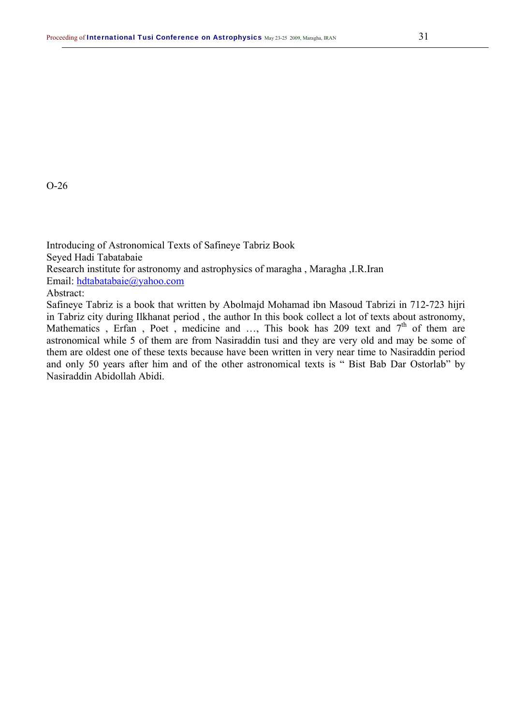Introducing of Astronomical Texts of Safineye Tabriz Book Seyed Hadi Tabatabaie Research institute for astronomy and astrophysics of maragha , Maragha ,I.R.Iran Email: hdtabatabaie@yahoo.com Abstract: Safineye Tabriz is a book that written by Abolmajd Mohamad ibn Masoud Tabrizi in 712-723 hijri

in Tabriz city during Ilkhanat period , the author In this book collect a lot of texts about astronomy, Mathematics , Erfan , Poet , medicine and ..., This book has 209 text and  $7<sup>th</sup>$  of them are astronomical while 5 of them are from Nasiraddin tusi and they are very old and may be some of them are oldest one of these texts because have been written in very near time to Nasiraddin period and only 50 years after him and of the other astronomical texts is " Bist Bab Dar Ostorlab" by Nasiraddin Abidollah Abidi.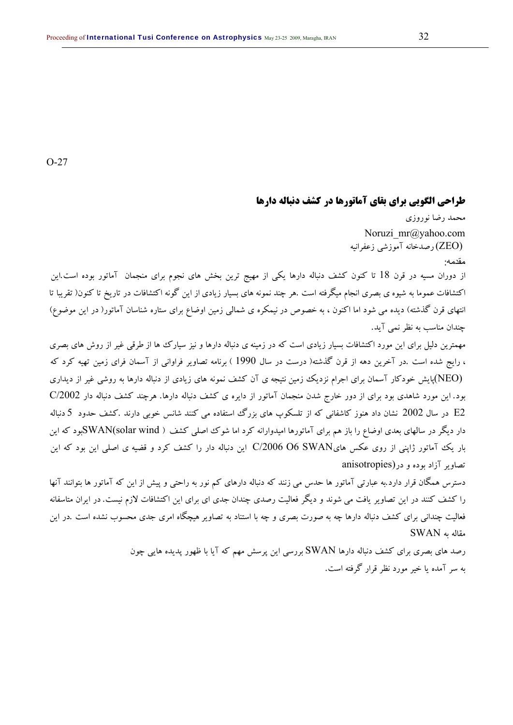## **طراحي الگويي براي بقاي آماتورها در كشف دنباله دارها**

محمد رضا نوروزي Noruzi mr@yahoo.com (ZEO (رصدخانه آموزشي زعفرانيه مقدمه:

از دوران مسيه در قرن 18 تا كنون كشف دنباله دارها يكي از مهيج ترين بخش هاي نجوم براي منجمان آماتور بوده است.اين اكتشافات عموما به شيوه ي بصري انجام ميگرفته است .هر چند نمونه هاي بسيار زيادي از اين گونه اكتشافات در تاريخ تا كنون( تقريبا تا انتهاي قرن گذشته) ديده مي شود اما اكنون ، به خصوص در نيمكره ي شمالي زمين اوضاع براي ستاره شناسان آماتور( در اين موضوع) چندان مناسب به نظر نمي آيد.

مهمترين دليل براي اين مورد اكتشافات بسيار زيادي است كه در زمينه ي دنباله دارها و نيز سيارك ها از طرقي غير از روش هاي بصري ، رايج شده است .در آخرين دهه از قرن گذشته( درست در سال 1990 ) برنامه تصاوير فراواني از آسمان فراي زمين تهيه كرد كه (NEO(پايش خودكار آسمان براي اجرام نزديك زمين نتيجه ي آن كشف نمونه هاي زيادي از دنباله دارها به روشي غير از ديداري بود. اين مورد شاهدي بود براي از دور خارج شدن منجمان آماتور از دايره ي كشف دنباله دارها. هرچند كشف دنباله دار /2002C 2E در سال 2002 نشان داد هنوز كاشفاني كه از تلسكوپ هاي بزرگ استفاده مي كنند شانس خوبي دارند .كشف حدود 5 دنباله دار ديگر در سالهای بعدی اوضاع را باز هم برای آماتورها اميدوارانه كرد اما شوك اصلي كشف ( WAN(solar windود كه اين بار يك آماتور ژاپني از روي عكس هايSWAN 6O /2006C اين دنباله دار را كشف كرد و قضيه ي اصلي اين بود كه اين تصاوير آزاد بوده و در(anisotropies

دسترس همگان قرار دارد.به عبارتي آماتور ها حدس مي زنند كه دنباله دارهاي كم نور به راحتي و پيش از اين كه آماتور ها بتوانند آنها را كشف كنند در اين تصاوير يافت مي شوند و ديگر فعاليت رصدي چندان جدي اي براي اين اكتشافات لازم نيست. در ايران متاسفانه فعاليت چنداني براي كشف دنباله دارها چه به صورت بصري و چه با استناد به تصاوير هيچگاه امري جدي محسوب نشده است .در اين مقاله به SWAN

> رصد هاي بصري براي كشف دنباله دارها SWAN بررسي اين پرسش مهم كه آيا با ظهور پديده هايي چون به سر آمده يا خير مورد نظر قرار گرفته است.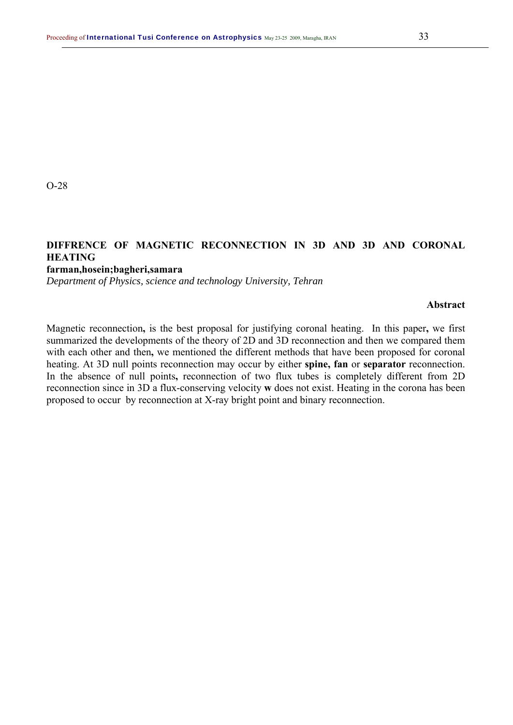# **DIFFRENCE OF MAGNETIC RECONNECTION IN 3D AND 3D AND CORONAL HEATING**

## **farman,hosein;bagheri,samara**

*Department of Physics, science and technology University, Tehran* 

**Abstract**

Magnetic reconnection**,** is the best proposal for justifying coronal heating. In this paper**,** we first summarized the developments of the theory of 2D and 3D reconnection and then we compared them with each other and then**,** we mentioned the different methods that have been proposed for coronal heating. At 3D null points reconnection may occur by either **spine, fan** or **separator** reconnection. In the absence of null points**,** reconnection of two flux tubes is completely different from 2D reconnection since in 3D a flux-conserving velocity **w** does not exist. Heating in the corona has been proposed to occur by reconnection at X-ray bright point and binary reconnection.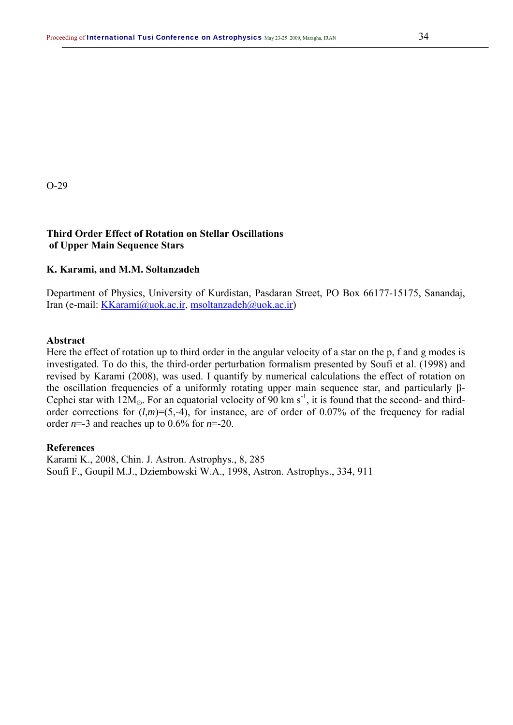#### **Third Order Effect of Rotation on Stellar Oscillations of Upper Main Sequence Stars**

#### **K. Karami, and M.M. Soltanzadeh**

Department of Physics, University of Kurdistan, Pasdaran Street, PO Box 66177-15175, Sanandaj, Iran (e-mail: KKarami@uok.ac.ir, msoltanzadeh@uok.ac.ir)

#### **Abstract**

Here the effect of rotation up to third order in the angular velocity of a star on the p, f and g modes is investigated. To do this, the third-order perturbation formalism presented by Soufi et al. (1998) and revised by Karami (2008), was used. I quantify by numerical calculations the effect of rotation on the oscillation frequencies of a uniformly rotating upper main sequence star, and particularly β-Cephei star with  $12M_{\odot}$ . For an equatorial velocity of 90 km s<sup>-1</sup>, it is found that the second- and thirdorder corrections for  $(l,m)=(5,-4)$ , for instance, are of order of 0.07% of the frequency for radial order *n*=-3 and reaches up to 0.6% for *n*=-20.

#### **References**

Karami K., 2008, Chin. J. Astron. Astrophys., 8, 285 Soufi F., Goupil M.J., Dziembowski W.A., 1998, Astron. Astrophys., 334, 911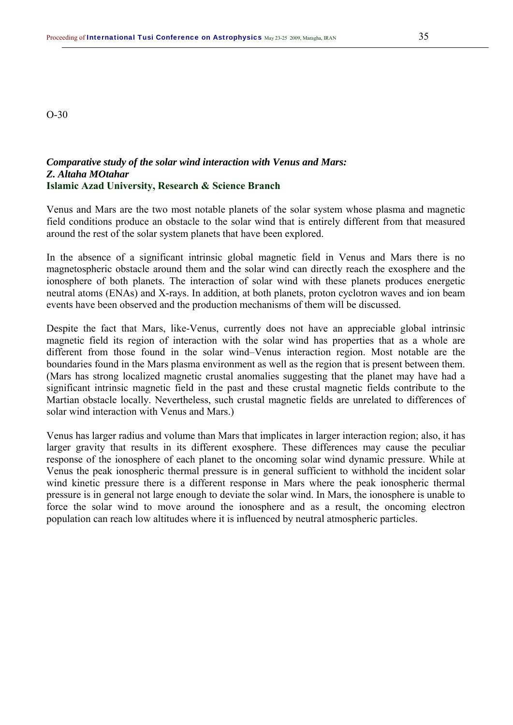#### *Comparative study of the solar wind interaction with Venus and Mars: Z. Altaha MOtahar*  **Islamic Azad University, Research & Science Branch**

Venus and Mars are the two most notable planets of the solar system whose plasma and magnetic field conditions produce an obstacle to the solar wind that is entirely different from that measured around the rest of the solar system planets that have been explored.

In the absence of a significant intrinsic global magnetic field in Venus and Mars there is no magnetospheric obstacle around them and the solar wind can directly reach the exosphere and the ionosphere of both planets. The interaction of solar wind with these planets produces energetic neutral atoms (ENAs) and X-rays. In addition, at both planets, proton cyclotron waves and ion beam events have been observed and the production mechanisms of them will be discussed.

Despite the fact that Mars, like-Venus, currently does not have an appreciable global intrinsic magnetic field its region of interaction with the solar wind has properties that as a whole are different from those found in the solar wind–Venus interaction region. Most notable are the boundaries found in the Mars plasma environment as well as the region that is present between them. (Mars has strong localized magnetic crustal anomalies suggesting that the planet may have had a significant intrinsic magnetic field in the past and these crustal magnetic fields contribute to the Martian obstacle locally. Nevertheless, such crustal magnetic fields are unrelated to differences of solar wind interaction with Venus and Mars.)

Venus has larger radius and volume than Mars that implicates in larger interaction region; also, it has larger gravity that results in its different exosphere. These differences may cause the peculiar response of the ionosphere of each planet to the oncoming solar wind dynamic pressure. While at Venus the peak ionospheric thermal pressure is in general sufficient to withhold the incident solar wind kinetic pressure there is a different response in Mars where the peak ionospheric thermal pressure is in general not large enough to deviate the solar wind. In Mars, the ionosphere is unable to force the solar wind to move around the ionosphere and as a result, the oncoming electron population can reach low altitudes where it is influenced by neutral atmospheric particles.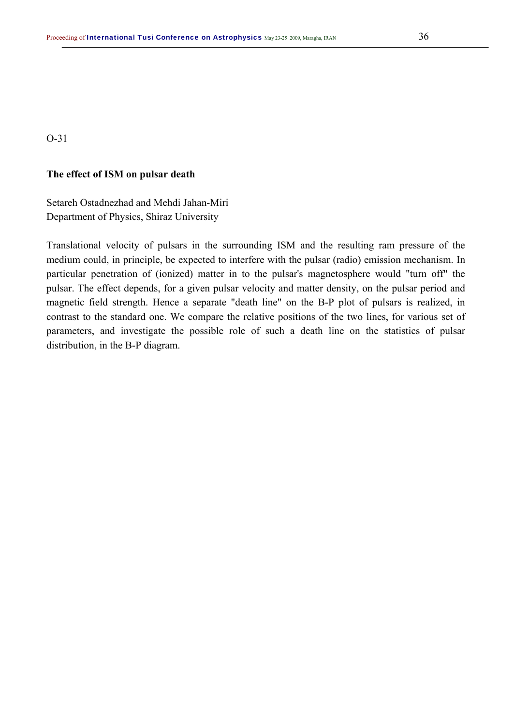#### **The effect of ISM on pulsar death**

Setareh Ostadnezhad and Mehdi Jahan-Miri Department of Physics, Shiraz University

Translational velocity of pulsars in the surrounding ISM and the resulting ram pressure of the medium could, in principle, be expected to interfere with the pulsar (radio) emission mechanism. In particular penetration of (ionized) matter in to the pulsar's magnetosphere would "turn off" the pulsar. The effect depends, for a given pulsar velocity and matter density, on the pulsar period and magnetic field strength. Hence a separate "death line" on the B-P plot of pulsars is realized, in contrast to the standard one. We compare the relative positions of the two lines, for various set of parameters, and investigate the possible role of such a death line on the statistics of pulsar distribution, in the B-P diagram.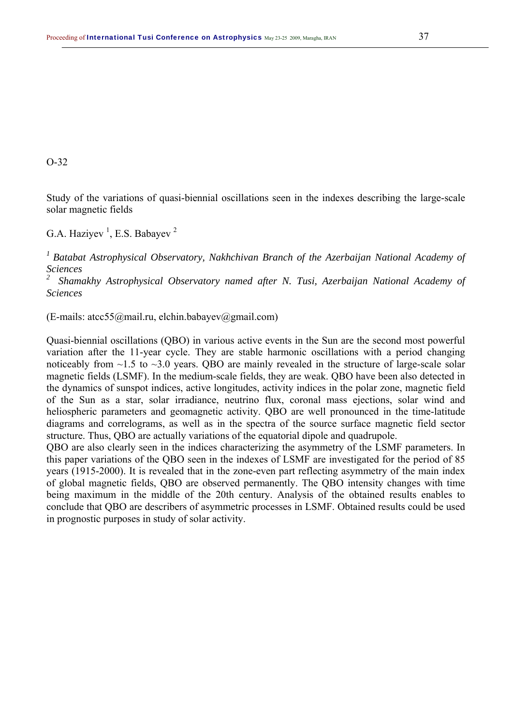Study of the variations of quasi-biennial oscillations seen in the indexes describing the large-scale solar magnetic fields

G.A. Haziyev<sup>1</sup>, E.S. Babayev<sup>2</sup>

*<sup>1</sup> Batabat Astrophysical Observatory, Nakhchivan Branch of the Azerbaijan National Academy of Sciences* 

*2 Shamakhy Astrophysical Observatory named after N. Tusi, Azerbaijan National Academy of Sciences* 

 $(E\text{-mails: } \text{atcc55} @ mail.ru, elchin.babayev@gmail.com)$ 

Quasi-biennial oscillations (QBO) in various active events in the Sun are the second most powerful variation after the 11-year cycle. They are stable harmonic oscillations with a period changing noticeably from  $\sim$ 1.5 to  $\sim$ 3.0 years. QBO are mainly revealed in the structure of large-scale solar magnetic fields (LSMF). In the medium-scale fields, they are weak. QBO have been also detected in the dynamics of sunspot indices, active longitudes, activity indices in the polar zone, magnetic field of the Sun as a star, solar irradiance, neutrino flux, coronal mass ejections, solar wind and heliospheric parameters and geomagnetic activity. QBO are well pronounced in the time-latitude diagrams and correlograms, as well as in the spectra of the source surface magnetic field sector structure. Thus, QBO are actually variations of the equatorial dipole and quadrupole.

QBO are also clearly seen in the indices characterizing the asymmetry of the LSMF parameters. In this paper variations of the QBO seen in the indexes of LSMF are investigated for the period of 85 years (1915-2000). It is revealed that in the zone-even part reflecting asymmetry of the main index of global magnetic fields, QBO are observed permanently. The QBO intensity changes with time being maximum in the middle of the 20th century. Analysis of the obtained results enables to conclude that QBO are describers of asymmetric processes in LSMF. Obtained results could be used in prognostic purposes in study of solar activity.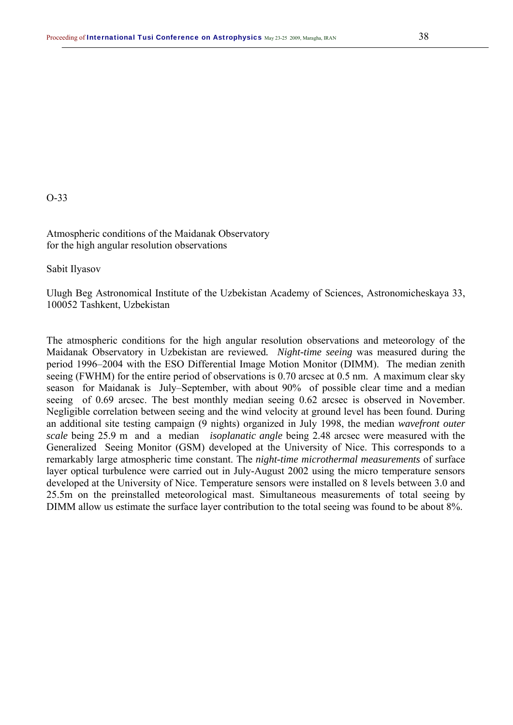Atmospheric conditions of the Maidanak Observatory for the high angular resolution observations

Sabit Ilyasov

Ulugh Beg Astronomical Institute of the Uzbekistan Academy of Sciences, Astronomicheskaya 33, 100052 Tashkent, Uzbekistan

The atmospheric conditions for the high angular resolution observations and meteorology of the Maidanak Observatory in Uzbekistan are reviewed*. Night-time seeing* was measured during the period 1996–2004 with the ESO Differential Image Motion Monitor (DIMM). The median zenith seeing (FWHM) for the entire period of observations is 0.70 arcsec at 0.5 nm. A maximum clear sky season for Maidanak is July–September, with about 90% of possible clear time and a median seeing of 0.69 arcsec. The best monthly median seeing 0.62 arcsec is observed in November. Negligible correlation between seeing and the wind velocity at ground level has been found. During an additional site testing campaign (9 nights) organized in July 1998, the median *wavefront outer scale* being 25.9 m and a median *isoplanatic angle* being 2.48 arcsec were measured with the Generalized Seeing Monitor (GSM) developed at the University of Nice. This corresponds to a remarkably large atmospheric time constant. The *night-time microthermal measurements* of surface layer optical turbulence were carried out in July-August 2002 using the micro temperature sensors developed at the University of Nice. Temperature sensors were installed on 8 levels between 3.0 and 25.5m on the preinstalled meteorological mast. Simultaneous measurements of total seeing by DIMM allow us estimate the surface layer contribution to the total seeing was found to be about 8%.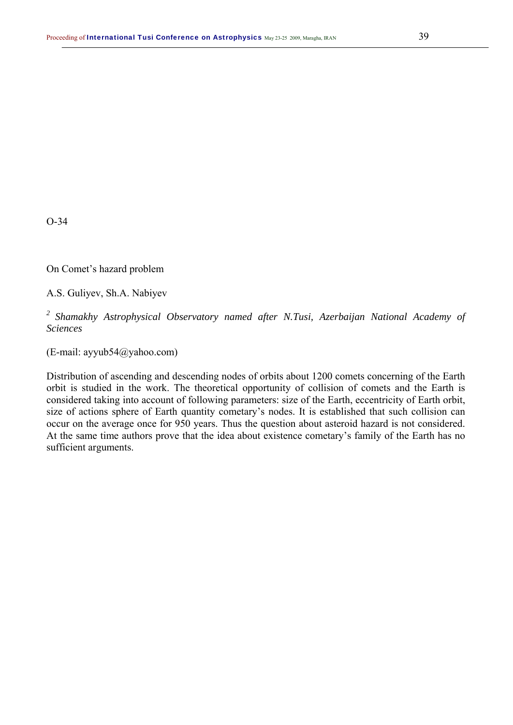On Comet's hazard problem

A.S. Guliyev, Sh.A. Nabiyev

*2 Shamakhy Astrophysical Observatory named after N.Tusi, Azerbaijan National Academy of Sciences* 

(E-mail: ayyub54@yahoo.com)

Distribution of ascending and descending nodes of orbits about 1200 comets concerning of the Earth orbit is studied in the work. The theoretical opportunity of collision of comets and the Earth is considered taking into account of following parameters: size of the Earth, eccentricity of Earth orbit, size of actions sphere of Earth quantity cometary's nodes. It is established that such collision can occur on the average once for 950 years. Thus the question about asteroid hazard is not considered. At the same time authors prove that the idea about existence cometary's family of the Earth has no sufficient arguments.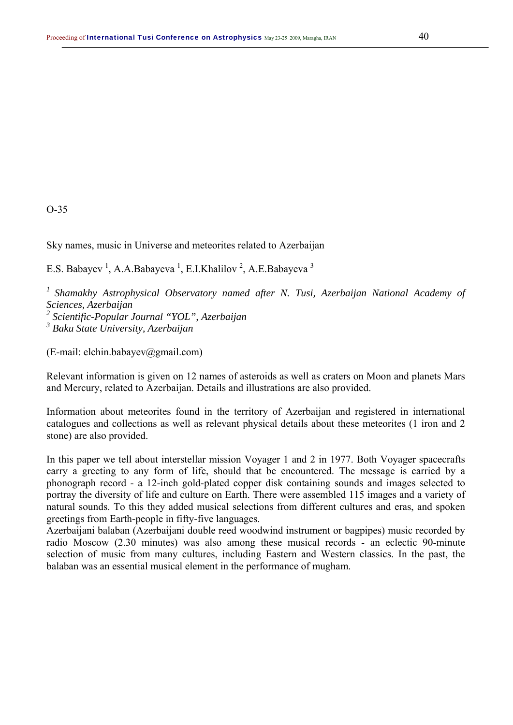Sky names, music in Universe and meteorites related to Azerbaijan

E.S. Babayev<sup>1</sup>, A.A.Babayeva<sup>1</sup>, E.I.Khalilov<sup>2</sup>, A.E.Babayeva<sup>3</sup>

*1 Shamakhy Astrophysical Observatory named after N. Tusi, Azerbaijan National Academy of Sciences, Azerbaijan* 

*2 Scientific-Popular Journal "YOL", Azerbaijan* 

*3 Baku State University, Azerbaijan* 

(E-mail: elchin.babayev@gmail.com)

Relevant information is given on 12 names of asteroids as well as craters on Moon and planets Mars and Mercury, related to Azerbaijan. Details and illustrations are also provided.

Information about meteorites found in the territory of Azerbaijan and registered in international catalogues and collections as well as relevant physical details about these meteorites (1 iron and 2 stone) are also provided.

In this paper we tell about interstellar mission Voyager 1 and 2 in 1977. Both Voyager spacecrafts carry a greeting to any form of life, should that be encountered. The message is carried by a phonograph record - a 12-inch gold-plated copper disk containing sounds and images selected to portray the diversity of life and culture on Earth. There were assembled 115 images and a variety of natural sounds. To this they added musical selections from different cultures and eras, and spoken greetings from Earth-people in fifty-five languages.

Azerbaijani balaban (Azerbaijani double reed woodwind instrument or bagpipes) music recorded by radio Moscow (2.30 minutes) was also among these musical records - an eclectic 90-minute selection of music from many cultures, including Eastern and Western classics. In the past, the balaban was an essential musical element in the performance of mugham.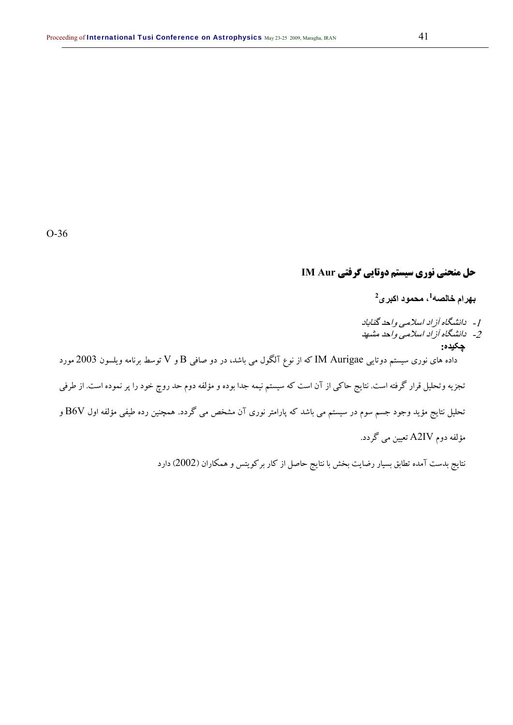# **حل منحني نوري سيستم دوتايي گرفتي Aur IM**

**<sup>2</sup>، محمود اکبری <sup>1</sup> بهرام خالصه**

-1 دانشگاه آزاد اسلامی واحد گناباد -2 دانشگاه آزاد اسلامی واحد مشهد **چکيده:**  داده هاي نوري سيستم دوتايي Aurigae IM كه از نوع آلگول مي باشد، در دو صافي B و V توسط برنامه ويلسون 2003 مورد تجزيه وتحليل قرار گرفته است. نتايج حاكي از آن است كه سيستم نيمه جدا بوده و مؤلفه دوم حد روچ خود را پر نموده است. از طرفي تحليل نتايج مؤيد وجود جسم سوم در سيستم مي باشد كه پارامتر نوري آن مشخص مي گردد. همچنين رده طيفي مؤلفه اول V6B و مؤلفه دوم IV2A تعيين مي گردد.

نتايج بدست آمده تطابق بسيار رضايت بخش با نتايج حاصل از كار بركويتس و همكاران (2002) دارد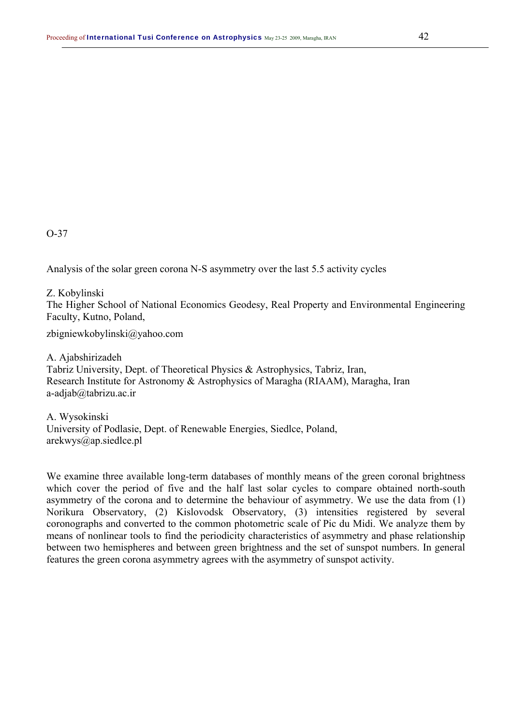Analysis of the solar green corona N-S asymmetry over the last 5.5 activity cycles

Z. Kobylinski

The Higher School of National Economics Geodesy, Real Property and Environmental Engineering Faculty, Kutno, Poland,

zbigniewkobylinski@yahoo.com

A. Ajabshirizadeh Tabriz University, Dept. of Theoretical Physics & Astrophysics, Tabriz, Iran, Research Institute for Astronomy & Astrophysics of Maragha (RIAAM), Maragha, Iran a-adjab@tabrizu.ac.ir

A. Wysokinski University of Podlasie, Dept. of Renewable Energies, Siedlce, Poland, arekwys@ap.siedlce.pl

We examine three available long-term databases of monthly means of the green coronal brightness which cover the period of five and the half last solar cycles to compare obtained north-south asymmetry of the corona and to determine the behaviour of asymmetry. We use the data from (1) Norikura Observatory, (2) Kislovodsk Observatory, (3) intensities registered by several coronographs and converted to the common photometric scale of Pic du Midi. We analyze them by means of nonlinear tools to find the periodicity characteristics of asymmetry and phase relationship between two hemispheres and between green brightness and the set of sunspot numbers. In general features the green corona asymmetry agrees with the asymmetry of sunspot activity.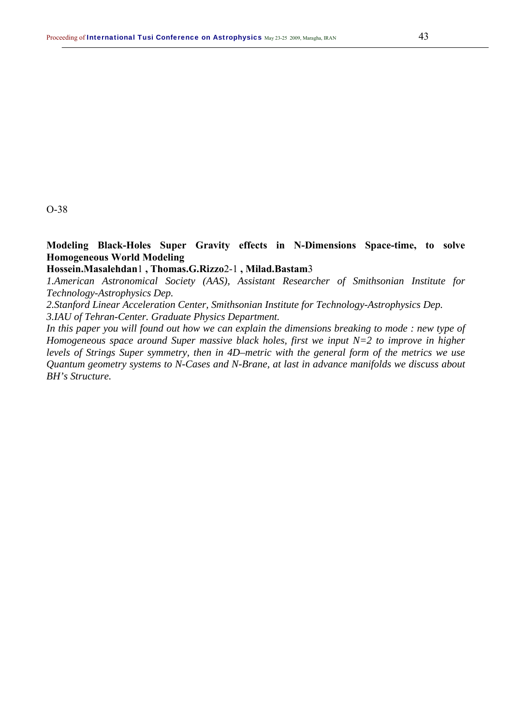# **Modeling Black-Holes Super Gravity effects in N-Dimensions Space-time, to solve Homogeneous World Modeling**

# **Hossein.Masalehdan**1 **, Thomas.G.Rizzo**2-1 **, Milad.Bastam**3

*1.American Astronomical Society (AAS), Assistant Researcher of Smithsonian Institute for Technology-Astrophysics Dep.* 

*2.Stanford Linear Acceleration Center, Smithsonian Institute for Technology-Astrophysics Dep.* 

*3.IAU of Tehran-Center. Graduate Physics Department.* 

In this paper you will found out how we can explain the dimensions breaking to mode : new type of *Homogeneous space around Super massive black holes, first we input N=2 to improve in higher levels of Strings Super symmetry, then in 4D–metric with the general form of the metrics we use Quantum geometry systems to N-Cases and N-Brane, at last in advance manifolds we discuss about BH's Structure.*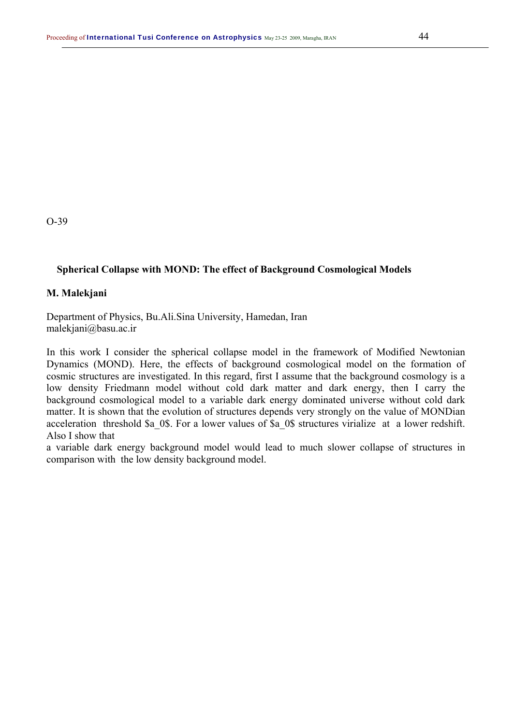### **Spherical Collapse with MOND: The effect of Background Cosmological Models**

### **M. Malekjani**

Department of Physics, Bu.Ali.Sina University, Hamedan, Iran malekjani@basu.ac.ir

In this work I consider the spherical collapse model in the framework of Modified Newtonian Dynamics (MOND). Here, the effects of background cosmological model on the formation of cosmic structures are investigated. In this regard, first I assume that the background cosmology is a low density Friedmann model without cold dark matter and dark energy, then I carry the background cosmological model to a variable dark energy dominated universe without cold dark matter. It is shown that the evolution of structures depends very strongly on the value of MONDian acceleration threshold \$a\_0\$. For a lower values of \$a\_0\$ structures virialize at a lower redshift. Also I show that

a variable dark energy background model would lead to much slower collapse of structures in comparison with the low density background model.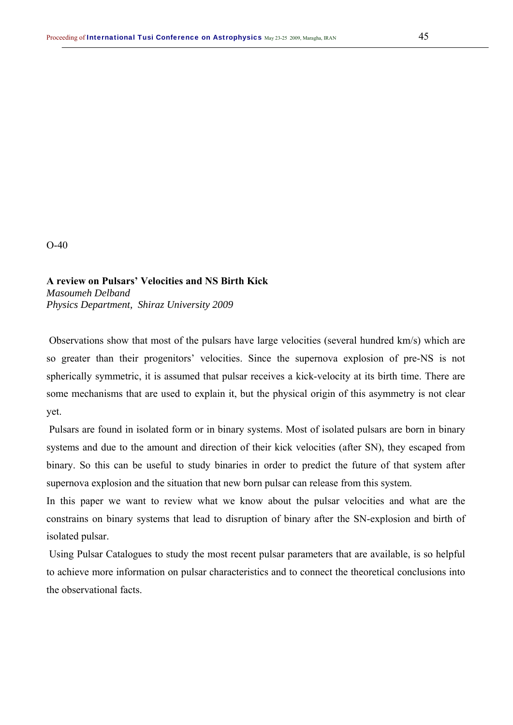**A review on Pulsars' Velocities and NS Birth Kick**  *Masoumeh Delband Physics Department, Shiraz University 2009* 

 Observations show that most of the pulsars have large velocities (several hundred km/s) which are so greater than their progenitors' velocities. Since the supernova explosion of pre-NS is not spherically symmetric, it is assumed that pulsar receives a kick-velocity at its birth time. There are some mechanisms that are used to explain it, but the physical origin of this asymmetry is not clear yet.

 Pulsars are found in isolated form or in binary systems. Most of isolated pulsars are born in binary systems and due to the amount and direction of their kick velocities (after SN), they escaped from binary. So this can be useful to study binaries in order to predict the future of that system after supernova explosion and the situation that new born pulsar can release from this system.

In this paper we want to review what we know about the pulsar velocities and what are the constrains on binary systems that lead to disruption of binary after the SN-explosion and birth of isolated pulsar.

 Using Pulsar Catalogues to study the most recent pulsar parameters that are available, is so helpful to achieve more information on pulsar characteristics and to connect the theoretical conclusions into the observational facts.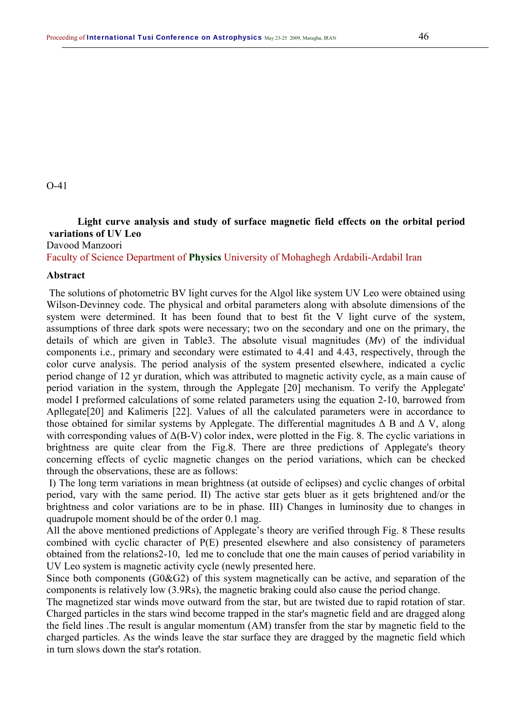# **Light curve analysis and study of surface magnetic field effects on the orbital period variations of UV Leo**

Davood Manzoori

Faculty of Science Department of **Physics** University of Mohaghegh Ardabili-Ardabil Iran

#### **Abstract**

 The solutions of photometric BV light curves for the Algol like system UV Leo were obtained using Wilson-Devinney code. The physical and orbital parameters along with absolute dimensions of the system were determined. It has been found that to best fit the V light curve of the system, assumptions of three dark spots were necessary; two on the secondary and one on the primary, the details of which are given in Table3. The absolute visual magnitudes (*Mv*) of the individual components i.e., primary and secondary were estimated to 4.41 and 4.43, respectively, through the color curve analysis. The period analysis of the system presented elsewhere, indicated a cyclic period change of 12 yr duration, which was attributed to magnetic activity cycle, as a main cause of period variation in the system, through the Applegate [20] mechanism. To verify the Applegate' model I preformed calculations of some related parameters using the equation 2-10, barrowed from Apllegate[20] and Kalimeris [22]. Values of all the calculated parameters were in accordance to those obtained for similar systems by Applegate. The differential magnitudes  $\Delta$  B and  $\Delta$  V, along with corresponding values of  $\Delta$ (B-V) color index, were plotted in the Fig. 8. The cyclic variations in brightness are quite clear from the Fig.8. There are three predictions of Applegate's theory concerning effects of cyclic magnetic changes on the period variations, which can be checked through the observations, these are as follows:

 I) The long term variations in mean brightness (at outside of eclipses) and cyclic changes of orbital period, vary with the same period. II) The active star gets bluer as it gets brightened and/or the brightness and color variations are to be in phase. III) Changes in luminosity due to changes in quadrupole moment should be of the order 0.1 mag.

All the above mentioned predictions of Applegate's theory are verified through Fig. 8 These results combined with cyclic character of P(E) presented elsewhere and also consistency of parameters obtained from the relations2-10, led me to conclude that one the main causes of period variability in UV Leo system is magnetic activity cycle (newly presented here.

Since both components (G0&G2) of this system magnetically can be active, and separation of the components is relatively low (3.9Rs), the magnetic braking could also cause the period change.

The magnetized star winds move outward from the star, but are twisted due to rapid rotation of star. Charged particles in the stars wind become trapped in the star's magnetic field and are dragged along the field lines .The result is angular momentum (AM) transfer from the star by magnetic field to the charged particles. As the winds leave the star surface they are dragged by the magnetic field which in turn slows down the star's rotation.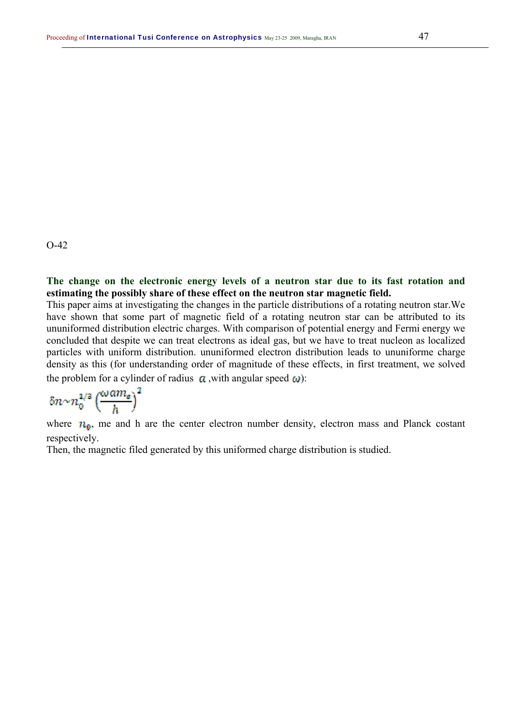# **The change on the electronic energy levels of a neutron star due to its fast rotation and estimating the possibly share of these effect on the neutron star magnetic field.**

This paper aims at investigating the changes in the particle distributions of a rotating neutron star.We have shown that some part of magnetic field of a rotating neutron star can be attributed to its ununiformed distribution electric charges. With comparison of potential energy and Fermi energy we concluded that despite we can treat electrons as ideal gas, but we have to treat nucleon as localized particles with uniform distribution. ununiformed electron distribution leads to ununiforme charge density as this (for understanding order of magnitude of these effects, in first treatment, we solved the problem for a cylinder of radius  $\alpha$ , with angular speed  $\omega$ ):

$$
\delta n{\sim}n_0^{1/2}\left(\frac{\omega a m_e}{h}\right)^2
$$

where  $n_{\rm 0}$ , me and h are the center electron number density, electron mass and Planck costant respectively.

Then, the magnetic filed generated by this uniformed charge distribution is studied.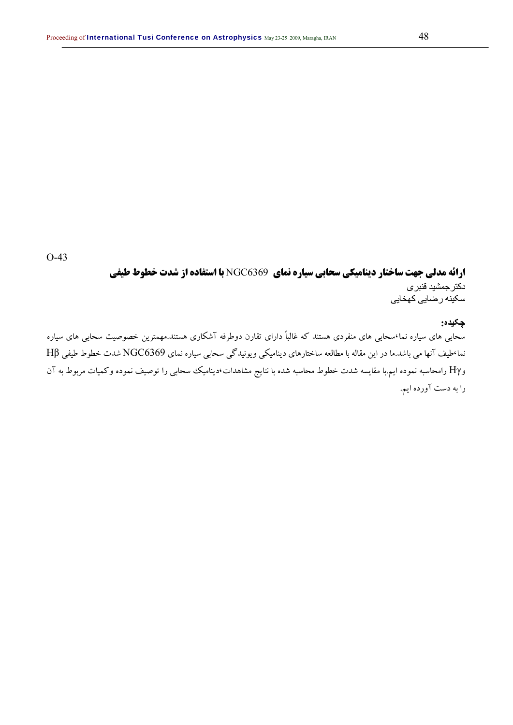# **ارائه مدلي جهت ساختار ديناميكي سحابي سياره نماي** 6369NGC **با استفاده از شدت خطوط طيفي**  دکترجمشيد قنبری سکينه رضايی کهخايی

### **چکيده:**

سحابي هاي سياره نما،سحابي هاي منفردي هستند كه غالباً داراي تقارن دوطرفه آشكاري هستند.مهمترين خصوصيت سحابي هاي سياره نما،طيف آنها مي باشد.ما در اين مقاله با مطالعه ساختارهاي ديناميكي ويونيدگي سحابي سياره نماي 6369NGC شدت خطوط طيفي Hβ وHγ رامحاسبه نموده ايم.با مقايسه شدت خطوط محاسبه شده با نتايج مشاهدات،ديناميك سحابي را توصيف نموده وكميات مربوط به آن را به دست آورده ايم.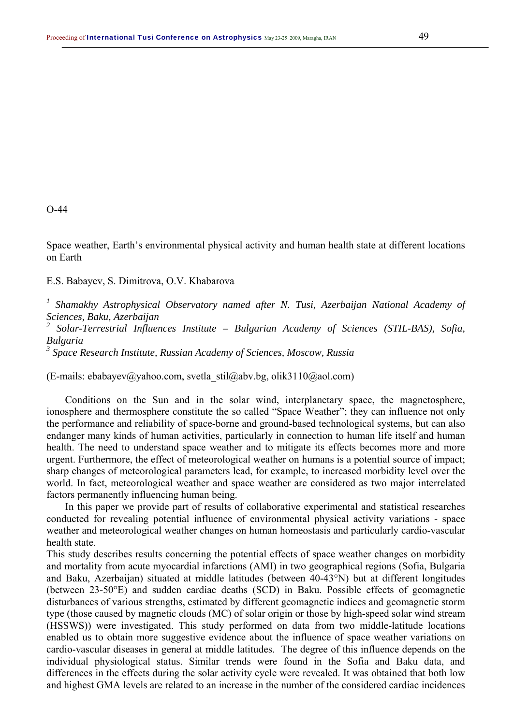Space weather, Earth's environmental physical activity and human health state at different locations on Earth

### E.S. Babayev, S. Dimitrova, O.V. Khabarova

<sup>1</sup> Shamakhy Astrophysical Observatory named after N. Tusi, Azerbaijan National Academy of *Sciences, Baku, Azerbaijan* 

*2 Solar-Terrestrial Influences Institute – Bulgarian Academy of Sciences (STIL-BAS), Sofia, Bulgaria* 

*3 Space Research Institute, Russian Academy of Sciences, Moscow, Russia* 

(E-mails: ebabayev@yahoo.com, svetla\_stil@abv.bg, olik3110@aol.com)

Conditions on the Sun and in the solar wind, interplanetary space, the magnetosphere, ionosphere and thermosphere constitute the so called "Space Weather"; they can influence not only the performance and reliability of space-borne and ground-based technological systems, but can also endanger many kinds of human activities, particularly in connection to human life itself and human health. The need to understand space weather and to mitigate its effects becomes more and more urgent. Furthermore, the effect of meteorological weather on humans is a potential source of impact; sharp changes of meteorological parameters lead, for example, to increased morbidity level over the world. In fact, meteorological weather and space weather are considered as two major interrelated factors permanently influencing human being.

In this paper we provide part of results of collaborative experimental and statistical researches conducted for revealing potential influence of environmental physical activity variations - space weather and meteorological weather changes on human homeostasis and particularly cardio-vascular health state.

This study describes results concerning the potential effects of space weather changes on morbidity and mortality from acute myocardial infarctions (AMI) in two geographical regions (Sofia, Bulgaria and Baku, Azerbaijan) situated at middle latitudes (between 40-43°N) but at different longitudes (between 23-50°E) and sudden cardiac deaths (SCD) in Baku. Possible effects of geomagnetic disturbances of various strengths, estimated by different geomagnetic indices and geomagnetic storm type (those caused by magnetic clouds (MC) of solar origin or those by high-speed solar wind stream (HSSWS)) were investigated. This study performed on data from two middle-latitude locations enabled us to obtain more suggestive evidence about the influence of space weather variations on cardio-vascular diseases in general at middle latitudes. The degree of this influence depends on the individual physiological status. Similar trends were found in the Sofia and Baku data, and differences in the effects during the solar activity cycle were revealed. It was obtained that both low and highest GMA levels are related to an increase in the number of the considered cardiac incidences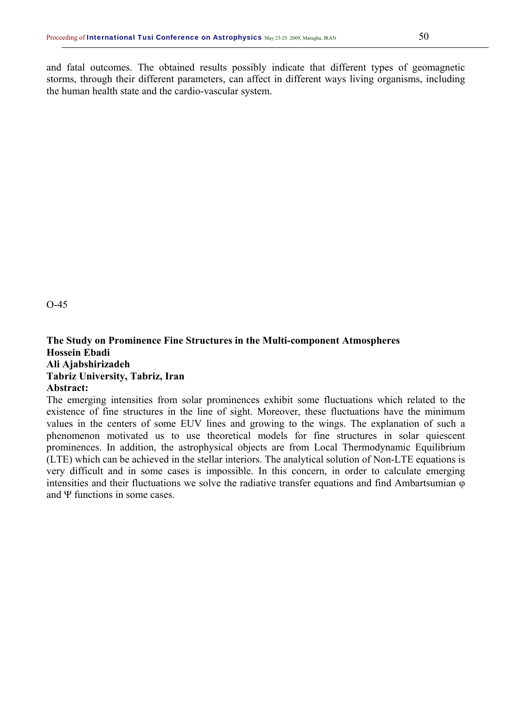and fatal outcomes. The obtained results possibly indicate that different types of geomagnetic storms, through their different parameters, can affect in different ways living organisms, including the human health state and the cardio-vascular system.

O-45

### **The Study on Prominence Fine Structures in the Multi-component Atmospheres Hossein Ebadi Ali Ajabshirizadeh Tabriz University, Tabriz, Iran Abstract:**

The emerging intensities from solar prominences exhibit some fluctuations which related to the existence of fine structures in the line of sight. Moreover, these fluctuations have the minimum values in the centers of some EUV lines and growing to the wings. The explanation of such a phenomenon motivated us to use theoretical models for fine structures in solar quiescent prominences. In addition, the astrophysical objects are from Local Thermodynamic Equilibrium (LTE) which can be achieved in the stellar interiors. The analytical solution of Non-LTE equations is very difficult and in some cases is impossible. In this concern, in order to calculate emerging intensities and their fluctuations we solve the radiative transfer equations and find Ambartsumian φ and Ψ functions in some cases.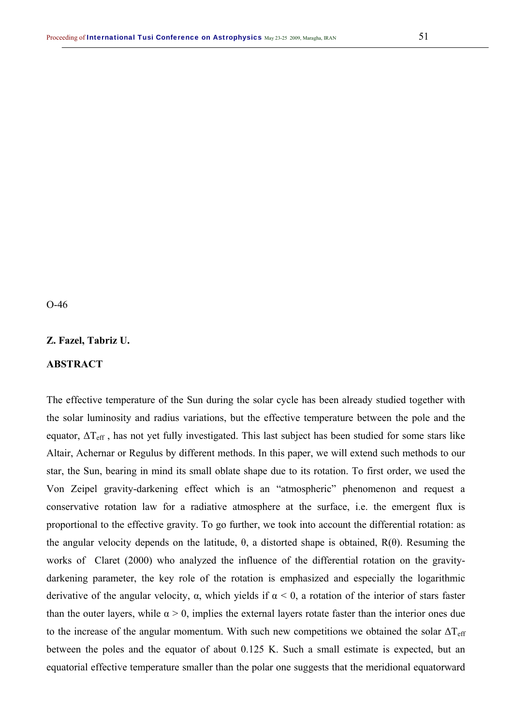### **Z. Fazel, Tabriz U.**

# **ABSTRACT**

The effective temperature of the Sun during the solar cycle has been already studied together with the solar luminosity and radius variations, but the effective temperature between the pole and the equator,  $\Delta T_{\text{eff}}$ , has not yet fully investigated. This last subject has been studied for some stars like Altair, Achernar or Regulus by different methods. In this paper, we will extend such methods to our star, the Sun, bearing in mind its small oblate shape due to its rotation. To first order, we used the Von Zeipel gravity-darkening effect which is an "atmospheric" phenomenon and request a conservative rotation law for a radiative atmosphere at the surface, i.e. the emergent flux is proportional to the effective gravity. To go further, we took into account the differential rotation: as the angular velocity depends on the latitude,  $θ$ , a distorted shape is obtained, R( $θ$ ). Resuming the works of Claret (2000) who analyzed the influence of the differential rotation on the gravitydarkening parameter, the key role of the rotation is emphasized and especially the logarithmic derivative of the angular velocity,  $\alpha$ , which yields if  $\alpha$  < 0, a rotation of the interior of stars faster than the outer layers, while  $\alpha > 0$ , implies the external layers rotate faster than the interior ones due to the increase of the angular momentum. With such new competitions we obtained the solar  $\Delta T_{\text{eff}}$ between the poles and the equator of about 0.125 K. Such a small estimate is expected, but an equatorial effective temperature smaller than the polar one suggests that the meridional equatorward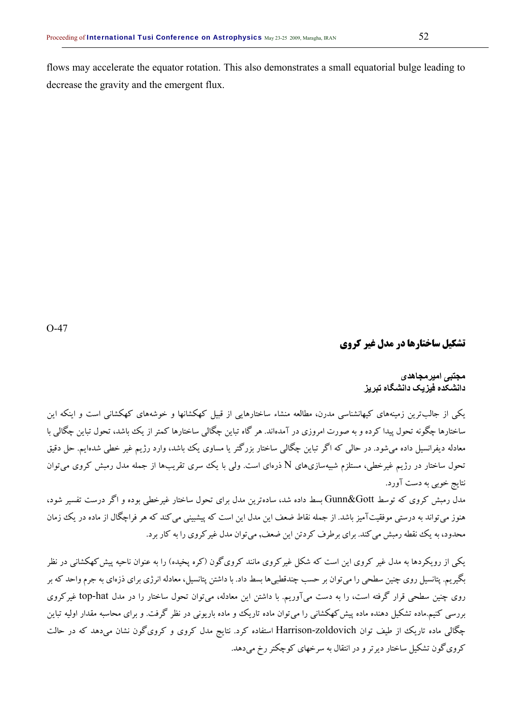flows may accelerate the equator rotation. This also demonstrates a small equatorial bulge leading to decrease the gravity and the emergent flux.

# **تشكيل ساختارها در مدل غير كروي**

**مجتبی اميرمجاهدی دانشکده فيزيک دانشگاه تبريز** 

يكي از جالبترين زمينههاي كيهانشناسي مدرن، مطالعه منشاء ساختارهايي از قبيل كهكشانها و خوشههاي كهكشاني است و اينكه اين ساختارها چگونه تحول پيدا كرده و به صورت امروزي در آمدهاند. هر گاه تباين چگالي ساختارها كمتر از يك باشد، تحول تباين چگالي با معادله ديفرانسيل داده ميشود. در حالي كه اگر تباين چگالي ساختار بزرگتر يا مساوي يك باشد، وارد رژيم غير خطي شدهايم. حل دقيق تحول ساختار در رژيم غيرخطي، مستلزم شبيهسازيهاي N ذرهاي است. ولي با يك سري تقريبها از جمله مدل رمبش كروي ميتوان نتايج خوبي به دست آورد.

مدل رمبش كروي كه توسط Gott&Gunn بسط داده شد، سادهترين مدل براي تحول ساختار غيرخطي بوده و اگر درست تفسير شود، هنوز ميتواند به درستي موفقيتآميز باشد. از جمله نقاط ضعف اين مدل اين است كه پيشبيني ميكند كه هر فراچگال از ماده در يك زمان محدود، به يك نقطه رمبش ميكند. براي برطرف كردتن اين ضعف, ميتوان مدل غيركروي را به كار برد.

يكي از رويكردها به مدل غير كروي اين است كه شكل غيركروي مانند كرويگون (كره پخيده) را به عنوان ناحيه پيشكهكشاني در نظر بگيريم. پتانسيل روي چنين سطحي را ميتوان بر حسب چندقطبيها بسط داد. با داشتن پتانسيل، معادله انرژي براي ذزهاي به جرم واحد كه بر روي چنين سطحي قرار گرفته است، را به دست ميآوريم. با داشتن اين معادله، ميتوان تحول ساختار را در مدل hat-top غيركروي بررسي كنيم.ماده تشكيل دهنده ماده پيشكهكشاني را ميتوان ماده تاريك و ماده باريوني در نظر گرفت. و براي محاسبه مقدار اوليه تباين چگالي ماده تاريك از طيف توان zoldovich-Harrison استفاده كرد. نتايج مدل كروي و كرويگون نشان ميدهد كه در حالت كرويگون تشكيل ساختار ديرتر و در انتقال به سرخهاي كوچكتر رخ مي دهد.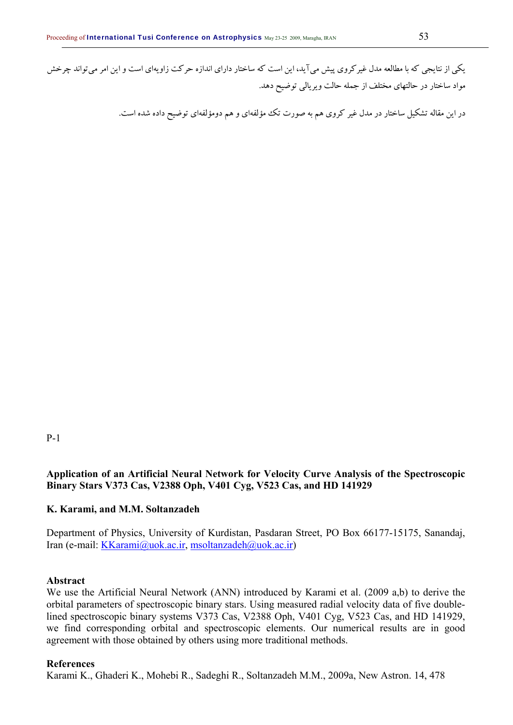در اين مقاله تشكيل ساختار در مدل غير كروي هم به صورت تك مؤلفهاي و هم دومؤلفهاي توضيح داده شده است.

P-1

# **Application of an Artificial Neural Network for Velocity Curve Analysis of the Spectroscopic Binary Stars V373 Cas, V2388 Oph, V401 Cyg, V523 Cas, and HD 141929**

# **K. Karami, and M.M. Soltanzadeh**

Department of Physics, University of Kurdistan, Pasdaran Street, PO Box 66177-15175, Sanandaj, Iran (e-mail: KKarami@uok.ac.ir, msoltanzadeh@uok.ac.ir)

### **Abstract**

We use the Artificial Neural Network (ANN) introduced by Karami et al. (2009 a,b) to derive the orbital parameters of spectroscopic binary stars. Using measured radial velocity data of five doublelined spectroscopic binary systems V373 Cas, V2388 Oph, V401 Cyg, V523 Cas, and HD 141929, we find corresponding orbital and spectroscopic elements. Our numerical results are in good agreement with those obtained by others using more traditional methods.

### **References**

Karami K., Ghaderi K., Mohebi R., Sadeghi R., Soltanzadeh M.M., 2009a, New Astron. 14, 478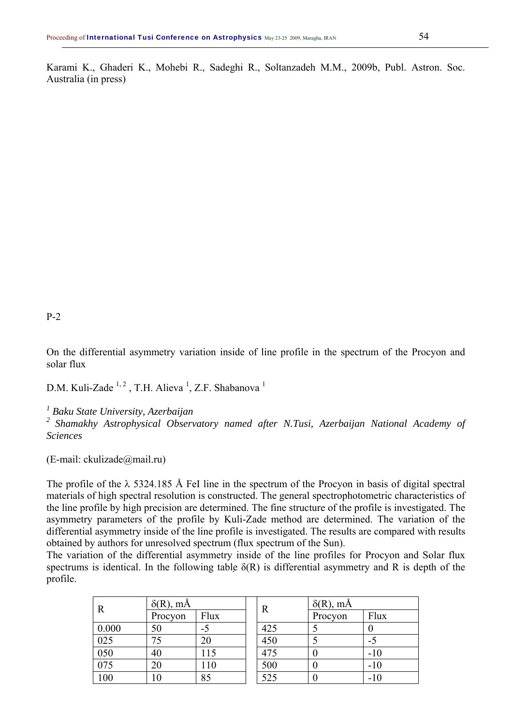Karami K., Ghaderi K., Mohebi R., Sadeghi R., Soltanzadeh M.M., 2009b, Publ. Astron. Soc. Australia (in press)

P-2

On the differential asymmetry variation inside of line profile in the spectrum of the Procyon and solar flux

D.M. Kuli-Zade<sup>1,2</sup>, T.H. Alieva<sup>1</sup>, Z.F. Shabanova<sup>1</sup>

*1 Baku State University, Azerbaijan* 

*2 Shamakhy Astrophysical Observatory named after N.Tusi, Azerbaijan National Academy of Sciences* 

(E-mail: ckulizade@mail.ru)

The profile of the  $\lambda$  5324.185 Å FeI line in the spectrum of the Procyon in basis of digital spectral materials of high spectral resolution is constructed. The general spectrophotometric characteristics of the line profile by high precision are determined. The fine structure of the profile is investigated. The asymmetry parameters of the profile by Kuli-Zade method are determined. The variation of the differential asymmetry inside of the line profile is investigated. The results are compared with results obtained by authors for unresolved spectrum (flux spectrum of the Sun).

The variation of the differential asymmetry inside of the line profiles for Procyon and Solar flux spectrums is identical. In the following table  $\delta(R)$  is differential asymmetry and R is depth of the profile.

| R     | $\delta(R)$ , mÅ |      | R   | $\delta(R)$ , mÅ |       |
|-------|------------------|------|-----|------------------|-------|
|       | Procyon          | Flux |     | Procyon          | Flux  |
| 0.000 | 50               | -5   | 425 |                  |       |
| 025   |                  | 20   | 450 |                  | -5    |
| 050   | 40               | 115  | 475 | U                | $-10$ |
| 075   | 20               | 110  | 500 |                  | $-10$ |
| 100   |                  | 85   | 525 | U                | $-10$ |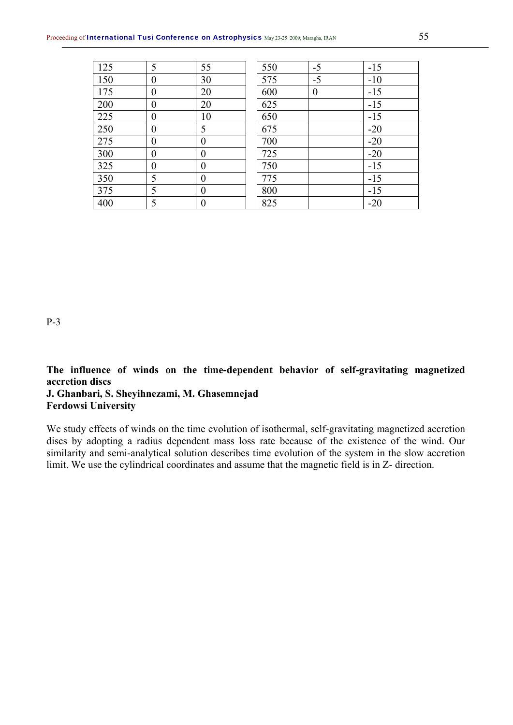| 125 | 5                | 55               | 550 | $-5$             | $-15$ |
|-----|------------------|------------------|-----|------------------|-------|
| 150 | $\boldsymbol{0}$ | 30               | 575 | $-5$             | $-10$ |
| 175 | $\boldsymbol{0}$ | 20               | 600 | $\boldsymbol{0}$ | $-15$ |
| 200 | $\boldsymbol{0}$ | 20               | 625 |                  | $-15$ |
| 225 | $\boldsymbol{0}$ | 10               | 650 |                  | $-15$ |
| 250 | $\boldsymbol{0}$ | 5                | 675 |                  | $-20$ |
| 275 | $\boldsymbol{0}$ | $\boldsymbol{0}$ | 700 |                  | $-20$ |
| 300 | $\boldsymbol{0}$ | $\overline{0}$   | 725 |                  | $-20$ |
| 325 | $\boldsymbol{0}$ | $\overline{0}$   | 750 |                  | $-15$ |
| 350 | 5                | $\overline{0}$   | 775 |                  | $-15$ |
| 375 | 5                | $\overline{0}$   | 800 |                  | $-15$ |
| 400 | 5                | 0                | 825 |                  | $-20$ |

# **The influence of winds on the time-dependent behavior of self-gravitating magnetized accretion discs J. Ghanbari, S. Sheyihnezami, M. Ghasemnejad**

# **Ferdowsi University**

We study effects of winds on the time evolution of isothermal, self-gravitating magnetized accretion discs by adopting a radius dependent mass loss rate because of the existence of the wind. Our similarity and semi-analytical solution describes time evolution of the system in the slow accretion limit. We use the cylindrical coordinates and assume that the magnetic field is in Z- direction.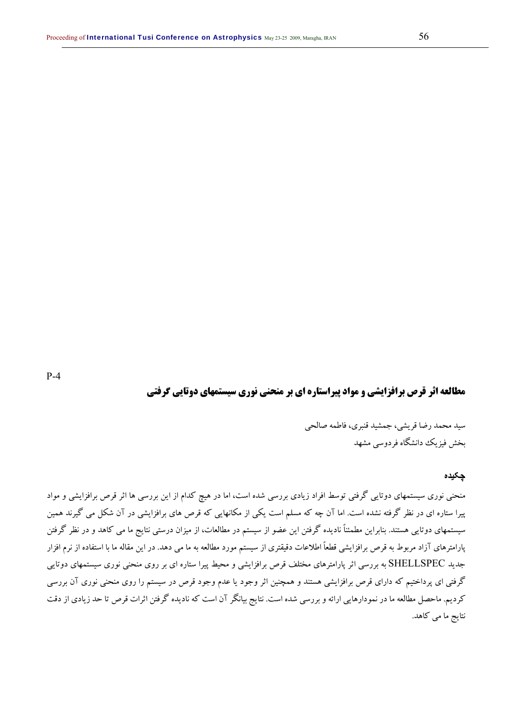# **مطالعه اثر قرص برافزايشي و مواد پيراستاره اي بر منحني نوري سيستمهاي دوتايي گرفتي**

سيد محمد رضا قريشي، جمشيد قنبري، فاطمه صالحي بخش فيزيك دانشگاه فردوسي مشهد

### **چکيده**

منحني نوري سيستمهاي دوتايي گرفتي توسط افراد زيادي بررسي شده است، اما در هيچ كدام از اين بررسي ها اثر قرص برافزايشي و مواد پيرا ستاره اي در نظر گرفته نشده است. اما آن چه كه مسلم است يكي از مكانهايي كه قرص هاي برافزايشي در آن شكل مي گيرند همين سيستمهاي دوتايي هستند. بنابراين مطمئناً ناديده گرفتن اين عضو از سيستم در مطالعات، از ميزان درستي نتايج ما مي كاهد و در نظر گرفتن پارامترهاي آزاد مربوط به قرص برافزايشي قطعاً اطلاعات دقيقتري از سيستم مورد مطالعه به ما مي دهد. در اين مقاله ما با استفاده از نرم افزار جديد SHELLSPEC به بررسي اثر پارامترهاي مختلف قرص برافزايشي و محيط پيرا ستاره اي بر روي منحني نوري سيستمهاي دوتايي گرفتي اي پرداختيم كه داراي قرص برافزايشي هستند و همچنين اثر وجود يا عدم وجود قرص در سيستم را روي منحني نوري آن بررسي كرديم. ماحصل مطالعه ما در نمودارهايي ارائه و بررسي شده است. نتايج بيانگر آن است كه ناديده گرفتن اثرات قرص تا حد زيادي از دقت نتايج ما مي كاهد.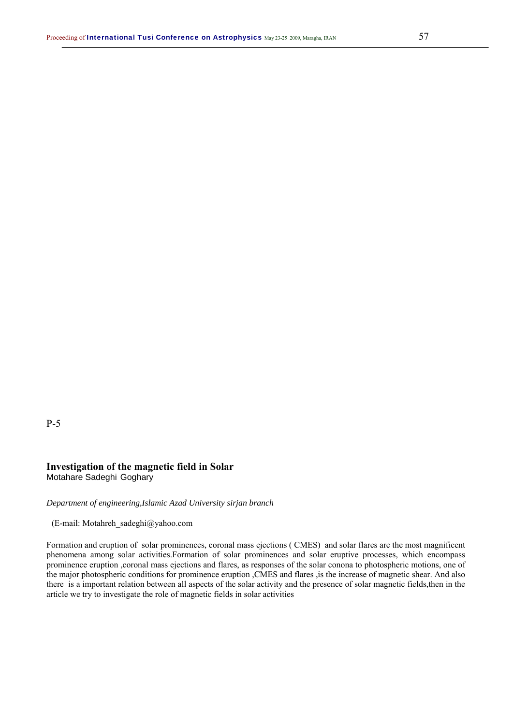# **Investigation of the magnetic field in Solar**

Motahare Sadeghi Goghary

*Department of engineering,Islamic Azad University sirjan branch*

(E-mail: Motahreh\_sadeghi@yahoo.com

Formation and eruption of solar prominences, coronal mass ejections ( CMES) and solar flares are the most magnificent phenomena among solar activities.Formation of solar prominences and solar eruptive processes, which encompass prominence eruption ,coronal mass ejections and flares, as responses of the solar conona to photospheric motions, one of the major photospheric conditions for prominence eruption ,CMES and flares ,is the increase of magnetic shear. And also there is a important relation between all aspects of the solar activity and the presence of solar magnetic fields,then in the article we try to investigate the role of magnetic fields in solar activities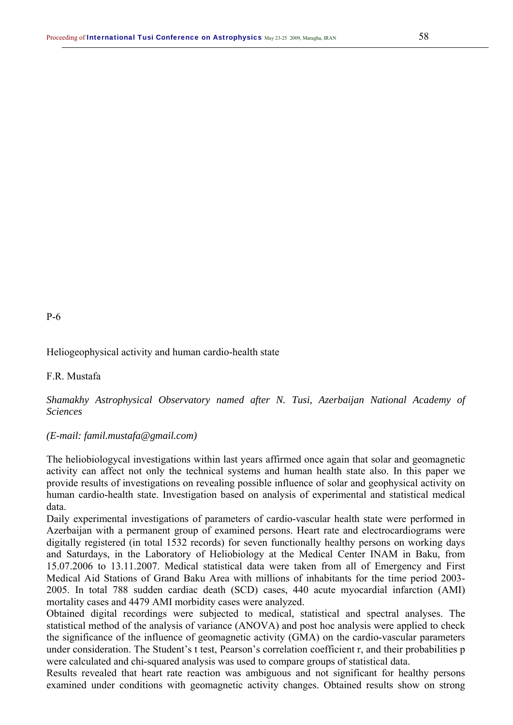Heliogeophysical activity and human cardio-health state

### F.R. Mustafa

# *Shamakhy Astrophysical Observatory named after N. Tusi, Azerbaijan National Academy of Sciences*

### *(E-mail: famil.mustafa@gmail.com)*

The heliobiologycal investigations within last years affirmed once again that solar and geomagnetic activity can affect not only the technical systems and human health state also. In this paper we provide results of investigations on revealing possible influence of solar and geophysical activity on human cardio-health state. Investigation based on analysis of experimental and statistical medical data.

Daily experimental investigations of parameters of cardio-vascular health state were performed in Azerbaijan with a permanent group of examined persons. Heart rate and electrocardiograms were digitally registered (in total 1532 records) for seven functionally healthy persons on working days and Saturdays, in the Laboratory of Heliobiology at the Medical Center INAM in Baku, from 15.07.2006 to 13.11.2007. Medical statistical data were taken from all of Emergency and First Medical Aid Stations of Grand Baku Area with millions of inhabitants for the time period 2003- 2005. In total 788 sudden cardiac death (SCD) cases, 440 acute myocardial infarction (AMI) mortality cases and 4479 AMI morbidity cases were analyzed.

Obtained digital recordings were subjected to medical, statistical and spectral analyses. The statistical method of the analysis of variance (ANOVA) and post hoc analysis were applied to check the significance of the influence of geomagnetic activity (GMA) on the cardio-vascular parameters under consideration. The Student's t test, Pearson's correlation coefficient r, and their probabilities p were calculated and chi-squared analysis was used to compare groups of statistical data.

Results revealed that heart rate reaction was ambiguous and not significant for healthy persons examined under conditions with geomagnetic activity changes. Obtained results show on strong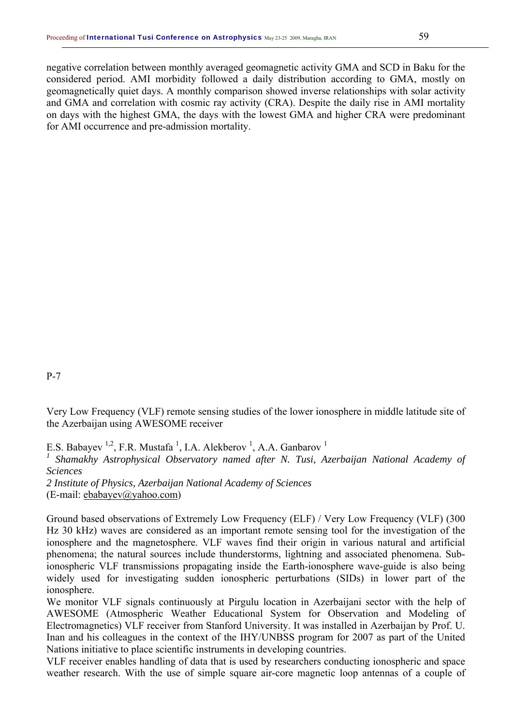negative correlation between monthly averaged geomagnetic activity GMA and SCD in Baku for the considered period. AMI morbidity followed a daily distribution according to GMA, mostly on geomagnetically quiet days. A monthly comparison showed inverse relationships with solar activity and GMA and correlation with cosmic ray activity (CRA). Despite the daily rise in AMI mortality on days with the highest GMA, the days with the lowest GMA and higher CRA were predominant for AMI occurrence and pre-admission mortality.

P-7

Very Low Frequency (VLF) remote sensing studies of the lower ionosphere in middle latitude site of the Azerbaijan using AWESOME receiver

E.S. Babayev <sup>1,2</sup>, F.R. Mustafa<sup>1</sup>, I.A. Alekberov<sup>1</sup>, A.A. Ganbarov<sup>1</sup>

 *Shamakhy Astrophysical Observatory named after N. Tusi, Azerbaijan National Academy of Sciences* 

*2 Institute of Physics, Azerbaijan National Academy of Sciences*  (E-mail: ebabayev@yahoo.com)

Ground based observations of Extremely Low Frequency (ELF) / Very Low Frequency (VLF) (300 Hz 30 kHz) waves are considered as an important remote sensing tool for the investigation of the ionosphere and the magnetosphere. VLF waves find their origin in various natural and artificial phenomena; the natural sources include thunderstorms, lightning and associated phenomena. Subionospheric VLF transmissions propagating inside the Earth-ionosphere wave-guide is also being widely used for investigating sudden ionospheric perturbations (SIDs) in lower part of the ionosphere.

We monitor VLF signals continuously at Pirgulu location in Azerbaijani sector with the help of AWESOME (Atmospheric Weather Educational System for Observation and Modeling of Electromagnetics) VLF receiver from Stanford University. It was installed in Azerbaijan by Prof. U. Inan and his colleagues in the context of the IHY/UNBSS program for 2007 as part of the United Nations initiative to place scientific instruments in developing countries.

VLF receiver enables handling of data that is used by researchers conducting ionospheric and space weather research. With the use of simple square air-core magnetic loop antennas of a couple of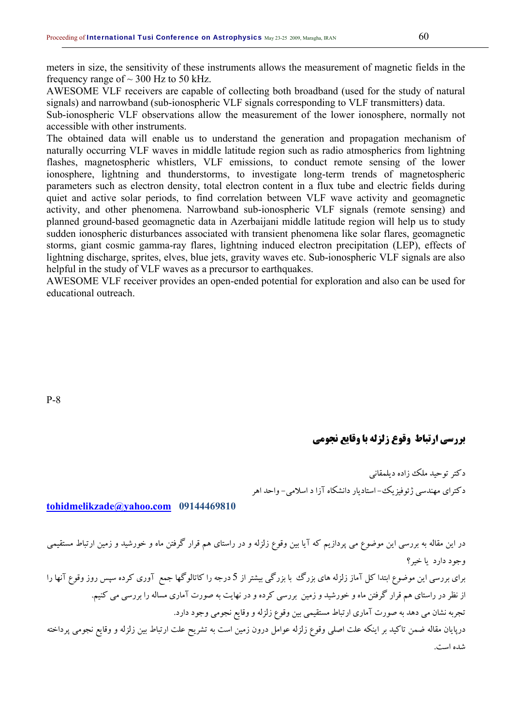meters in size, the sensitivity of these instruments allows the measurement of magnetic fields in the frequency range of  $\sim$  300 Hz to 50 kHz.

AWESOME VLF receivers are capable of collecting both broadband (used for the study of natural signals) and narrowband (sub-ionospheric VLF signals corresponding to VLF transmitters) data.

Sub-ionospheric VLF observations allow the measurement of the lower ionosphere, normally not accessible with other instruments.

The obtained data will enable us to understand the generation and propagation mechanism of naturally occurring VLF waves in middle latitude region such as radio atmospherics from lightning flashes, magnetospheric whistlers, VLF emissions, to conduct remote sensing of the lower ionosphere, lightning and thunderstorms, to investigate long-term trends of magnetospheric parameters such as electron density, total electron content in a flux tube and electric fields during quiet and active solar periods, to find correlation between VLF wave activity and geomagnetic activity, and other phenomena. Narrowband sub-ionospheric VLF signals (remote sensing) and planned ground-based geomagnetic data in Azerbaijani middle latitude region will help us to study sudden ionospheric disturbances associated with transient phenomena like solar flares, geomagnetic storms, giant cosmic gamma-ray flares, lightning induced electron precipitation (LEP), effects of lightning discharge, sprites, elves, blue jets, gravity waves etc. Sub-ionospheric VLF signals are also helpful in the study of VLF waves as a precursor to earthquakes.

AWESOME VLF receiver provides an open-ended potential for exploration and also can be used for educational outreach.

# **بررسي ارتباط وقوع زلزله با وقايع نجومي**

دكترتوحيد ملك زاده ديلمقاني دكتراي مهندسي ژئوفيزيك- استاديار دانشكاه آزا د اسلامي- واحد اهر

### **tohidmelikzade@yahoo.com 09144469810**

در اين مقاله به بررسي اين موضوع مي پردازيم كه آيا بين وقوع زلزله و در راستاي هم قرار گرفتن ماه و خورشيد و زمين ارتباط مستقيمي وجود دارد يا خير؟

براي بررسي اين موضوع ابتدا كل آماز زلزله هاي بزرگ با بزرگي بيشتر از 5 درجه را كاتالوگها جمع آوري كرده سپس روز وقوع آنها را از نظردر راستاي هم قرار گرفتن ماه و خورشيد و زمين بررسي كرده و در نهايت به صورت آماري مساله را بررسي مي كنيم. تجربه نشان مي دهد به صورت آماري ارتباط مستقيمي بين وقوع زلزله و وقايع نجومي وجود دارد. درپايان مقاله ضمن تاكيد بر اينكه علت اصلي وقوع زلزله عوامل درون زمين است به تشريح علت ارتباط بين زلزله و وقايع نجومي پرداخته شده است.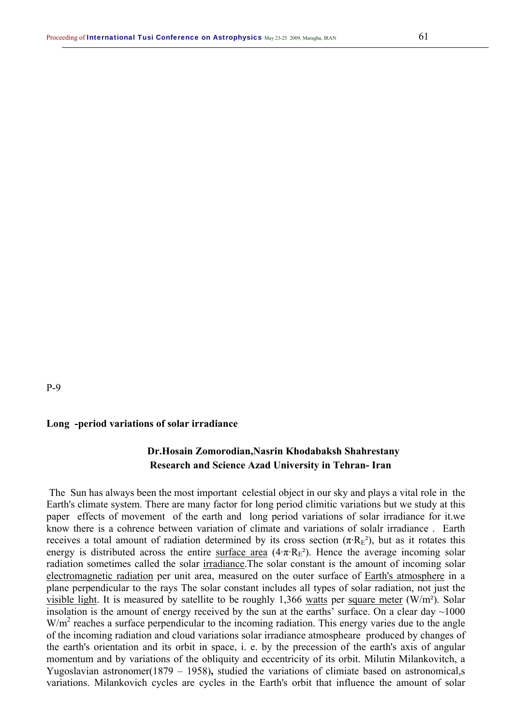#### **Long -period variations of solar irradiance**

# **Dr.Hosain Zomorodian,Nasrin Khodabaksh Shahrestany Research and Science Azad University in Tehran- Iran**

 The Sun has always been the most important celestial object in our sky and plays a vital role in the Earth's climate system. There are many factor for long period climitic variations but we study at this paper effects of movement of the earth and long period variations of solar irradiance for it.we know there is a cohrence between variation of climate and variations of solalr irradiance . Earth receives a total amount of radiation determined by its cross section  $(\pi \cdot R_E^2)$ , but as it rotates this energy is distributed across the entire surface area  $(4 \pi \cdot R_E^2)$ . Hence the average incoming solar radiation sometimes called the solar irradiance.The solar constant is the amount of incoming solar electromagnetic radiation per unit area, measured on the outer surface of Earth's atmosphere in a plane perpendicular to the rays The solar constant includes all types of solar radiation, not just the visible light. It is measured by satellite to be roughly 1,366 watts per square meter (W/m<sup>2</sup>). Solar insolation is the amount of energy received by the sun at the earths' surface. On a clear day  $\sim$ 1000 W/m<sup>2</sup> reaches a surface perpendicular to the incoming radiation. This energy varies due to the angle of the incoming radiation and cloud variations solar irradiance atmospheare produced by changes of the earth's orientation and its orbit in space, i. e. by the precession of the earth's axis of angular momentum and by variations of the obliquity and eccentricity of its orbit. Milutin Milankovitch, a Yugoslavian astronomer(1879 – 1958)**,** studied the variations of climiate based on astronomical,s variations. Milankovich cycles are cycles in the Earth's orbit that influence the amount of solar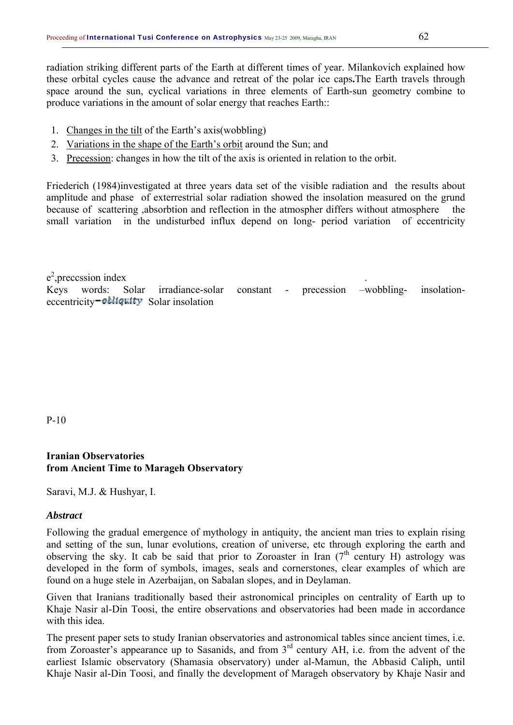radiation striking different parts of the Earth at different times of year. Milankovich explained how these orbital cycles cause the advance and retreat of the polar ice caps**.**The Earth travels through space around the sun, cyclical variations in three elements of Earth-sun geometry combine to produce variations in the amount of solar energy that reaches Earth::

- 1. Changes in the tilt of the Earth's axis(wobbling)
- 2. Variations in the shape of the Earth's orbit around the Sun; and
- 3. Precession: changes in how the tilt of the axis is oriented in relation to the orbit.

Friederich (1984)investigated at three years data set of the visible radiation and the results about amplitude and phase of exterrestrial solar radiation showed the insolation measured on the grund because of scattering ,absorbtion and reflection in the atmospher differs without atmosphere the small variation in the undisturbed influx depend on long- period variation of eccentricity

 $e^2$ , precession index  $\blacksquare$ Keys words: Solar irradiance-solar constant - precession –wobbling- insolationeccentricity  $\bullet$  obliquity Solar insolation

P-10

# **Iranian Observatories from Ancient Time to Marageh Observatory**

Saravi, M.J. & Hushyar, I.

# *Abstract*

Following the gradual emergence of mythology in antiquity, the ancient man tries to explain rising and setting of the sun, lunar evolutions, creation of universe, etc through exploring the earth and observing the sky. It cab be said that prior to Zoroaster in Iran  $(7<sup>th</sup>$  century H) astrology was developed in the form of symbols, images, seals and cornerstones, clear examples of which are found on a huge stele in Azerbaijan, on Sabalan slopes, and in Deylaman.

Given that Iranians traditionally based their astronomical principles on centrality of Earth up to Khaje Nasir al-Din Toosi, the entire observations and observatories had been made in accordance with this idea.

The present paper sets to study Iranian observatories and astronomical tables since ancient times, i.e. from Zoroaster's appearance up to Sasanids, and from 3<sup>rd</sup> century AH, i.e. from the advent of the earliest Islamic observatory (Shamasia observatory) under al-Mamun, the Abbasid Caliph, until Khaje Nasir al-Din Toosi, and finally the development of Marageh observatory by Khaje Nasir and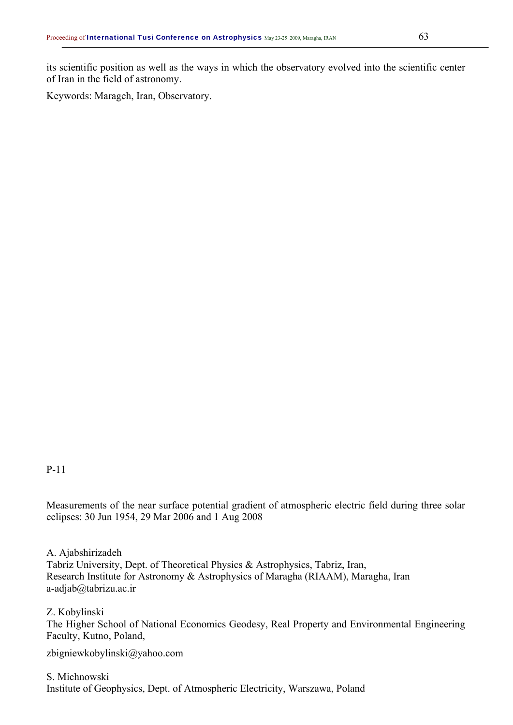its scientific position as well as the ways in which the observatory evolved into the scientific center of Iran in the field of astronomy.

Keywords: Marageh, Iran, Observatory.

# P-11

Measurements of the near surface potential gradient of atmospheric electric field during three solar eclipses: 30 Jun 1954, 29 Mar 2006 and 1 Aug 2008

A. Ajabshirizadeh Tabriz University, Dept. of Theoretical Physics & Astrophysics, Tabriz, Iran, Research Institute for Astronomy & Astrophysics of Maragha (RIAAM), Maragha, Iran a-adjab@tabrizu.ac.ir

### Z. Kobylinski

The Higher School of National Economics Geodesy, Real Property and Environmental Engineering Faculty, Kutno, Poland,

zbigniewkobylinski@yahoo.com

S. Michnowski Institute of Geophysics, Dept. of Atmospheric Electricity, Warszawa, Poland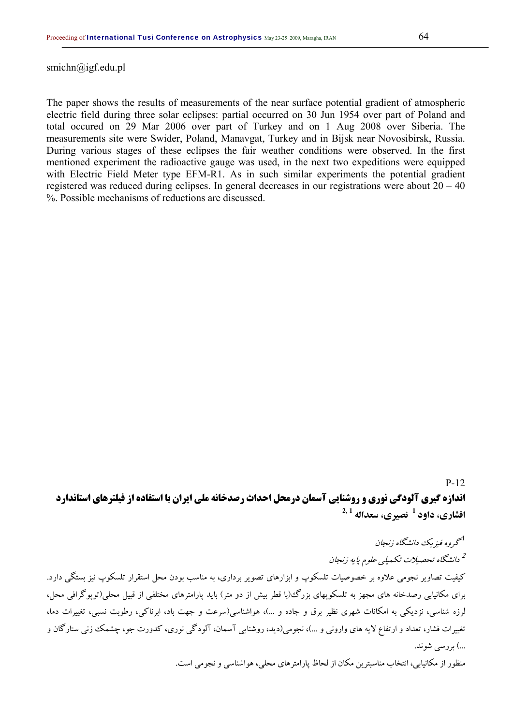smichn@igf.edu.pl

The paper shows the results of measurements of the near surface potential gradient of atmospheric electric field during three solar eclipses: partial occurred on 30 Jun 1954 over part of Poland and total occured on 29 Mar 2006 over part of Turkey and on 1 Aug 2008 over Siberia. The measurements site were Swider, Poland, Manavgat, Turkey and in Bijsk near Novosibirsk, Russia. During various stages of these eclipses the fair weather conditions were observed. In the first mentioned experiment the radioactive gauge was used, in the next two expeditions were equipped with Electric Field Meter type EFM-R1. As in such similar experiments the potential gradient registered was reduced during eclipses. In general decreases in our registrations were about 20 – 40 %. Possible mechanisms of reductions are discussed.

#### P-12

**اندازه گیری آلودگی نوری و روشنایی آسمان درمحل احداث رصدخانه ملی ایران با استفاده از فیلترهای استاندارد 1 2, نصيري، سعداله <sup>1</sup> افشاري، داود**

گروه فيزيك دانشگاه زنجان <sup>1</sup>

دانشگاه تحصيلات تكميلي علوم پايه زنجان<sup>2</sup>

كيفيت تصاوير نجومي علاوه بر خصوصيات تلسكوپ و ابزارهاي تصوير برداري، به مناسب بودن محل استقرار تلسكوپ نيز بستگي دارد. براي مكانيابي رصدخانه هاي مجهز به تلسكوپهاي بزرگ(با قطر بيش از دو متر) بايد پارامترهاي مختلفي از قبيل محلي(توپوگرافي محل، لرزه شناسي، نزديكي به امكانات شهري نظير برق و جاده و ...)، هواشناسي(سرعت و جهت باد، ابرناكي، رطوبت نسبي، تغييرات دما، تغييرات فشار، تعداد و ارتفاع لايه هاي واروني و ...)، نجومي(ديد، روشنايي آسمان، آلودگي نوري، كدورت جو، چشمك زني ستارگان و ...) بررسي شوند.

منظور از مكانيابي، انتخاب مناسبترين مكان از لحاظ پارامترهاي محلي، هواشناسي و نجومي است.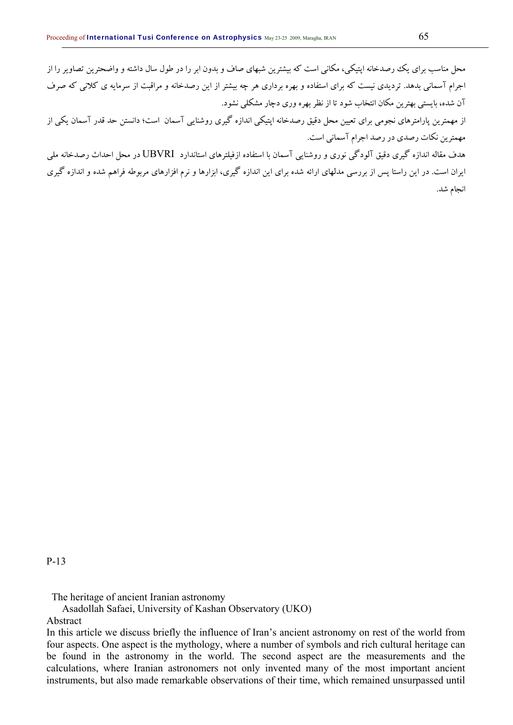محل مناسب براي يك رصدخانه اپتيكي، مكاني است كه بيشترين شبهاي صاف و بدون ابر را در طول سال داشته و واضحترين تصاوير را از اجرام آسماني بدهد. ترديدي نيست كه براي استفاده و بهره برداري هر چه بيشتر از اين رصدخانه و مراقبت از سرمايه ي كلاني كه صرف آن شده، بايستي بهترين مكان انتخاب شود تا از نظر بهره وري دچار مشكلي نشود.

از مهمترين پارامترهاي نجومي براي تعيين محل دقيق رصدخانه اپتيكي اندازه گيري روشنايي آسمان است؛ دانستن حد قدر آسمان يكي از مهمترين نكات رصدي در رصد اجرام آسماني است.

هدف مقاله اندازه گيري دقيق آلودگي نوري و روشنايي آسمان با استفاده ازفيلترهاي استاندارد UBVRI در محل احداث رصدخانه ملي ايران است. در اين راستا پس از بررسي مدلهاي ارائه شده براي اين اندازه گيري، ابزارها و نرم افزارهاي مربوطه فراهم شده و اندازه گيري انجام شد.

P-13

The heritage of ancient Iranian astronomy

Asadollah Safaei, University of Kashan Observatory (UKO)

Abstract

In this article we discuss briefly the influence of Iran's ancient astronomy on rest of the world from four aspects. One aspect is the mythology, where a number of symbols and rich cultural heritage can be found in the astronomy in the world. The second aspect are the measurements and the calculations, where Iranian astronomers not only invented many of the most important ancient instruments, but also made remarkable observations of their time, which remained unsurpassed until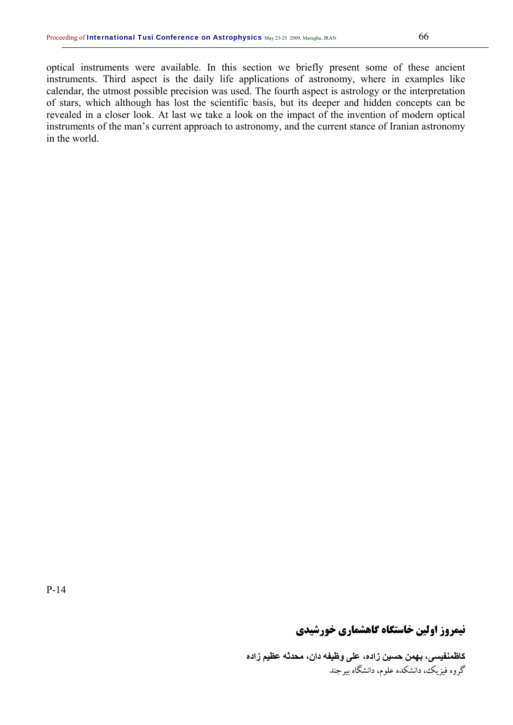optical instruments were available. In this section we briefly present some of these ancient instruments. Third aspect is the daily life applications of astronomy, where in examples like calendar, the utmost possible precision was used. The fourth aspect is astrology or the interpretation of stars, which although has lost the scientific basis, but its deeper and hidden concepts can be revealed in a closer look. At last we take a look on the impact of the invention of modern optical instruments of the man's current approach to astronomy, and the current stance of Iranian astronomy in the world.

**نيمروز اولين خاستگاه گاهشماري خورشيدي** 

**کاظمنفيسی، بهمن حسين زاده، علی وظيفه دان، محدثه عظيم زاده** گروه فيزيك، دانشكده علوم، دانشگاه بيرجند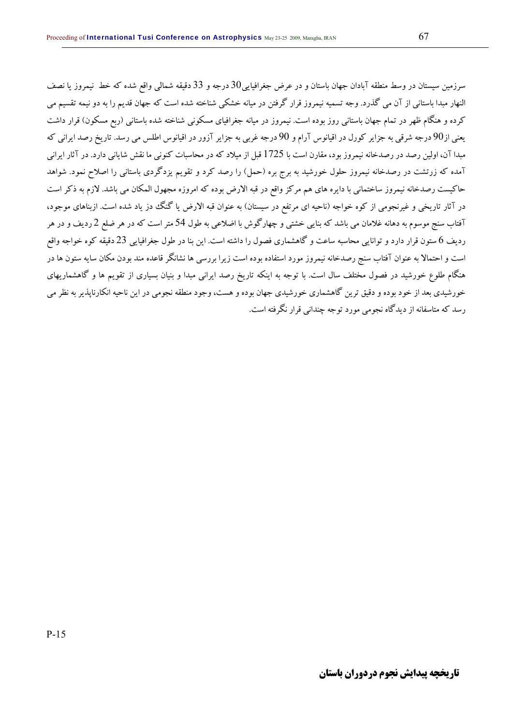سرزمين سيستان در وسط منطقه آبادان جهان باستان و در عرض جغرافيايي30 درجه و 33 دقيقه شمالي واقع شده كه خط نيمروز يا نصف النهار مبدا باستاني از آن مي گذرد. وجه تسميه نيمروز قرار گرفتن در ميانه خشكي شناخته شده است كه جهان قديم را به دو نيمه تقسيم مي كرده و هنگام ظهر در تمام جهان باستاني روز بوده است. نيمروز در ميانه جغرافياي مسكوني شناخته شده باستاني (ربع مسكون) قرار داشت يعني از90 درجه شرقي به جزاير كورل در اقيانوس آرام و 90 درجه غربي به جزاير آزور در اقيانوس اطلس مي رسد. تاريخ رصد ايراني كه مبدا آن، اولين رصد در رصدخانه نيمروز بود، مقارن است با 1725 قبل از ميلاد كه در محاسبات كنوني ما نقش شاياني دارد. در آثار ايراني آمده كه زرتشت در رصدخانه نيمروز حلول خورشيد به برج بره (حمل) را رصد كرد و تقويم يزدگردي باستاني را اصلاح نمود. شواهد حاكيست رصدخانه نيمروز ساختماني با دايره هاي هم مركز واقع در قبه الارض بوده كه امروزه مجهول المكان مي باشد. لازم به ذكر است در آثار تاريخي و غيرنجومي از كوه خواجه (ناحيه اي مرتفع در سيستان) به عنوان قبه الارض يا گنگ دز ياد شده است. ازبناهاي موجود، آفتاب سنج موسوم به دهانه غلامان مي باشد كه بنايي خشتي و چهارگوش با اضلاعي به طول 54 متر است كه در هر ضلع 2 رديف و در هر رديف 6 ستون قرار دارد و توانايي محاسبه ساعت و گاهشماري فصول را داشته است. اين بنا در طول جغرافيايي 23 دقيقه كوه خواجه واقع است و احتمالا به عنوان آفتاب سنج رصدخانه نيمروز مورد استفاده بوده است زيرا بررسي ها نشانگر قاعده مند بودن مكان سايه ستون ها در هنگام طلوع خورشيد در فصول مختلف سال است. با توجه به اينكه تاريخ رصد ايراني مبدا و بنيان بسياري از تقويم ها و گاهشماريهاي خورشيدي بعد از خود بوده و دقيق ترين گاهشماري خورشيدي جهان بوده و هست، وجود منطقه نجومي در اين ناحيه انكارناپذير به نظر مي رسد كه متاسفانه از ديدگاه نجومي مورد توجه چنداني قرار نگرفته است.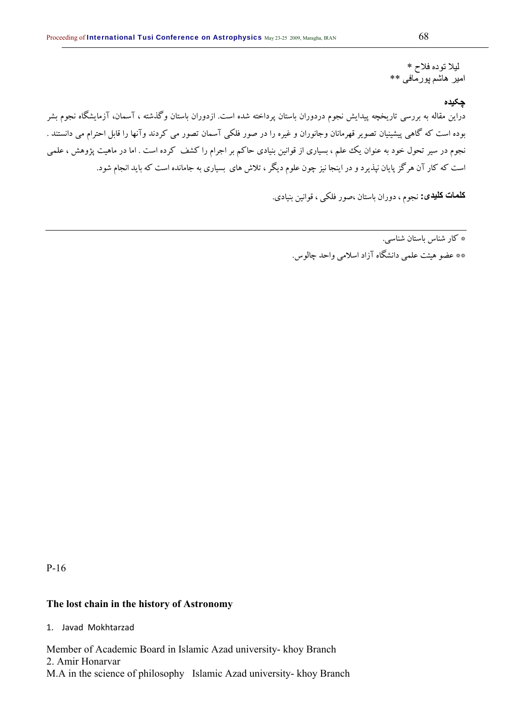ليلا توده فلاح \* امير هاشم پورمافی \*\*

### **چکيده**

دراين مقاله به بررسي تاريخچه پيدايش نجوم دردوران باستان پرداخته شده است. ازدوران باستان وگذشته ، آسمان، آزمايشگاه نجوم بشر بوده است كه گاهي پيشينيان تصوير قهرمانان وجانوران و غيره را در صور فلكي آسمان تصور مي كردند وآنها را قابل احترام مي دانستند . نجوم در سير تحول خود به عنوان يك علم ، بسياري از قوانين بنيادي حاكم بر اجرام را كشف كرده است . اما در ماهيت پژوهش ، علمي است كه كار آن هرگزپايان نپذيرد و در اينجا نيز چون علوم ديگر ، تلاش هاي بسياري به جامانده است كه بايد انجام شود.

**کلمات کليدی:** نجوم ، دوران باستان ،صور فلكي ، قوانين بنيادي.

\* كار شناس باستان شناسي. \*\* عضو هيئت علمي دانشگاه آزاد اسلامي واحد چالوس.

P-16

### **The lost chain in the history of Astronomy**

1. Javad Mokhtarzad

Member of Academic Board in Islamic Azad university- khoy Branch 2. Amir Honarvar M.A in the science of philosophy Islamic Azad university- khoy Branch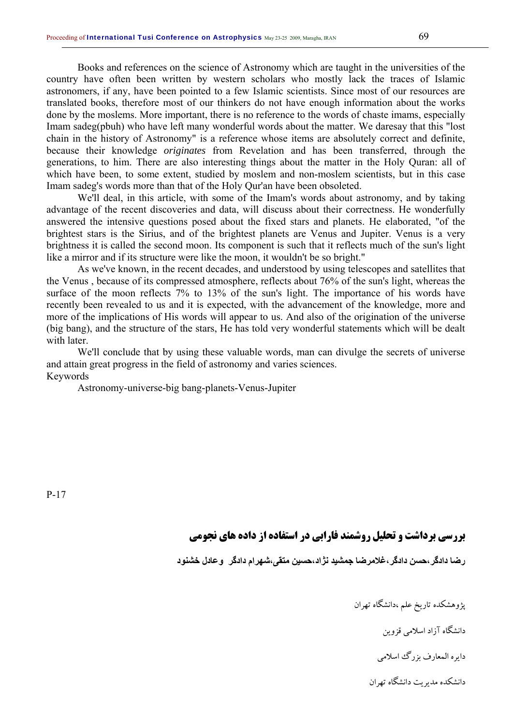Books and references on the science of Astronomy which are taught in the universities of the country have often been written by western scholars who mostly lack the traces of Islamic astronomers, if any, have been pointed to a few Islamic scientists. Since most of our resources are translated books, therefore most of our thinkers do not have enough information about the works done by the moslems. More important, there is no reference to the words of chaste imams, especially Imam sadeg(pbuh) who have left many wonderful words about the matter. We daresay that this "lost chain in the history of Astronomy" is a reference whose items are absolutely correct and definite, because their knowledge *originates* from Revelation and has been transferred, through the generations, to him. There are also interesting things about the matter in the Holy Quran: all of which have been, to some extent, studied by moslem and non-moslem scientists, but in this case Imam sadeg's words more than that of the Holy Qur'an have been obsoleted.

 We'll deal, in this article, with some of the Imam's words about astronomy, and by taking advantage of the recent discoveries and data, will discuss about their correctness. He wonderfully answered the intensive questions posed about the fixed stars and planets. He elaborated, "of the brightest stars is the Sirius, and of the brightest planets are Venus and Jupiter. Venus is a very brightness it is called the second moon. Its component is such that it reflects much of the sun's light like a mirror and if its structure were like the moon, it wouldn't be so bright."

 As we've known, in the recent decades, and understood by using telescopes and satellites that the Venus , because of its compressed atmosphere, reflects about 76% of the sun's light, whereas the surface of the moon reflects 7% to 13% of the sun's light. The importance of his words have recently been revealed to us and it is expected, with the advancement of the knowledge, more and more of the implications of His words will appear to us. And also of the origination of the universe (big bang), and the structure of the stars, He has told very wonderful statements which will be dealt with later.

 We'll conclude that by using these valuable words, man can divulge the secrets of universe and attain great progress in the field of astronomy and varies sciences. Keywords

Astronomy-universe-big bang-planets-Venus-Jupiter

P-17

# **بررسي برداشت و تحليل روشمند فارابي در استفاده از داده هاي نجومي**

**رضا دادگر،حسن دادگر،غلامرضا جمشيد نژاد،حسين متقی،شهرام دادگر وعادل خشنود**

پژوهشكده تاريخ علم ،دانشگاه تهران

دانشگاه آزاد اسلامي قزوين

دايره المعارف بزرگ اسلامي

دانشكده مديريت دانشگاه تهران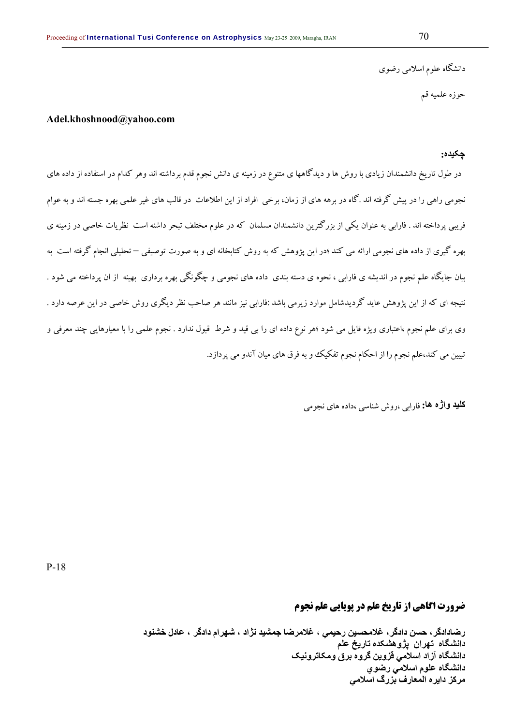دانشگاه علوم اسلامي رضوي

حوزه علميه قم

### **Adel.khoshnood@yahoo.com**

### **چکيده:**

 در طول تاريخ دانشمندان زيادي با روش ها و ديدگاهها ي متنوع در زمينه ي دانش نجوم قدم برداشته اند وهر كدام در استفاده از داده هاي نجومي راهي را در پيش گرفته اند .گاه در برهه هاي از زمان، برخي افراد از اين اطلاعات در قالب هاي غير علمي بهره جسته اند و به عوام فريبي پرداخته اند . فارابي به عنوان يكي از بزرگترين دانشمندان مسلمان كه در علوم مختلف تبحر داشنه است نظريات خاصي در زمينه ي بهره گيري از داده هاي نجومي ارائه مي كند ؛در اين پژوهش كه به روش كتابخانه اي و به صورت توصيفي – تحليلي انجام گرفته است به بيان جايگاه علم نجوم در انديشه ي فارابي ، نحوه ي دسته بندي داده هاي نجومي و چگونگي بهره برداري بهينه از ان پرداخته مي شود . نتيجه اي كه از اين پژوهش عايد گرديدشامل موارد زيرمي باشد :فارابي نيز مانند هر صاحب نظر ديگري روش خاصي در اين عرصه دارد . وي براي علم نجوم ،اعتباري ويژه قايل مي شود ؛هر نوع داده اي را بي قيد و شرط قبول ندارد . نجوم علمي را با معيارهايي چند معرفي و تبيين مي كند،علم نجوم را از احكام نجوم تفكيك و به فرق هاي ميان آندو مي پردازد.

**کليد واژه ها:** فارابي ،روش شناسي ،داده هاي نجومي

P-18

# **ضرورت اگاهي از تاريخ علم در پويايي علم نجوم**

**رضادادگر، حسن دادگر، غلامحسين رحيمي ، غلامرضا جمشيد نژاد ، شهرام دادگر ، عادل خشنود دانشگاه تهران پژوهشکده تاريخ علم دانشگاه آزاد اسلامي قزوين گروه برق ومکاترونيک دانشگاه علوم اسلامي رضوي مرآز دايره المعارف بزرگ اسلامي**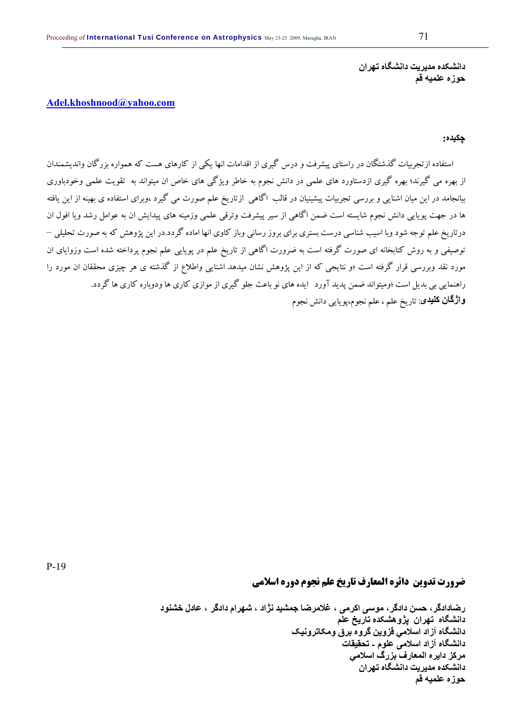**دانشکده مديريت دانشگاه تهران حوزه علميه قم** 

# **Adel.khoshnood@yahoo.com**

#### **چكيده:**

 استفاده ازتجربيات گذشتگان در راستاي پيشرفت و درس گيري از اقدامات انها يكي از كارهاي هست كه همواره بزرگان وانديشمندان از بهره مي گيرند؛ بهره گيري ازدستاورد هاي علمي در دانش نجوم به خاطر ويژگي هاي خاص ان ميتواند به تقويت علمي وخودباوري بيانجامد در اين ميان اشنايي و بررسي تجربيات پيشينيان در قالب اگاهي ازتاريخ علم صورت مي گيرد ،وبراي استفاده ي بهينه از اين يافته ها در جهت پويايي دانش نجوم شايسته است ضمن اگاهي از سير پيشرفت وترقي علمي وزمينه هاي پيدايش ان به عوامل رشد ويا افول ان درتاريخ علم توجه شود وبا اسيب شناسي درست بستري براي بروز رساني وباز كاوي انها اماده گردد.در اين پژوهش كه به صورت تحليلي – توصيفي و به روش كتابخانه اي صورت گرفته است به ضرورت اگاهي از تاريخ علم در پويايي علم نجوم پرداخته شده است وزواياي ان مورد نقد وبررسي قرار گرفته است ؛و نتايجي كه از اين پژوهش نشان ميدهد اشنايي واطلاع از گذشته ي هر چيزي محققان ان مورد را راهنمايي بي بديل است ؛وميتواند ضمن پديد آورد ايده هاي نو باعث جلو گيري از موازي كاري ها ودوباره كاري ها گردد. **واژگان کليدی**: تاريخ علم ، علم نجوم،پويايي دانش نجوم

### **ضرورت تدوين دائره المعارف تاريخ علم نجوم دوره اسلامي**

**رضادادگر، حسن دادگر، موسی اکرمی ، غلامرضا جمشيد نژاد ، شهرام دادگر ، عادل خشنود دانشگاه تهران پژوهشکده تاريخ علم دانشگاه آزاد اسلامي قزوين گروه برق ومکاترونيک دانشگاه آزاد اسلامی علوم - تحقيقات مرآز دايره المعارف بزرگ اسلامي دانشکده مديريت دانشگاه تهران حوزه علميه قم** 

P-19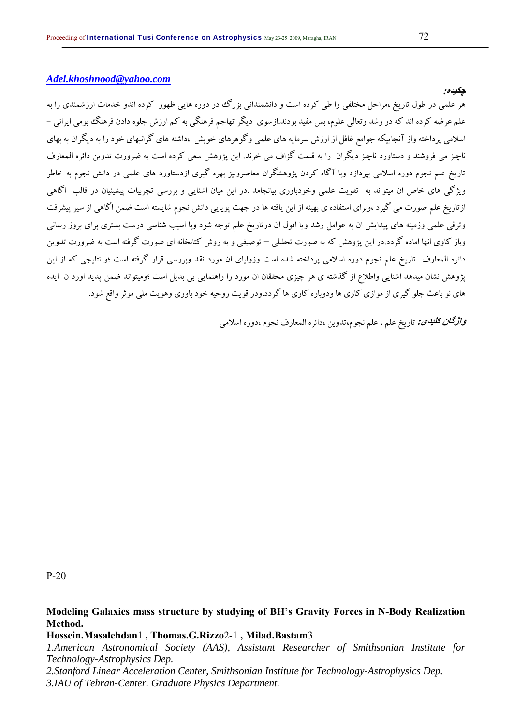### *Adel.khoshnood@yahoo.com*

هر علمي در طول تاريخ ،مراحل مختلفي را طي كرده است و دانشمنداني بزرگ در دوره هايي ظهور كرده اندو خدمات ارزشمندي را به علم عرضه كرده اند كه در رشد وتعالي علوم، بس مفيد بودند.ازسوي ديگر تهاجم فرهنگي به كم ارزش جلوه دادن فرهنگ بومي ايراني - اسلامي پرداخته واز آنجاييكه جوامع غافل از ارزش سرمايه هاي علمي وگوهرهاي خويش ،داشته هاي گرانبهاي خود را به ديگران به بهاي ناچيز مي فروشند و دستاورد ناچيز ديگران را به قيمت گزاف مي خرند. اين پژوهش سعي كرده است به ضرورت تدوين دائره المعارف تاريخ علم نجوم دوره اسلامي بپردازد وبا آگاه كردن پژوهشگران معاصرونيز بهره گيري ازدستاورد هاي علمي در دانش نجوم به خاطر ويژگي هاي خاص ان ميتواند به تقويت علمي وخودباوري بيانجامد .در اين ميان اشنايي و بررسي تجربيات پيشينيان در قالب اگاهي ازتاريخ علم صورت مي گيرد ،وبراي استفاده ي بهينه از اين يافته ها در جهت پويايي دانش نجوم شايسته است ضمن اگاهي از سير پيشرفت وترقي علمي وزمينه هاي پيدايش ان به عوامل رشد ويا افول ان درتاريخ علم توجه شود وبا اسيب شناسي درست بستري براي بروز رساني وباز كاوي انها اماده گردد.در اين پژوهش كه به صورت تحليلي – توصيفي و به روش كتابخانه اي صورت گرفته است به ضرورت تدوين دائره المعارف تاريخ علم نجوم دوره اسلامي پرداخته شده است وزواياي ان مورد نقد وبررسي قرار گرفته است ؛و نتايجي كه از اين پژوهش نشان ميدهد اشنايي واطلاع از گذشته ي هر چيزي محققان ان مورد را راهنمايي بي بديل است ؛وميتواند ضمن پديد اورد ن ايده هاي نو باعث جلو گيري از موازي كاري هاودوباره كاري ها گردد.ودر قويت روحيه خود باوري وهويت ملي موثرواقع شود.

**واژگان کليدی:** تاريخ علم ، علم نجوم،تدوين ،دائره المعارف نجوم ،دوره اسلامي

P-20

# **Modeling Galaxies mass structure by studying of BH's Gravity Forces in N-Body Realization Method.**

**Hossein.Masalehdan**1 **, Thomas.G.Rizzo**2-1 **, Milad.Bastam**3

*1.American Astronomical Society (AAS), Assistant Researcher of Smithsonian Institute for Technology-Astrophysics Dep.* 

*2.Stanford Linear Acceleration Center, Smithsonian Institute for Technology-Astrophysics Dep. 3.IAU of Tehran-Center. Graduate Physics Department.* 

**چكيده:**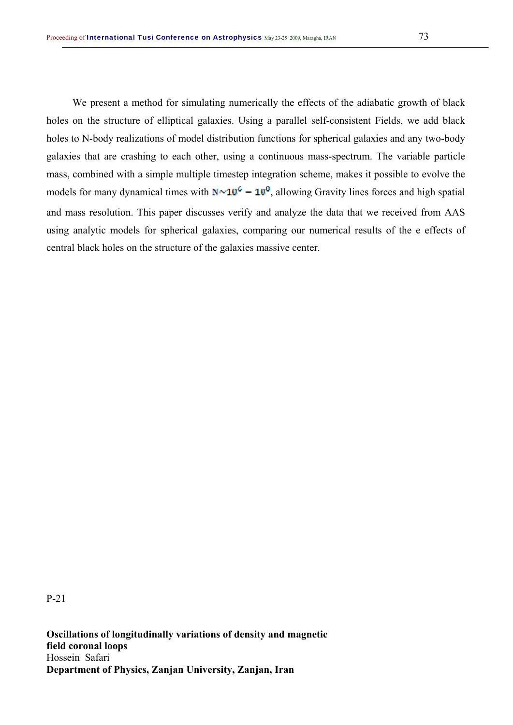We present a method for simulating numerically the effects of the adiabatic growth of black holes on the structure of elliptical galaxies. Using a parallel self-consistent Fields, we add black holes to N-body realizations of model distribution functions for spherical galaxies and any two-body galaxies that are crashing to each other, using a continuous mass-spectrum. The variable particle mass, combined with a simple multiple timestep integration scheme, makes it possible to evolve the models for many dynamical times with  $N \sim 10^6 - 10^0$ , allowing Gravity lines forces and high spatial and mass resolution. This paper discusses verify and analyze the data that we received from AAS using analytic models for spherical galaxies, comparing our numerical results of the e effects of central black holes on the structure of the galaxies massive center.

P-21

**Oscillations of longitudinally variations of density and magnetic field coronal loops**  Hossein Safari **Department of Physics, Zanjan University, Zanjan, Iran**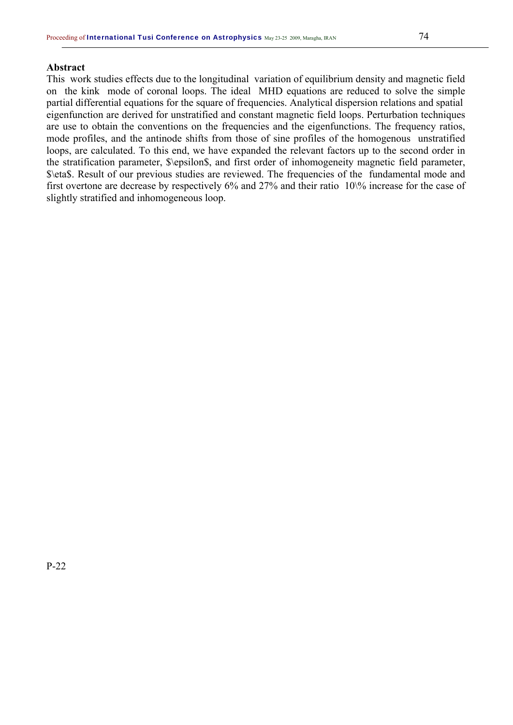#### **Abstract**

This work studies effects due to the longitudinal variation of equilibrium density and magnetic field on the kink mode of coronal loops. The ideal MHD equations are reduced to solve the simple partial differential equations for the square of frequencies. Analytical dispersion relations and spatial eigenfunction are derived for unstratified and constant magnetic field loops. Perturbation techniques are use to obtain the conventions on the frequencies and the eigenfunctions. The frequency ratios, mode profiles, and the antinode shifts from those of sine profiles of the homogenous unstratified loops, are calculated. To this end, we have expanded the relevant factors up to the second order in the stratification parameter, \$\epsilon\$, and first order of inhomogeneity magnetic field parameter, \$\eta\$. Result of our previous studies are reviewed. The frequencies of the fundamental mode and first overtone are decrease by respectively 6% and 27% and their ratio 10\% increase for the case of slightly stratified and inhomogeneous loop.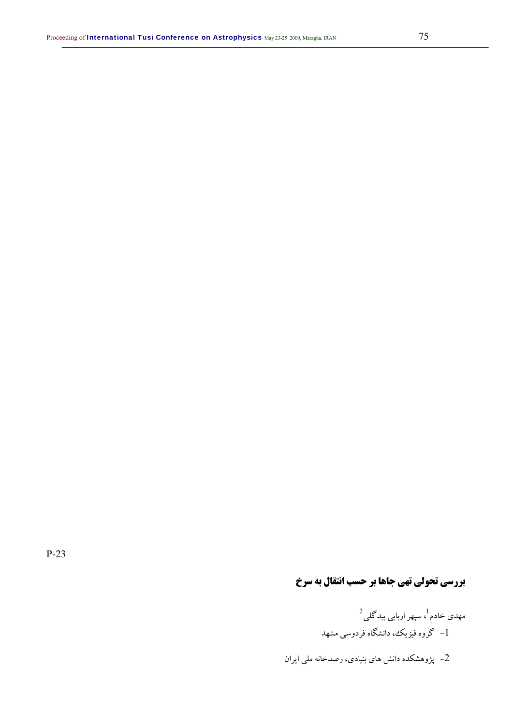#### P-23

# **بررسي تحولي تهي جاها بر حسب انتقال به سرخ**

مهدي خادم <sup>1</sup>، سپهر اربابي بيدگل<sub>ي</sub> <sup>2</sup> -1 گروه فيزيك، دانشگاه فردوسي مشهد

-2 پژوهشكده دانش هاي بنيادي، رصدخانه ملي ايران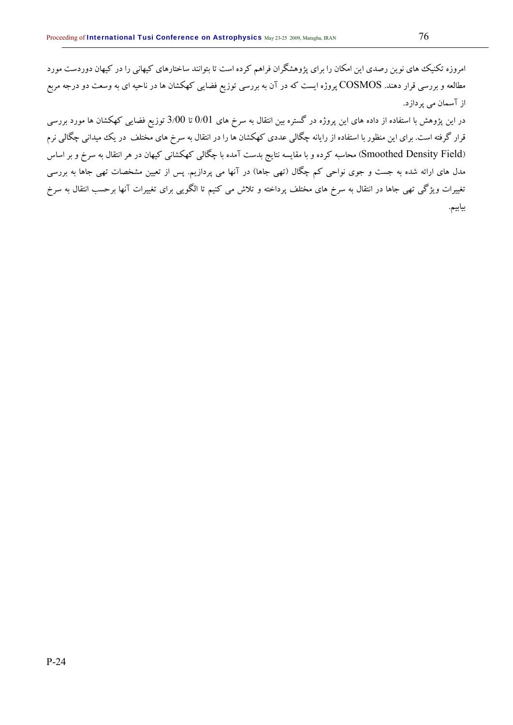امروزه تكنيك هاي نوين رصدي اين امكان را براي پژوهشگران فراهم كرده است تا بتوانند ساختارهاي كيهاني را در كيهان دوردست مورد مطالعه و بررسي قرار دهند. COSMOS پروژه ايست كه در آن به بررسي توزيع فضايي كهكشان ها در ناحيه اي به وسعت دو درجه مربع از آسمان مي پردازد.

در اين پژوهش با استفاده از داده هاي اين پروژه در گستره بين انتقال به سرخ هاي 0/01 تا 3/00 توزيع فضايي كهكشان ها مورد بررسي قرار گرفته است. براي اين منظور با استفاده از رايانه چگالي عددي كهكشان ها را در انتقال به سرخ هاي مختلف در يك ميداني چگالي نرم (Field Density Smoothed (محاسبه كرده و با مقايسه نتايج بدست آمده با چگالي كهكشاني كيهان در هر انتقال به سرخ و بر اساس مدل هاي ارائه شده به جست و جوي نواحي كم چگال (تهي جاها) در آنها مي پردازيم. پس از تعيين مشخصات تهي جاها به بررسي تغييرات ويژگي تهي جاها در انتقال به سرخ هاي مختلف پرداخته و تلاش مي كنيم تا الگويي براي تغييرات آنها برحسب انتقال به سرخ بيابيم.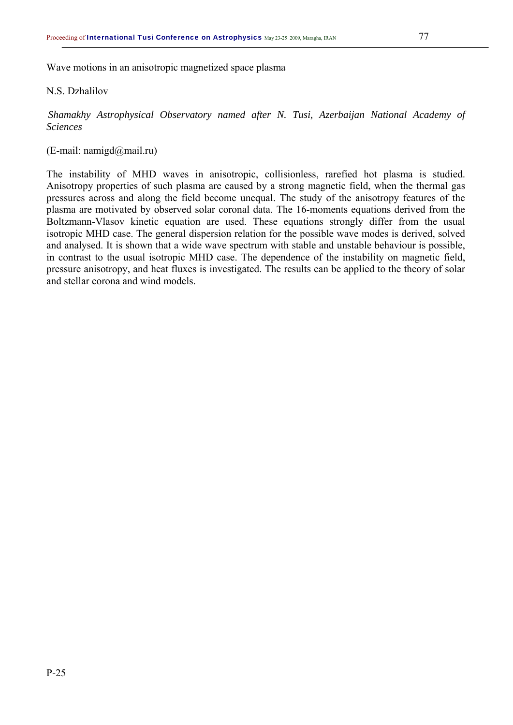Wave motions in an anisotropic magnetized space plasma

# N.S. Dzhalilov

*Shamakhy Astrophysical Observatory named after N. Tusi, Azerbaijan National Academy of Sciences* 

(E-mail: namigd@mail.ru)

The instability of MHD waves in anisotropic, collisionless, rarefied hot plasma is studied. Anisotropy properties of such plasma are caused by a strong magnetic field, when the thermal gas pressures across and along the field become unequal. The study of the anisotropy features of the plasma are motivated by observed solar coronal data. The 16-moments equations derived from the Boltzmann-Vlasov kinetic equation are used. These equations strongly differ from the usual isotropic MHD case. The general dispersion relation for the possible wave modes is derived, solved and analysed. It is shown that a wide wave spectrum with stable and unstable behaviour is possible, in contrast to the usual isotropic MHD case. The dependence of the instability on magnetic field, pressure anisotropy, and heat fluxes is investigated. The results can be applied to the theory of solar and stellar corona and wind models.